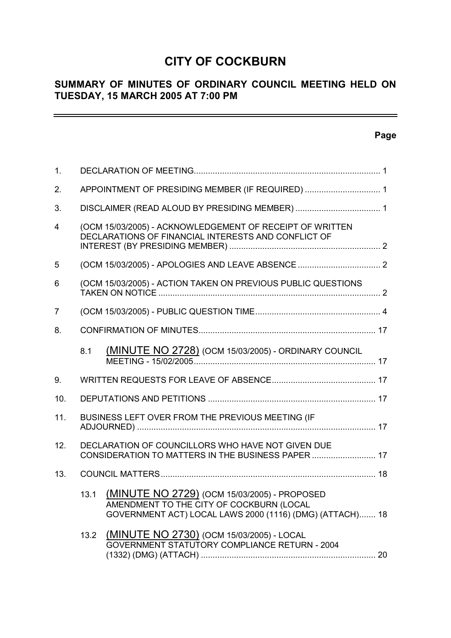# **CITY OF COCKBURN**

# **SUMMARY OF MINUTES OF ORDINARY COUNCIL MEETING HELD ON TUESDAY, 15 MARCH 2005 AT 7:00 PM**

# **Page**

 $\equiv$ 

| 1.  |      |                                                                                                                                                      |  |
|-----|------|------------------------------------------------------------------------------------------------------------------------------------------------------|--|
| 2.  |      | APPOINTMENT OF PRESIDING MEMBER (IF REQUIRED)  1                                                                                                     |  |
| 3.  |      |                                                                                                                                                      |  |
| 4   |      | (OCM 15/03/2005) - ACKNOWLEDGEMENT OF RECEIPT OF WRITTEN<br>DECLARATIONS OF FINANCIAL INTERESTS AND CONFLICT OF                                      |  |
| 5   |      |                                                                                                                                                      |  |
| 6   |      | (OCM 15/03/2005) - ACTION TAKEN ON PREVIOUS PUBLIC QUESTIONS                                                                                         |  |
| 7   |      |                                                                                                                                                      |  |
| 8.  |      |                                                                                                                                                      |  |
|     | 8.1  | <b>(MINUTE NO 2728)</b> (OCM 15/03/2005) - ORDINARY COUNCIL                                                                                          |  |
| 9.  |      |                                                                                                                                                      |  |
| 10. |      |                                                                                                                                                      |  |
| 11. |      | BUSINESS LEFT OVER FROM THE PREVIOUS MEETING (IF                                                                                                     |  |
| 12. |      | DECLARATION OF COUNCILLORS WHO HAVE NOT GIVEN DUE<br>CONSIDERATION TO MATTERS IN THE BUSINESS PAPER  17                                              |  |
| 13. |      |                                                                                                                                                      |  |
|     | 13.1 | (MINUTE NO 2729) (OCM 15/03/2005) - PROPOSED<br>AMENDMENT TO THE CITY OF COCKBURN (LOCAL<br>GOVERNMENT ACT) LOCAL LAWS 2000 (1116) (DMG) (ATTACH) 18 |  |
|     |      | 13.2 (MINUTE NO 2730) (OCM 15/03/2005) - LOCAL<br>GOVERNMENT STATUTORY COMPLIANCE RETURN - 2004                                                      |  |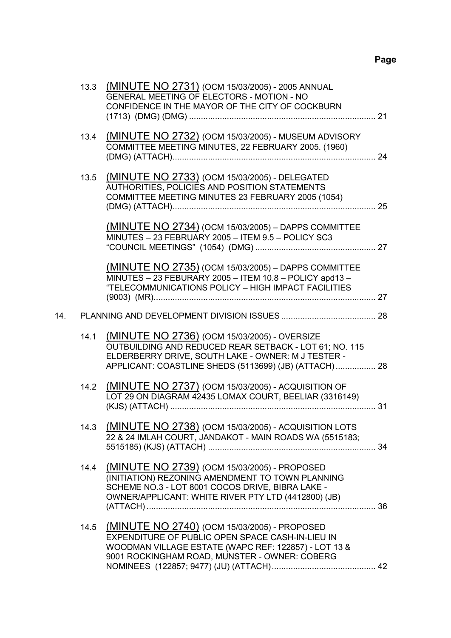|     | 13.3 | (MINUTE NO 2731) (OCM 15/03/2005) - 2005 ANNUAL<br>GENERAL MEETING OF ELECTORS - MOTION - NO<br>CONFIDENCE IN THE MAYOR OF THE CITY OF COCKBURN                                                                       |  |
|-----|------|-----------------------------------------------------------------------------------------------------------------------------------------------------------------------------------------------------------------------|--|
|     | 13.4 | (MINUTE NO 2732) (OCM 15/03/2005) - MUSEUM ADVISORY<br>COMMITTEE MEETING MINUTES, 22 FEBRUARY 2005. (1960)                                                                                                            |  |
|     | 13.5 | (MINUTE NO 2733) (OCM 15/03/2005) - DELEGATED<br>AUTHORITIES, POLICIES AND POSITION STATEMENTS<br>COMMITTEE MEETING MINUTES 23 FEBRUARY 2005 (1054)                                                                   |  |
|     |      | (MINUTE NO 2734) (OCM 15/03/2005) - DAPPS COMMITTEE<br>MINUTES - 23 FEBRUARY 2005 - ITEM 9.5 - POLICY SC3                                                                                                             |  |
|     |      | (MINUTE NO 2735) (OCM 15/03/2005) - DAPPS COMMITTEE<br>MINUTES - 23 FEBURARY 2005 - ITEM 10.8 - POLICY apd13 -<br>"TELECOMMUNICATIONS POLICY - HIGH IMPACT FACILITIES                                                 |  |
| 14. |      |                                                                                                                                                                                                                       |  |
|     | 14.1 | (MINUTE NO 2736) (OCM 15/03/2005) - OVERSIZE<br>OUTBUILDING AND REDUCED REAR SETBACK - LOT 61; NO. 115<br>ELDERBERRY DRIVE, SOUTH LAKE - OWNER: M J TESTER -<br>APPLICANT: COASTLINE SHEDS (5113699) (JB) (ATTACH) 28 |  |
|     | 14.2 | (MINUTE NO 2737) (OCM 15/03/2005) - ACQUISITION OF<br>LOT 29 ON DIAGRAM 42435 LOMAX COURT, BEELIAR (3316149)                                                                                                          |  |
|     | 14.3 | (MINUTE NO 2738) (OCM 15/03/2005) - ACQUISITION LOTS<br>22 & 24 IMLAH COURT, JANDAKOT - MAIN ROADS WA (5515183;                                                                                                       |  |
|     | 14.4 | (MINUTE NO 2739) (OCM 15/03/2005) - PROPOSED<br>(INITIATION) REZONING AMENDMENT TO TOWN PLANNING<br>SCHEME NO.3 - LOT 8001 COCOS DRIVE, BIBRA LAKE -<br>OWNER/APPLICANT: WHITE RIVER PTY LTD (4412800) (JB)           |  |
|     | 14.5 | (MINUTE NO 2740) (OCM 15/03/2005) - PROPOSED<br>EXPENDITURE OF PUBLIC OPEN SPACE CASH-IN-LIEU IN<br>WOODMAN VILLAGE ESTATE (WAPC REF: 122857) - LOT 13 &<br>9001 ROCKINGHAM ROAD, MUNSTER - OWNER: COBERG             |  |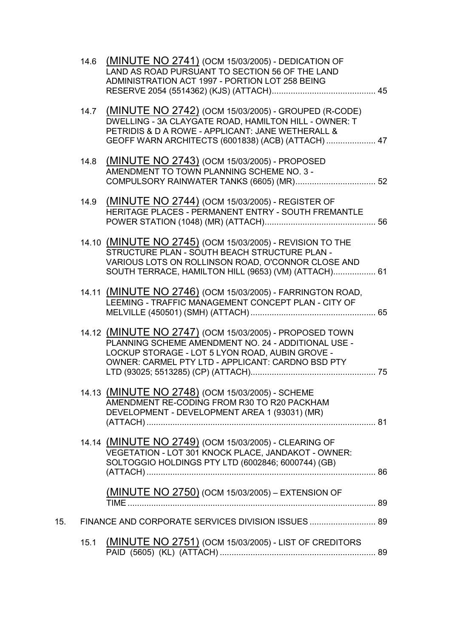|     | 14.6 | (MINUTE NO 2741) (OCM 15/03/2005) - DEDICATION OF<br>LAND AS ROAD PURSUANT TO SECTION 56 OF THE LAND<br>ADMINISTRATION ACT 1997 - PORTION LOT 258 BEING                                                                  |  |
|-----|------|--------------------------------------------------------------------------------------------------------------------------------------------------------------------------------------------------------------------------|--|
|     | 14.7 | (MINUTE NO 2742) (OCM 15/03/2005) - GROUPED (R-CODE)<br>DWELLING - 3A CLAYGATE ROAD, HAMILTON HILL - OWNER: T<br>PETRIDIS & D A ROWE - APPLICANT: JANE WETHERALL &<br>GEOFF WARN ARCHITECTS (6001838) (ACB) (ATTACH)  47 |  |
|     | 14.8 | (MINUTE NO 2743) (OCM 15/03/2005) - PROPOSED<br>AMENDMENT TO TOWN PLANNING SCHEME NO. 3 -                                                                                                                                |  |
|     | 14.9 | (MINUTE NO 2744) (OCM 15/03/2005) - REGISTER OF<br>HERITAGE PLACES - PERMANENT ENTRY - SOUTH FREMANTLE                                                                                                                   |  |
|     |      | 14.10 (MINUTE NO 2745) (OCM 15/03/2005) - REVISION TO THE<br>STRUCTURE PLAN - SOUTH BEACH STRUCTURE PLAN -<br>VARIOUS LOTS ON ROLLINSON ROAD, O'CONNOR CLOSE AND<br>SOUTH TERRACE, HAMILTON HILL (9653) (VM) (ATTACH) 61 |  |
|     |      | 14.11 (MINUTE NO 2746) (OCM 15/03/2005) - FARRINGTON ROAD,<br>LEEMING - TRAFFIC MANAGEMENT CONCEPT PLAN - CITY OF                                                                                                        |  |
|     |      | 14.12 (MINUTE NO 2747) (OCM 15/03/2005) - PROPOSED TOWN<br>PLANNING SCHEME AMENDMENT NO. 24 - ADDITIONAL USE -<br>LOCKUP STORAGE - LOT 5 LYON ROAD, AUBIN GROVE -<br>OWNER: CARMEL PTY LTD - APPLICANT: CARDNO BSD PTY   |  |
|     |      | 14.13 (MINUTE NO 2748) (OCM 15/03/2005) - SCHEME<br>AMENDMENT RE-CODING FROM R30 TO R20 PACKHAM<br>DEVELOPMENT - DEVELOPMENT AREA 1 (93031) (MR)                                                                         |  |
|     |      | 14.14 (MINUTE NO 2749) (OCM 15/03/2005) - CLEARING OF<br>VEGETATION - LOT 301 KNOCK PLACE, JANDAKOT - OWNER:<br>SOLTOGGIO HOLDINGS PTY LTD (6002846; 6000744) (GB)                                                       |  |
|     |      | <u>(MINUTE NO 2750)</u> (OCM 15/03/2005) – EXTENSION OF                                                                                                                                                                  |  |
| 15. |      | FINANCE AND CORPORATE SERVICES DIVISION ISSUES  89                                                                                                                                                                       |  |
|     | 15.1 | <b>(MINUTE NO 2751)</b> (OCM 15/03/2005) - LIST OF CREDITORS                                                                                                                                                             |  |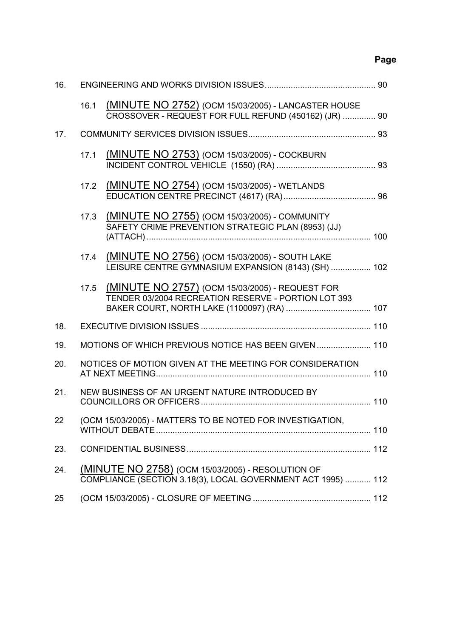# **Page**

| 16. |      |                                                                                                                          |  |
|-----|------|--------------------------------------------------------------------------------------------------------------------------|--|
|     | 16.1 | (MINUTE NO 2752) (OCM 15/03/2005) - LANCASTER HOUSE<br>CROSSOVER - REQUEST FOR FULL REFUND (450162) (JR)  90             |  |
| 17. |      |                                                                                                                          |  |
|     | 17.1 | (MINUTE NO 2753) (OCM 15/03/2005) - COCKBURN                                                                             |  |
|     | 17.2 | (MINUTE NO 2754) (OCM 15/03/2005) - WETLANDS                                                                             |  |
|     | 17.3 | (MINUTE NO 2755) (OCM 15/03/2005) - COMMUNITY<br>SAFETY CRIME PREVENTION STRATEGIC PLAN (8953) (JJ)                      |  |
|     | 17.4 | (MINUTE NO 2756) (OCM 15/03/2005) - SOUTH LAKE<br>LEISURE CENTRE GYMNASIUM EXPANSION (8143) (SH)  102                    |  |
|     | 17.5 | (MINUTE NO 2757) (OCM 15/03/2005) - REQUEST FOR<br>TENDER 03/2004 RECREATION RESERVE - PORTION LOT 393                   |  |
| 18. |      |                                                                                                                          |  |
| 19. |      | MOTIONS OF WHICH PREVIOUS NOTICE HAS BEEN GIVEN  110                                                                     |  |
| 20. |      | NOTICES OF MOTION GIVEN AT THE MEETING FOR CONSIDERATION                                                                 |  |
| 21. |      | NEW BUSINESS OF AN URGENT NATURE INTRODUCED BY                                                                           |  |
| 22  |      | (OCM 15/03/2005) - MATTERS TO BE NOTED FOR INVESTIGATION,                                                                |  |
| 23. |      |                                                                                                                          |  |
| 24. |      | <b>(MINUTE NO 2758)</b> (OCM 15/03/2005) - RESOLUTION OF<br>COMPLIANCE (SECTION 3.18(3), LOCAL GOVERNMENT ACT 1995)  112 |  |
| 25  |      |                                                                                                                          |  |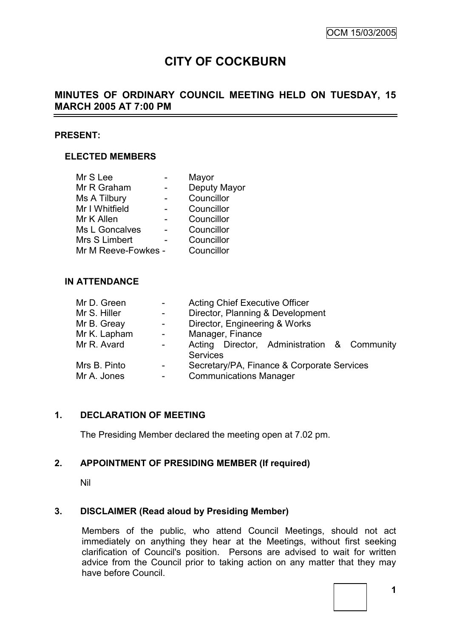# **CITY OF COCKBURN**

# **MINUTES OF ORDINARY COUNCIL MEETING HELD ON TUESDAY, 15 MARCH 2005 AT 7:00 PM**

#### **PRESENT:**

### **ELECTED MEMBERS**

| Mr S Lee            | Mayor        |
|---------------------|--------------|
| Mr R Graham         | Deputy Mayor |
| Ms A Tilbury        | Councillor   |
| Mr I Whitfield      | Councillor   |
| Mr K Allen          | Councillor   |
| Ms L Goncalves      | Councillor   |
| Mrs S Limbert       | Councillor   |
| Mr M Reeve-Fowkes - | Councillor   |
|                     |              |

#### **IN ATTENDANCE**

| Mr D. Green  |                          | <b>Acting Chief Executive Officer</b>                          |  |  |
|--------------|--------------------------|----------------------------------------------------------------|--|--|
| Mr S. Hiller | $\overline{\phantom{0}}$ | Director, Planning & Development                               |  |  |
| Mr B. Greay  | $\overline{\phantom{0}}$ | Director, Engineering & Works                                  |  |  |
| Mr K. Lapham | $\sim$                   | Manager, Finance                                               |  |  |
| Mr R. Avard  | $\blacksquare$           | Acting Director, Administration & Community<br><b>Services</b> |  |  |
| Mrs B. Pinto | $\sim$                   | Secretary/PA, Finance & Corporate Services                     |  |  |
| Mr A. Jones  | -                        | <b>Communications Manager</b>                                  |  |  |

#### **1. DECLARATION OF MEETING**

The Presiding Member declared the meeting open at 7.02 pm.

### **2. APPOINTMENT OF PRESIDING MEMBER (If required)**

Nil

#### **3. DISCLAIMER (Read aloud by Presiding Member)**

Members of the public, who attend Council Meetings, should not act immediately on anything they hear at the Meetings, without first seeking clarification of Council's position. Persons are advised to wait for written advice from the Council prior to taking action on any matter that they may have before Council.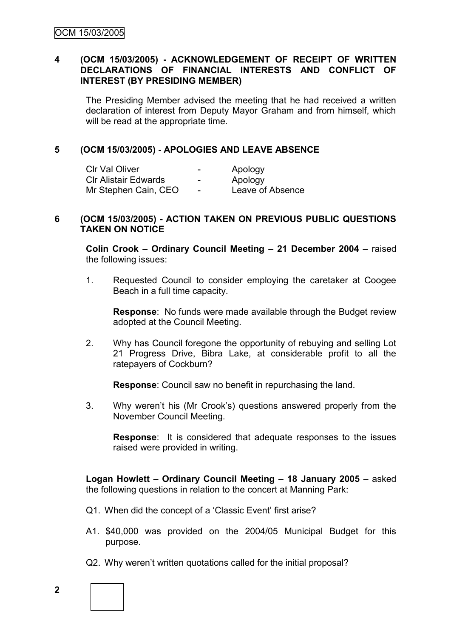### **4 (OCM 15/03/2005) - ACKNOWLEDGEMENT OF RECEIPT OF WRITTEN DECLARATIONS OF FINANCIAL INTERESTS AND CONFLICT OF INTEREST (BY PRESIDING MEMBER)**

The Presiding Member advised the meeting that he had received a written declaration of interest from Deputy Mayor Graham and from himself, which will be read at the appropriate time.

### **5 (OCM 15/03/2005) - APOLOGIES AND LEAVE ABSENCE**

| <b>CIr Val Oliver</b>       | $\,$                     | Apology          |
|-----------------------------|--------------------------|------------------|
| <b>CIr Alistair Edwards</b> | $\overline{\phantom{a}}$ | Apology          |
| Mr Stephen Cain, CEO        | $\overline{\phantom{a}}$ | Leave of Absence |

#### **6 (OCM 15/03/2005) - ACTION TAKEN ON PREVIOUS PUBLIC QUESTIONS TAKEN ON NOTICE**

**Colin Crook – Ordinary Council Meeting – 21 December 2004** – raised the following issues:

1. Requested Council to consider employing the caretaker at Coogee Beach in a full time capacity.

**Response**: No funds were made available through the Budget review adopted at the Council Meeting.

2. Why has Council foregone the opportunity of rebuying and selling Lot 21 Progress Drive, Bibra Lake, at considerable profit to all the ratepayers of Cockburn?

**Response**: Council saw no benefit in repurchasing the land.

3. Why weren"t his (Mr Crook"s) questions answered properly from the November Council Meeting.

**Response**: It is considered that adequate responses to the issues raised were provided in writing.

**Logan Howlett – Ordinary Council Meeting – 18 January 2005** – asked the following questions in relation to the concert at Manning Park:

- Q1. When did the concept of a 'Classic Event' first arise?
- A1. \$40,000 was provided on the 2004/05 Municipal Budget for this purpose.
- Q2. Why weren't written quotations called for the initial proposal?

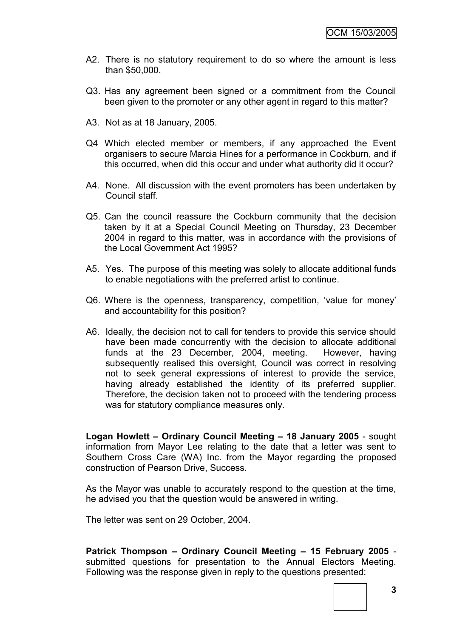- A2. There is no statutory requirement to do so where the amount is less than \$50,000.
- Q3. Has any agreement been signed or a commitment from the Council been given to the promoter or any other agent in regard to this matter?
- A3. Not as at 18 January, 2005.
- Q4 Which elected member or members, if any approached the Event organisers to secure Marcia Hines for a performance in Cockburn, and if this occurred, when did this occur and under what authority did it occur?
- A4. None. All discussion with the event promoters has been undertaken by Council staff.
- Q5. Can the council reassure the Cockburn community that the decision taken by it at a Special Council Meeting on Thursday, 23 December 2004 in regard to this matter, was in accordance with the provisions of the Local Government Act 1995?
- A5. Yes. The purpose of this meeting was solely to allocate additional funds to enable negotiations with the preferred artist to continue.
- Q6. Where is the openness, transparency, competition, "value for money" and accountability for this position?
- A6. Ideally, the decision not to call for tenders to provide this service should have been made concurrently with the decision to allocate additional funds at the 23 December, 2004, meeting. However, having subsequently realised this oversight, Council was correct in resolving not to seek general expressions of interest to provide the service, having already established the identity of its preferred supplier. Therefore, the decision taken not to proceed with the tendering process was for statutory compliance measures only.

**Logan Howlett – Ordinary Council Meeting – 18 January 2005** - sought information from Mayor Lee relating to the date that a letter was sent to Southern Cross Care (WA) Inc. from the Mayor regarding the proposed construction of Pearson Drive, Success.

As the Mayor was unable to accurately respond to the question at the time, he advised you that the question would be answered in writing.

The letter was sent on 29 October, 2004.

**Patrick Thompson – Ordinary Council Meeting – 15 February 2005** submitted questions for presentation to the Annual Electors Meeting. Following was the response given in reply to the questions presented:

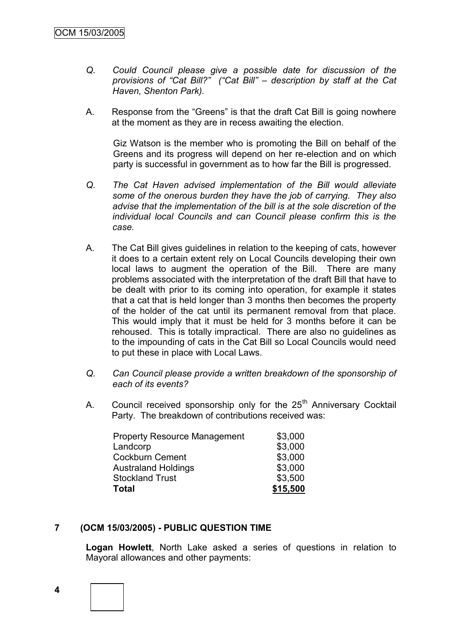- *Q. Could Council please give a possible date for discussion of the provisions of "Cat Bill?" ("Cat Bill" – description by staff at the Cat Haven, Shenton Park).*
- A. Response from the "Greens" is that the draft Cat Bill is going nowhere at the moment as they are in recess awaiting the election.

Giz Watson is the member who is promoting the Bill on behalf of the Greens and its progress will depend on her re-election and on which party is successful in government as to how far the Bill is progressed.

- *Q. The Cat Haven advised implementation of the Bill would alleviate some of the onerous burden they have the job of carrying. They also advise that the implementation of the bill is at the sole discretion of the individual local Councils and can Council please confirm this is the case.*
- A. The Cat Bill gives guidelines in relation to the keeping of cats, however it does to a certain extent rely on Local Councils developing their own local laws to augment the operation of the Bill. There are many problems associated with the interpretation of the draft Bill that have to be dealt with prior to its coming into operation, for example it states that a cat that is held longer than 3 months then becomes the property of the holder of the cat until its permanent removal from that place. This would imply that it must be held for 3 months before it can be rehoused. This is totally impractical. There are also no guidelines as to the impounding of cats in the Cat Bill so Local Councils would need to put these in place with Local Laws.
- *Q. Can Council please provide a written breakdown of the sponsorship of each of its events?*
- A. Council received sponsorship only for the 25<sup>th</sup> Anniversary Cocktail Party. The breakdown of contributions received was:

| <b>Total</b>                        | \$15,500 |
|-------------------------------------|----------|
| <b>Stockland Trust</b>              | \$3,500  |
| <b>Australand Holdings</b>          | \$3,000  |
| <b>Cockburn Cement</b>              | \$3,000  |
| Landcorp                            | \$3,000  |
| <b>Property Resource Management</b> | \$3,000  |

# **7 (OCM 15/03/2005) - PUBLIC QUESTION TIME**

**Logan Howlett**, North Lake asked a series of questions in relation to Mayoral allowances and other payments:

**4**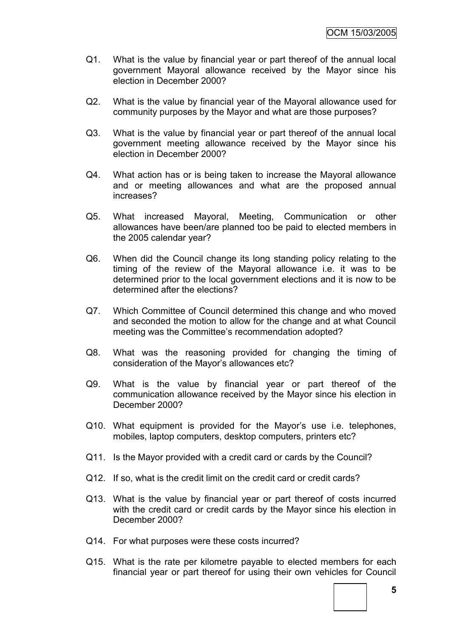- Q1. What is the value by financial year or part thereof of the annual local government Mayoral allowance received by the Mayor since his election in December 2000?
- Q2. What is the value by financial year of the Mayoral allowance used for community purposes by the Mayor and what are those purposes?
- Q3. What is the value by financial year or part thereof of the annual local government meeting allowance received by the Mayor since his election in December 2000?
- Q4. What action has or is being taken to increase the Mayoral allowance and or meeting allowances and what are the proposed annual increases?
- Q5. What increased Mayoral, Meeting, Communication or other allowances have been/are planned too be paid to elected members in the 2005 calendar year?
- Q6. When did the Council change its long standing policy relating to the timing of the review of the Mayoral allowance i.e. it was to be determined prior to the local government elections and it is now to be determined after the elections?
- Q7. Which Committee of Council determined this change and who moved and seconded the motion to allow for the change and at what Council meeting was the Committee's recommendation adopted?
- Q8. What was the reasoning provided for changing the timing of consideration of the Mayor"s allowances etc?
- Q9. What is the value by financial year or part thereof of the communication allowance received by the Mayor since his election in December 2000?
- Q10. What equipment is provided for the Mayor's use i.e. telephones, mobiles, laptop computers, desktop computers, printers etc?
- Q11. Is the Mayor provided with a credit card or cards by the Council?
- Q12. If so, what is the credit limit on the credit card or credit cards?
- Q13. What is the value by financial year or part thereof of costs incurred with the credit card or credit cards by the Mayor since his election in December 2000?
- Q14. For what purposes were these costs incurred?
- Q15. What is the rate per kilometre payable to elected members for each financial year or part thereof for using their own vehicles for Council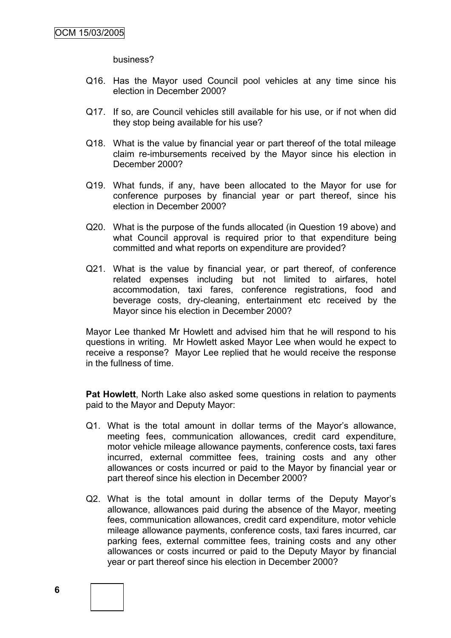business?

- Q16. Has the Mayor used Council pool vehicles at any time since his election in December 2000?
- Q17. If so, are Council vehicles still available for his use, or if not when did they stop being available for his use?
- Q18. What is the value by financial year or part thereof of the total mileage claim re-imbursements received by the Mayor since his election in December 2000?
- Q19. What funds, if any, have been allocated to the Mayor for use for conference purposes by financial year or part thereof, since his election in December 2000?
- Q20. What is the purpose of the funds allocated (in Question 19 above) and what Council approval is required prior to that expenditure being committed and what reports on expenditure are provided?
- Q21. What is the value by financial year, or part thereof, of conference related expenses including but not limited to airfares, hotel accommodation, taxi fares, conference registrations, food and beverage costs, dry-cleaning, entertainment etc received by the Mayor since his election in December 2000?

Mayor Lee thanked Mr Howlett and advised him that he will respond to his questions in writing. Mr Howlett asked Mayor Lee when would he expect to receive a response? Mayor Lee replied that he would receive the response in the fullness of time.

**Pat Howlett**, North Lake also asked some questions in relation to payments paid to the Mayor and Deputy Mayor:

- Q1. What is the total amount in dollar terms of the Mayor"s allowance, meeting fees, communication allowances, credit card expenditure, motor vehicle mileage allowance payments, conference costs, taxi fares incurred, external committee fees, training costs and any other allowances or costs incurred or paid to the Mayor by financial year or part thereof since his election in December 2000?
- Q2. What is the total amount in dollar terms of the Deputy Mayor"s allowance, allowances paid during the absence of the Mayor, meeting fees, communication allowances, credit card expenditure, motor vehicle mileage allowance payments, conference costs, taxi fares incurred, car parking fees, external committee fees, training costs and any other allowances or costs incurred or paid to the Deputy Mayor by financial year or part thereof since his election in December 2000?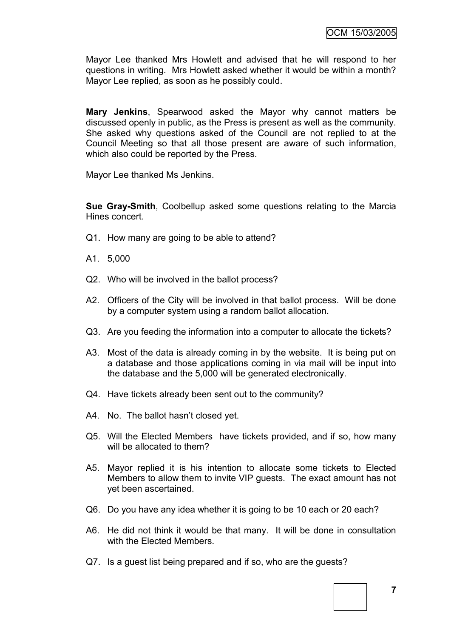Mayor Lee thanked Mrs Howlett and advised that he will respond to her questions in writing. Mrs Howlett asked whether it would be within a month? Mayor Lee replied, as soon as he possibly could.

**Mary Jenkins**, Spearwood asked the Mayor why cannot matters be discussed openly in public, as the Press is present as well as the community. She asked why questions asked of the Council are not replied to at the Council Meeting so that all those present are aware of such information, which also could be reported by the Press.

Mayor Lee thanked Ms Jenkins.

**Sue Gray-Smith**, Coolbellup asked some questions relating to the Marcia Hines concert.

- Q1. How many are going to be able to attend?
- A1. 5,000
- Q2. Who will be involved in the ballot process?
- A2. Officers of the City will be involved in that ballot process. Will be done by a computer system using a random ballot allocation.
- Q3. Are you feeding the information into a computer to allocate the tickets?
- A3. Most of the data is already coming in by the website. It is being put on a database and those applications coming in via mail will be input into the database and the 5,000 will be generated electronically.
- Q4. Have tickets already been sent out to the community?
- A4. No. The ballot hasn't closed yet.
- Q5. Will the Elected Members have tickets provided, and if so, how many will be allocated to them?
- A5. Mayor replied it is his intention to allocate some tickets to Elected Members to allow them to invite VIP guests. The exact amount has not yet been ascertained.
- Q6. Do you have any idea whether it is going to be 10 each or 20 each?
- A6. He did not think it would be that many. It will be done in consultation with the Elected Members.
- Q7. Is a guest list being prepared and if so, who are the guests?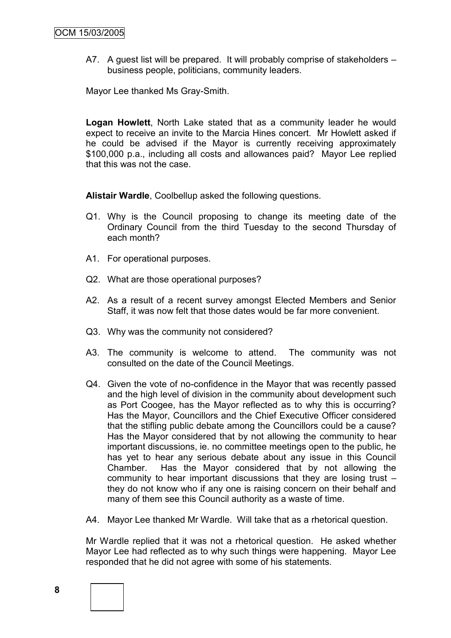A7. A guest list will be prepared. It will probably comprise of stakeholders – business people, politicians, community leaders.

Mayor Lee thanked Ms Gray-Smith.

**Logan Howlett**, North Lake stated that as a community leader he would expect to receive an invite to the Marcia Hines concert. Mr Howlett asked if he could be advised if the Mayor is currently receiving approximately \$100,000 p.a., including all costs and allowances paid? Mayor Lee replied that this was not the case.

**Alistair Wardle**, Coolbellup asked the following questions.

- Q1. Why is the Council proposing to change its meeting date of the Ordinary Council from the third Tuesday to the second Thursday of each month?
- A1. For operational purposes.
- Q2. What are those operational purposes?
- A2. As a result of a recent survey amongst Elected Members and Senior Staff, it was now felt that those dates would be far more convenient.
- Q3. Why was the community not considered?
- A3. The community is welcome to attend. The community was not consulted on the date of the Council Meetings.
- Q4. Given the vote of no-confidence in the Mayor that was recently passed and the high level of division in the community about development such as Port Coogee, has the Mayor reflected as to why this is occurring? Has the Mayor, Councillors and the Chief Executive Officer considered that the stifling public debate among the Councillors could be a cause? Has the Mayor considered that by not allowing the community to hear important discussions, ie. no committee meetings open to the public, he has yet to hear any serious debate about any issue in this Council Chamber. Has the Mayor considered that by not allowing the community to hear important discussions that they are losing trust – they do not know who if any one is raising concern on their behalf and many of them see this Council authority as a waste of time.
- A4. Mayor Lee thanked Mr Wardle. Will take that as a rhetorical question.

Mr Wardle replied that it was not a rhetorical question. He asked whether Mayor Lee had reflected as to why such things were happening. Mayor Lee responded that he did not agree with some of his statements.

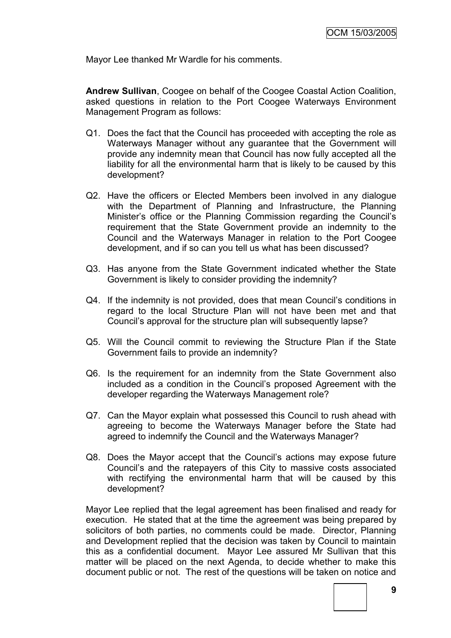Mayor Lee thanked Mr Wardle for his comments.

**Andrew Sullivan**, Coogee on behalf of the Coogee Coastal Action Coalition, asked questions in relation to the Port Coogee Waterways Environment Management Program as follows:

- Q1. Does the fact that the Council has proceeded with accepting the role as Waterways Manager without any guarantee that the Government will provide any indemnity mean that Council has now fully accepted all the liability for all the environmental harm that is likely to be caused by this development?
- Q2. Have the officers or Elected Members been involved in any dialogue with the Department of Planning and Infrastructure, the Planning Minister's office or the Planning Commission regarding the Council's requirement that the State Government provide an indemnity to the Council and the Waterways Manager in relation to the Port Coogee development, and if so can you tell us what has been discussed?
- Q3. Has anyone from the State Government indicated whether the State Government is likely to consider providing the indemnity?
- Q4. If the indemnity is not provided, does that mean Council"s conditions in regard to the local Structure Plan will not have been met and that Council"s approval for the structure plan will subsequently lapse?
- Q5. Will the Council commit to reviewing the Structure Plan if the State Government fails to provide an indemnity?
- Q6. Is the requirement for an indemnity from the State Government also included as a condition in the Council"s proposed Agreement with the developer regarding the Waterways Management role?
- Q7. Can the Mayor explain what possessed this Council to rush ahead with agreeing to become the Waterways Manager before the State had agreed to indemnify the Council and the Waterways Manager?
- Q8. Does the Mayor accept that the Council"s actions may expose future Council"s and the ratepayers of this City to massive costs associated with rectifying the environmental harm that will be caused by this development?

Mayor Lee replied that the legal agreement has been finalised and ready for execution. He stated that at the time the agreement was being prepared by solicitors of both parties, no comments could be made. Director, Planning and Development replied that the decision was taken by Council to maintain this as a confidential document. Mayor Lee assured Mr Sullivan that this matter will be placed on the next Agenda, to decide whether to make this document public or not. The rest of the questions will be taken on notice and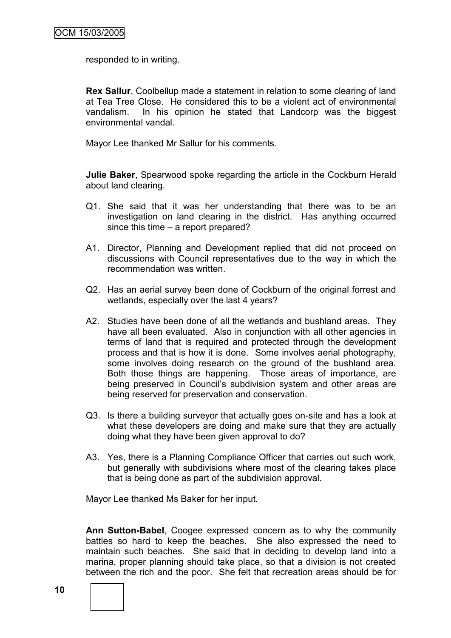responded to in writing.

**Rex Sallur**, Coolbellup made a statement in relation to some clearing of land at Tea Tree Close. He considered this to be a violent act of environmental vandalism. In his opinion he stated that Landcorp was the biggest environmental vandal.

Mayor Lee thanked Mr Sallur for his comments.

**Julie Baker**, Spearwood spoke regarding the article in the Cockburn Herald about land clearing.

- Q1. She said that it was her understanding that there was to be an investigation on land clearing in the district. Has anything occurred since this time – a report prepared?
- A1. Director, Planning and Development replied that did not proceed on discussions with Council representatives due to the way in which the recommendation was written.
- Q2. Has an aerial survey been done of Cockburn of the original forrest and wetlands, especially over the last 4 years?
- A2. Studies have been done of all the wetlands and bushland areas. They have all been evaluated. Also in conjunction with all other agencies in terms of land that is required and protected through the development process and that is how it is done. Some involves aerial photography, some involves doing research on the ground of the bushland area. Both those things are happening. Those areas of importance, are being preserved in Council's subdivision system and other areas are being reserved for preservation and conservation.
- Q3. Is there a building surveyor that actually goes on-site and has a look at what these developers are doing and make sure that they are actually doing what they have been given approval to do?
- A3. Yes, there is a Planning Compliance Officer that carries out such work, but generally with subdivisions where most of the clearing takes place that is being done as part of the subdivision approval.

Mayor Lee thanked Ms Baker for her input.

**Ann Sutton-Babel**, Coogee expressed concern as to why the community battles so hard to keep the beaches. She also expressed the need to maintain such beaches. She said that in deciding to develop land into a marina, proper planning should take place, so that a division is not created between the rich and the poor. She felt that recreation areas should be for

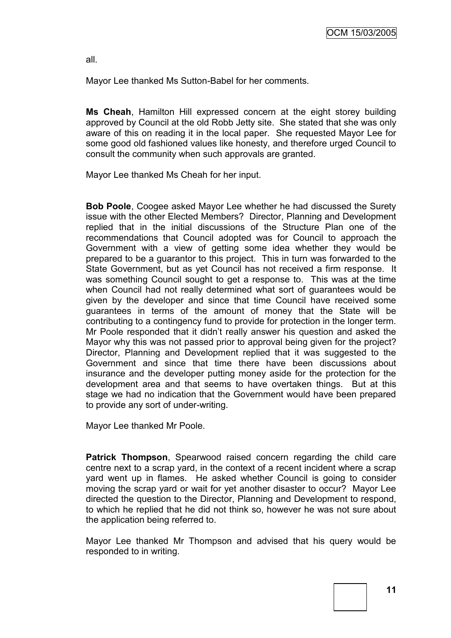all.

Mayor Lee thanked Ms Sutton-Babel for her comments.

**Ms Cheah**, Hamilton Hill expressed concern at the eight storey building approved by Council at the old Robb Jetty site. She stated that she was only aware of this on reading it in the local paper. She requested Mayor Lee for some good old fashioned values like honesty, and therefore urged Council to consult the community when such approvals are granted.

Mayor Lee thanked Ms Cheah for her input.

**Bob Poole**, Coogee asked Mayor Lee whether he had discussed the Surety issue with the other Elected Members? Director, Planning and Development replied that in the initial discussions of the Structure Plan one of the recommendations that Council adopted was for Council to approach the Government with a view of getting some idea whether they would be prepared to be a guarantor to this project. This in turn was forwarded to the State Government, but as yet Council has not received a firm response. It was something Council sought to get a response to. This was at the time when Council had not really determined what sort of guarantees would be given by the developer and since that time Council have received some guarantees in terms of the amount of money that the State will be contributing to a contingency fund to provide for protection in the longer term. Mr Poole responded that it didn"t really answer his question and asked the Mayor why this was not passed prior to approval being given for the project? Director, Planning and Development replied that it was suggested to the Government and since that time there have been discussions about insurance and the developer putting money aside for the protection for the development area and that seems to have overtaken things. But at this stage we had no indication that the Government would have been prepared to provide any sort of under-writing.

Mayor Lee thanked Mr Poole.

**Patrick Thompson**, Spearwood raised concern regarding the child care centre next to a scrap yard, in the context of a recent incident where a scrap yard went up in flames. He asked whether Council is going to consider moving the scrap yard or wait for yet another disaster to occur? Mayor Lee directed the question to the Director, Planning and Development to respond, to which he replied that he did not think so, however he was not sure about the application being referred to.

Mayor Lee thanked Mr Thompson and advised that his query would be responded to in writing.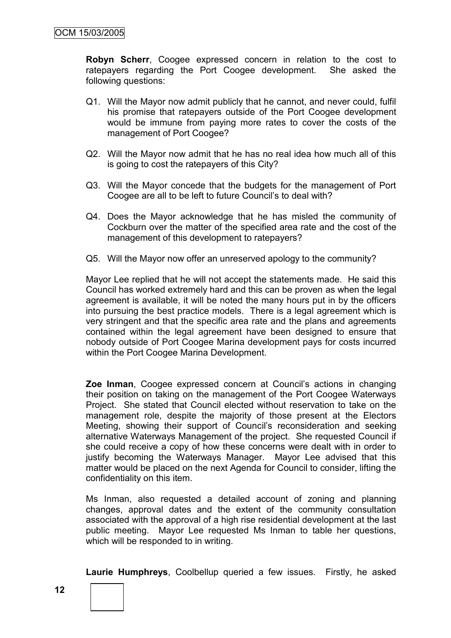**Robyn Scherr**, Coogee expressed concern in relation to the cost to ratepayers regarding the Port Coogee development. She asked the following questions:

- Q1. Will the Mayor now admit publicly that he cannot, and never could, fulfil his promise that ratepayers outside of the Port Coogee development would be immune from paying more rates to cover the costs of the management of Port Coogee?
- Q2. Will the Mayor now admit that he has no real idea how much all of this is going to cost the ratepayers of this City?
- Q3. Will the Mayor concede that the budgets for the management of Port Coogee are all to be left to future Council's to deal with?
- Q4. Does the Mayor acknowledge that he has misled the community of Cockburn over the matter of the specified area rate and the cost of the management of this development to ratepayers?
- Q5. Will the Mayor now offer an unreserved apology to the community?

Mayor Lee replied that he will not accept the statements made. He said this Council has worked extremely hard and this can be proven as when the legal agreement is available, it will be noted the many hours put in by the officers into pursuing the best practice models. There is a legal agreement which is very stringent and that the specific area rate and the plans and agreements contained within the legal agreement have been designed to ensure that nobody outside of Port Coogee Marina development pays for costs incurred within the Port Coogee Marina Development.

**Zoe Inman**, Coogee expressed concern at Council"s actions in changing their position on taking on the management of the Port Coogee Waterways Project. She stated that Council elected without reservation to take on the management role, despite the majority of those present at the Electors Meeting, showing their support of Council"s reconsideration and seeking alternative Waterways Management of the project. She requested Council if she could receive a copy of how these concerns were dealt with in order to justify becoming the Waterways Manager. Mayor Lee advised that this matter would be placed on the next Agenda for Council to consider, lifting the confidentiality on this item.

Ms Inman, also requested a detailed account of zoning and planning changes, approval dates and the extent of the community consultation associated with the approval of a high rise residential development at the last public meeting. Mayor Lee requested Ms Inman to table her questions, which will be responded to in writing.

**Laurie Humphreys**, Coolbellup queried a few issues. Firstly, he asked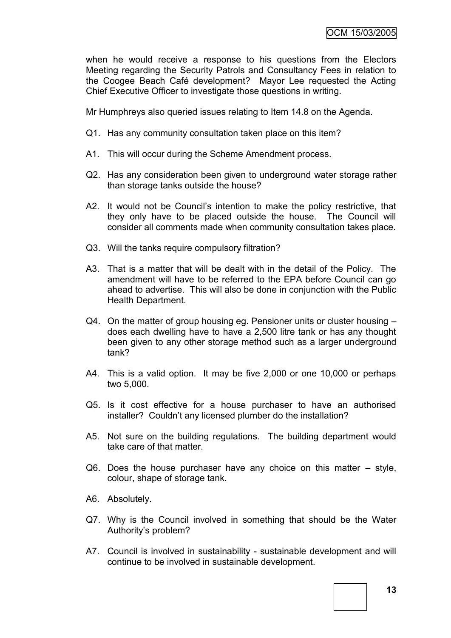when he would receive a response to his questions from the Electors Meeting regarding the Security Patrols and Consultancy Fees in relation to the Coogee Beach Café development? Mayor Lee requested the Acting Chief Executive Officer to investigate those questions in writing.

Mr Humphreys also queried issues relating to Item 14.8 on the Agenda.

- Q1. Has any community consultation taken place on this item?
- A1. This will occur during the Scheme Amendment process.
- Q2. Has any consideration been given to underground water storage rather than storage tanks outside the house?
- A2. It would not be Council's intention to make the policy restrictive, that they only have to be placed outside the house. The Council will consider all comments made when community consultation takes place.
- Q3. Will the tanks require compulsory filtration?
- A3. That is a matter that will be dealt with in the detail of the Policy. The amendment will have to be referred to the EPA before Council can go ahead to advertise. This will also be done in conjunction with the Public Health Department.
- Q4. On the matter of group housing eg. Pensioner units or cluster housing does each dwelling have to have a 2,500 litre tank or has any thought been given to any other storage method such as a larger underground tank?
- A4. This is a valid option. It may be five 2,000 or one 10,000 or perhaps two 5,000.
- Q5. Is it cost effective for a house purchaser to have an authorised installer? Couldn't any licensed plumber do the installation?
- A5. Not sure on the building regulations. The building department would take care of that matter.
- Q6. Does the house purchaser have any choice on this matter style, colour, shape of storage tank.
- A6. Absolutely.
- Q7. Why is the Council involved in something that should be the Water Authority"s problem?
- A7. Council is involved in sustainability sustainable development and will continue to be involved in sustainable development.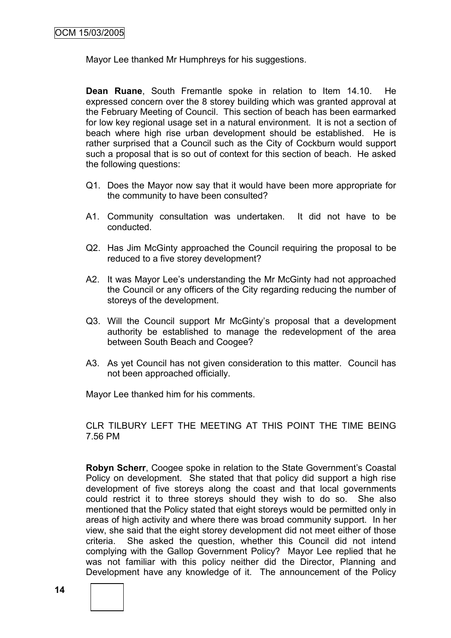Mayor Lee thanked Mr Humphreys for his suggestions.

**Dean Ruane**, South Fremantle spoke in relation to Item 14.10. He expressed concern over the 8 storey building which was granted approval at the February Meeting of Council. This section of beach has been earmarked for low key regional usage set in a natural environment. It is not a section of beach where high rise urban development should be established. He is rather surprised that a Council such as the City of Cockburn would support such a proposal that is so out of context for this section of beach. He asked the following questions:

- Q1. Does the Mayor now say that it would have been more appropriate for the community to have been consulted?
- A1. Community consultation was undertaken. It did not have to be conducted.
- Q2. Has Jim McGinty approached the Council requiring the proposal to be reduced to a five storey development?
- A2. It was Mayor Lee"s understanding the Mr McGinty had not approached the Council or any officers of the City regarding reducing the number of storeys of the development.
- Q3. Will the Council support Mr McGinty"s proposal that a development authority be established to manage the redevelopment of the area between South Beach and Coogee?
- A3. As yet Council has not given consideration to this matter. Council has not been approached officially.

Mayor Lee thanked him for his comments.

CLR TILBURY LEFT THE MEETING AT THIS POINT THE TIME BEING 7.56 PM

**Robyn Scherr**, Coogee spoke in relation to the State Government's Coastal Policy on development. She stated that that policy did support a high rise development of five storeys along the coast and that local governments could restrict it to three storeys should they wish to do so. She also mentioned that the Policy stated that eight storeys would be permitted only in areas of high activity and where there was broad community support. In her view, she said that the eight storey development did not meet either of those criteria. She asked the question, whether this Council did not intend complying with the Gallop Government Policy? Mayor Lee replied that he was not familiar with this policy neither did the Director, Planning and Development have any knowledge of it. The announcement of the Policy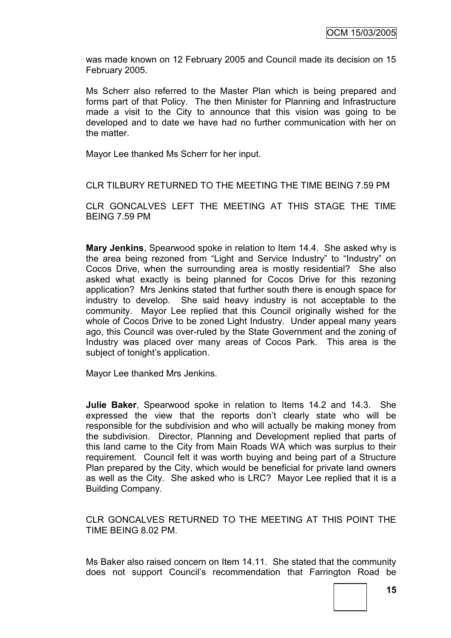was made known on 12 February 2005 and Council made its decision on 15 February 2005.

Ms Scherr also referred to the Master Plan which is being prepared and forms part of that Policy. The then Minister for Planning and Infrastructure made a visit to the City to announce that this vision was going to be developed and to date we have had no further communication with her on the matter.

Mayor Lee thanked Ms Scherr for her input.

CLR TILBURY RETURNED TO THE MEETING THE TIME BEING 7.59 PM

CLR GONCALVES LEFT THE MEETING AT THIS STAGE THE TIME BEING 7.59 PM

**Mary Jenkins**, Spearwood spoke in relation to Item 14.4. She asked why is the area being rezoned from "Light and Service Industry" to "Industry" on Cocos Drive, when the surrounding area is mostly residential? She also asked what exactly is being planned for Cocos Drive for this rezoning application? Mrs Jenkins stated that further south there is enough space for industry to develop. She said heavy industry is not acceptable to the community. Mayor Lee replied that this Council originally wished for the whole of Cocos Drive to be zoned Light Industry. Under appeal many years ago, this Council was over-ruled by the State Government and the zoning of Industry was placed over many areas of Cocos Park. This area is the subject of tonight's application.

Mayor Lee thanked Mrs Jenkins.

**Julie Baker**, Spearwood spoke in relation to Items 14.2 and 14.3. She expressed the view that the reports don"t clearly state who will be responsible for the subdivision and who will actually be making money from the subdivision. Director, Planning and Development replied that parts of this land came to the City from Main Roads WA which was surplus to their requirement. Council felt it was worth buying and being part of a Structure Plan prepared by the City, which would be beneficial for private land owners as well as the City. She asked who is LRC? Mayor Lee replied that it is a Building Company.

CLR GONCALVES RETURNED TO THE MEETING AT THIS POINT THE TIME BEING 8.02 PM.

Ms Baker also raised concern on Item 14.11. She stated that the community does not support Council"s recommendation that Farrington Road be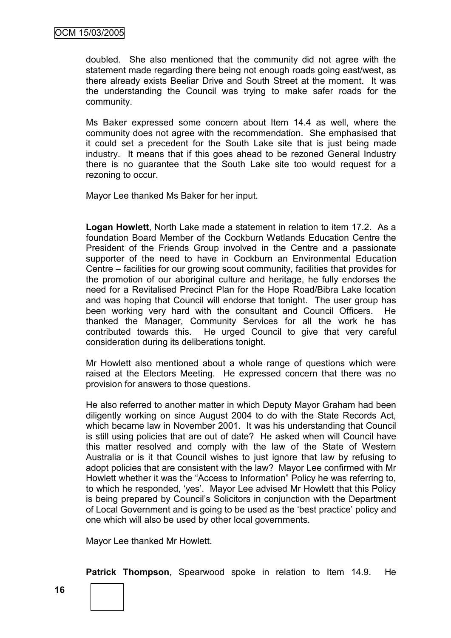doubled. She also mentioned that the community did not agree with the statement made regarding there being not enough roads going east/west, as there already exists Beeliar Drive and South Street at the moment. It was the understanding the Council was trying to make safer roads for the community.

Ms Baker expressed some concern about Item 14.4 as well, where the community does not agree with the recommendation. She emphasised that it could set a precedent for the South Lake site that is just being made industry. It means that if this goes ahead to be rezoned General Industry there is no guarantee that the South Lake site too would request for a rezoning to occur.

Mayor Lee thanked Ms Baker for her input.

**Logan Howlett**, North Lake made a statement in relation to item 17.2. As a foundation Board Member of the Cockburn Wetlands Education Centre the President of the Friends Group involved in the Centre and a passionate supporter of the need to have in Cockburn an Environmental Education Centre – facilities for our growing scout community, facilities that provides for the promotion of our aboriginal culture and heritage, he fully endorses the need for a Revitalised Precinct Plan for the Hope Road/Bibra Lake location and was hoping that Council will endorse that tonight. The user group has been working very hard with the consultant and Council Officers. He thanked the Manager, Community Services for all the work he has contributed towards this. He urged Council to give that very careful consideration during its deliberations tonight.

Mr Howlett also mentioned about a whole range of questions which were raised at the Electors Meeting. He expressed concern that there was no provision for answers to those questions.

He also referred to another matter in which Deputy Mayor Graham had been diligently working on since August 2004 to do with the State Records Act, which became law in November 2001. It was his understanding that Council is still using policies that are out of date? He asked when will Council have this matter resolved and comply with the law of the State of Western Australia or is it that Council wishes to just ignore that law by refusing to adopt policies that are consistent with the law? Mayor Lee confirmed with Mr Howlett whether it was the "Access to Information" Policy he was referring to, to which he responded, "yes". Mayor Lee advised Mr Howlett that this Policy is being prepared by Council"s Solicitors in conjunction with the Department of Local Government and is going to be used as the "best practice" policy and one which will also be used by other local governments.

Mayor Lee thanked Mr Howlett.

**Patrick Thompson**, Spearwood spoke in relation to Item 14.9. He

**16**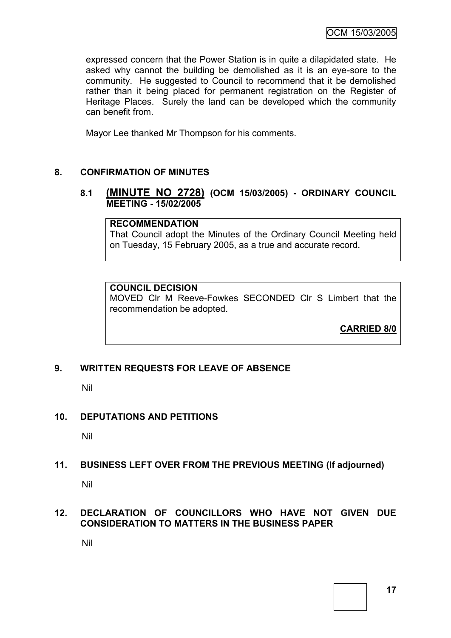expressed concern that the Power Station is in quite a dilapidated state. He asked why cannot the building be demolished as it is an eye-sore to the community. He suggested to Council to recommend that it be demolished rather than it being placed for permanent registration on the Register of Heritage Places. Surely the land can be developed which the community can benefit from.

Mayor Lee thanked Mr Thompson for his comments.

#### **8. CONFIRMATION OF MINUTES**

#### **8.1 (MINUTE NO 2728) (OCM 15/03/2005) - ORDINARY COUNCIL MEETING - 15/02/2005**

#### **RECOMMENDATION**

That Council adopt the Minutes of the Ordinary Council Meeting held on Tuesday, 15 February 2005, as a true and accurate record.

#### **COUNCIL DECISION**

MOVED Clr M Reeve-Fowkes SECONDED Clr S Limbert that the recommendation be adopted.

**CARRIED 8/0**

#### **9. WRITTEN REQUESTS FOR LEAVE OF ABSENCE**

Nil

#### **10. DEPUTATIONS AND PETITIONS**

Nil

#### **11. BUSINESS LEFT OVER FROM THE PREVIOUS MEETING (If adjourned)**

Nil

#### **12. DECLARATION OF COUNCILLORS WHO HAVE NOT GIVEN DUE CONSIDERATION TO MATTERS IN THE BUSINESS PAPER**

Nil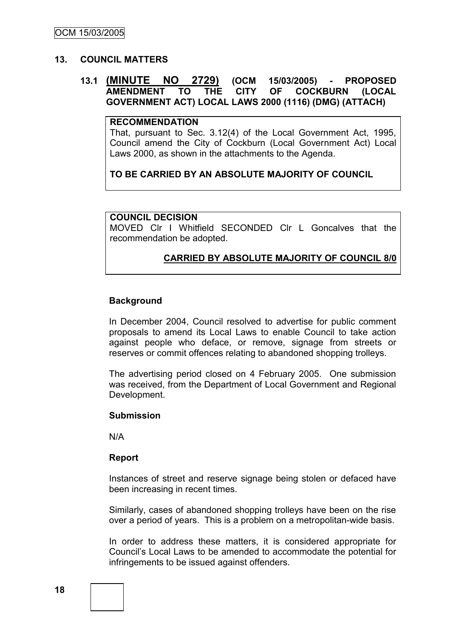#### **13. COUNCIL MATTERS**

#### **13.1 (MINUTE NO 2729) (OCM 15/03/2005) - PROPOSED AMENDMENT TO THE CITY OF COCKBURN (LOCAL GOVERNMENT ACT) LOCAL LAWS 2000 (1116) (DMG) (ATTACH)**

#### **RECOMMENDATION**

That, pursuant to Sec. 3.12(4) of the Local Government Act, 1995, Council amend the City of Cockburn (Local Government Act) Local Laws 2000, as shown in the attachments to the Agenda.

#### **TO BE CARRIED BY AN ABSOLUTE MAJORITY OF COUNCIL**

#### **COUNCIL DECISION**

MOVED Clr I Whitfield SECONDED Clr L Goncalves that the recommendation be adopted.

### **CARRIED BY ABSOLUTE MAJORITY OF COUNCIL 8/0**

#### **Background**

In December 2004, Council resolved to advertise for public comment proposals to amend its Local Laws to enable Council to take action against people who deface, or remove, signage from streets or reserves or commit offences relating to abandoned shopping trolleys.

The advertising period closed on 4 February 2005. One submission was received, from the Department of Local Government and Regional Development.

#### **Submission**

N/A

#### **Report**

Instances of street and reserve signage being stolen or defaced have been increasing in recent times.

Similarly, cases of abandoned shopping trolleys have been on the rise over a period of years. This is a problem on a metropolitan-wide basis.

In order to address these matters, it is considered appropriate for Council"s Local Laws to be amended to accommodate the potential for infringements to be issued against offenders.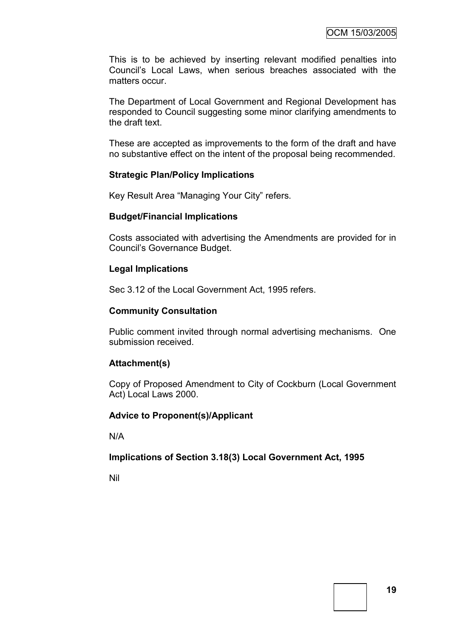This is to be achieved by inserting relevant modified penalties into Council"s Local Laws, when serious breaches associated with the matters occur.

The Department of Local Government and Regional Development has responded to Council suggesting some minor clarifying amendments to the draft text.

These are accepted as improvements to the form of the draft and have no substantive effect on the intent of the proposal being recommended.

#### **Strategic Plan/Policy Implications**

Key Result Area "Managing Your City" refers.

#### **Budget/Financial Implications**

Costs associated with advertising the Amendments are provided for in Council"s Governance Budget.

#### **Legal Implications**

Sec 3.12 of the Local Government Act, 1995 refers.

#### **Community Consultation**

Public comment invited through normal advertising mechanisms. One submission received.

#### **Attachment(s)**

Copy of Proposed Amendment to City of Cockburn (Local Government Act) Local Laws 2000.

#### **Advice to Proponent(s)/Applicant**

N/A

#### **Implications of Section 3.18(3) Local Government Act, 1995**

Nil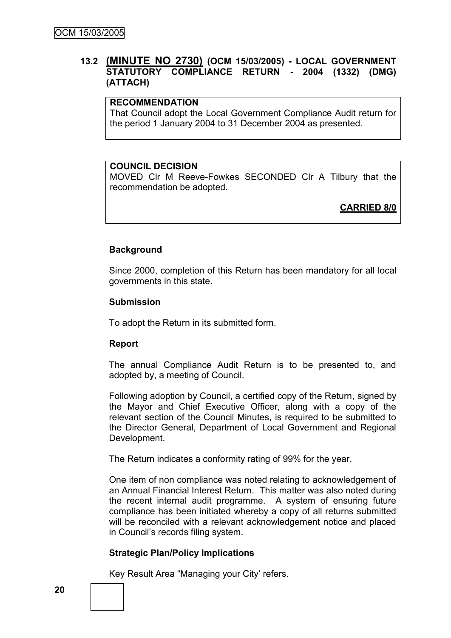### **13.2 (MINUTE NO 2730) (OCM 15/03/2005) - LOCAL GOVERNMENT STATUTORY COMPLIANCE RETURN - 2004 (1332) (DMG) (ATTACH)**

#### **RECOMMENDATION**

That Council adopt the Local Government Compliance Audit return for the period 1 January 2004 to 31 December 2004 as presented.

#### **COUNCIL DECISION**

MOVED Clr M Reeve-Fowkes SECONDED Clr A Tilbury that the recommendation be adopted.

**CARRIED 8/0**

#### **Background**

Since 2000, completion of this Return has been mandatory for all local governments in this state.

#### **Submission**

To adopt the Return in its submitted form.

#### **Report**

The annual Compliance Audit Return is to be presented to, and adopted by, a meeting of Council.

Following adoption by Council, a certified copy of the Return, signed by the Mayor and Chief Executive Officer, along with a copy of the relevant section of the Council Minutes, is required to be submitted to the Director General, Department of Local Government and Regional Development.

The Return indicates a conformity rating of 99% for the year.

One item of non compliance was noted relating to acknowledgement of an Annual Financial Interest Return. This matter was also noted during the recent internal audit programme. A system of ensuring future compliance has been initiated whereby a copy of all returns submitted will be reconciled with a relevant acknowledgement notice and placed in Council"s records filing system.

#### **Strategic Plan/Policy Implications**

Key Result Area "Managing your City' refers.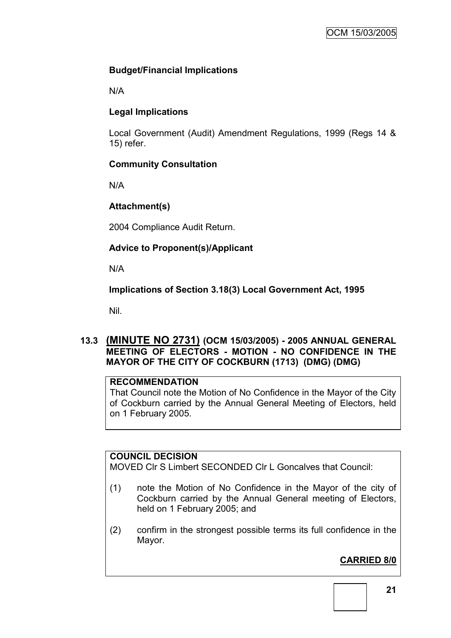# **Budget/Financial Implications**

N/A

# **Legal Implications**

Local Government (Audit) Amendment Regulations, 1999 (Regs 14 & 15) refer.

# **Community Consultation**

N/A

# **Attachment(s)**

2004 Compliance Audit Return.

# **Advice to Proponent(s)/Applicant**

N/A

# **Implications of Section 3.18(3) Local Government Act, 1995**

Nil.

# **13.3 (MINUTE NO 2731) (OCM 15/03/2005) - 2005 ANNUAL GENERAL MEETING OF ELECTORS - MOTION - NO CONFIDENCE IN THE MAYOR OF THE CITY OF COCKBURN (1713) (DMG) (DMG)**

# **RECOMMENDATION**

That Council note the Motion of No Confidence in the Mayor of the City of Cockburn carried by the Annual General Meeting of Electors, held on 1 February 2005.

# **COUNCIL DECISION**

MOVED Clr S Limbert SECONDED Clr L Goncalves that Council:

- (1) note the Motion of No Confidence in the Mayor of the city of Cockburn carried by the Annual General meeting of Electors, held on 1 February 2005; and
- (2) confirm in the strongest possible terms its full confidence in the Mayor.

# **CARRIED 8/0**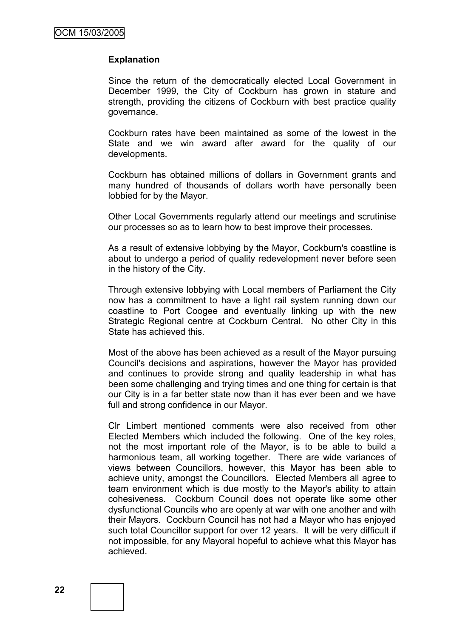#### **Explanation**

Since the return of the democratically elected Local Government in December 1999, the City of Cockburn has grown in stature and strength, providing the citizens of Cockburn with best practice quality governance.

Cockburn rates have been maintained as some of the lowest in the State and we win award after award for the quality of our developments.

Cockburn has obtained millions of dollars in Government grants and many hundred of thousands of dollars worth have personally been lobbied for by the Mayor.

Other Local Governments regularly attend our meetings and scrutinise our processes so as to learn how to best improve their processes.

As a result of extensive lobbying by the Mayor, Cockburn's coastline is about to undergo a period of quality redevelopment never before seen in the history of the City.

Through extensive lobbying with Local members of Parliament the City now has a commitment to have a light rail system running down our coastline to Port Coogee and eventually linking up with the new Strategic Regional centre at Cockburn Central. No other City in this State has achieved this.

Most of the above has been achieved as a result of the Mayor pursuing Council's decisions and aspirations, however the Mayor has provided and continues to provide strong and quality leadership in what has been some challenging and trying times and one thing for certain is that our City is in a far better state now than it has ever been and we have full and strong confidence in our Mayor.

Clr Limbert mentioned comments were also received from other Elected Members which included the following. One of the key roles, not the most important role of the Mayor, is to be able to build a harmonious team, all working together. There are wide variances of views between Councillors, however, this Mayor has been able to achieve unity, amongst the Councillors. Elected Members all agree to team environment which is due mostly to the Mayor's ability to attain cohesiveness. Cockburn Council does not operate like some other dysfunctional Councils who are openly at war with one another and with their Mayors. Cockburn Council has not had a Mayor who has enjoyed such total Councillor support for over 12 years. It will be very difficult if not impossible, for any Mayoral hopeful to achieve what this Mayor has achieved.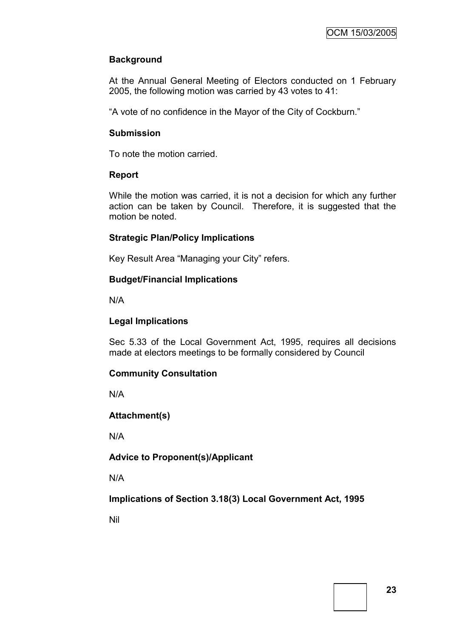# **Background**

At the Annual General Meeting of Electors conducted on 1 February 2005, the following motion was carried by 43 votes to 41:

"A vote of no confidence in the Mayor of the City of Cockburn."

#### **Submission**

To note the motion carried.

#### **Report**

While the motion was carried, it is not a decision for which any further action can be taken by Council. Therefore, it is suggested that the motion be noted.

#### **Strategic Plan/Policy Implications**

Key Result Area "Managing your City" refers.

#### **Budget/Financial Implications**

N/A

### **Legal Implications**

Sec 5.33 of the Local Government Act, 1995, requires all decisions made at electors meetings to be formally considered by Council

#### **Community Consultation**

N/A

**Attachment(s)**

N/A

# **Advice to Proponent(s)/Applicant**

N/A

**Implications of Section 3.18(3) Local Government Act, 1995**

Nil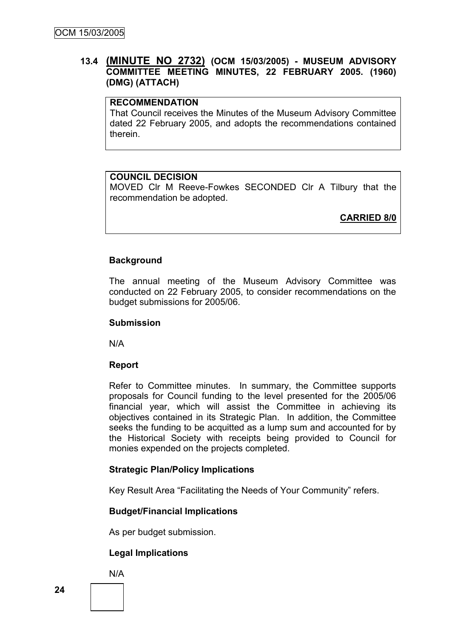### **13.4 (MINUTE NO 2732) (OCM 15/03/2005) - MUSEUM ADVISORY COMMITTEE MEETING MINUTES, 22 FEBRUARY 2005. (1960) (DMG) (ATTACH)**

#### **RECOMMENDATION**

That Council receives the Minutes of the Museum Advisory Committee dated 22 February 2005, and adopts the recommendations contained therein.

#### **COUNCIL DECISION**

MOVED Clr M Reeve-Fowkes SECONDED Clr A Tilbury that the recommendation be adopted.

**CARRIED 8/0**

#### **Background**

The annual meeting of the Museum Advisory Committee was conducted on 22 February 2005, to consider recommendations on the budget submissions for 2005/06.

#### **Submission**

N/A

#### **Report**

Refer to Committee minutes. In summary, the Committee supports proposals for Council funding to the level presented for the 2005/06 financial year, which will assist the Committee in achieving its objectives contained in its Strategic Plan. In addition, the Committee seeks the funding to be acquitted as a lump sum and accounted for by the Historical Society with receipts being provided to Council for monies expended on the projects completed.

#### **Strategic Plan/Policy Implications**

Key Result Area "Facilitating the Needs of Your Community" refers.

#### **Budget/Financial Implications**

As per budget submission.

#### **Legal Implications**

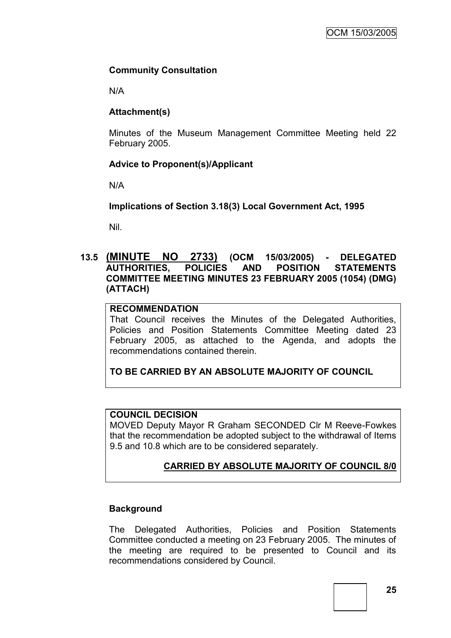### **Community Consultation**

N/A

### **Attachment(s)**

Minutes of the Museum Management Committee Meeting held 22 February 2005.

### **Advice to Proponent(s)/Applicant**

N/A

### **Implications of Section 3.18(3) Local Government Act, 1995**

Nil.

### **13.5 (MINUTE NO 2733) (OCM 15/03/2005) - DELEGATED AUTHORITIES, POLICIES AND POSITION STATEMENTS COMMITTEE MEETING MINUTES 23 FEBRUARY 2005 (1054) (DMG) (ATTACH)**

#### **RECOMMENDATION**

That Council receives the Minutes of the Delegated Authorities, Policies and Position Statements Committee Meeting dated 23 February 2005, as attached to the Agenda, and adopts the recommendations contained therein.

**TO BE CARRIED BY AN ABSOLUTE MAJORITY OF COUNCIL**

#### **COUNCIL DECISION**

MOVED Deputy Mayor R Graham SECONDED Clr M Reeve-Fowkes that the recommendation be adopted subject to the withdrawal of Items 9.5 and 10.8 which are to be considered separately.

# **CARRIED BY ABSOLUTE MAJORITY OF COUNCIL 8/0**

#### **Background**

The Delegated Authorities, Policies and Position Statements Committee conducted a meeting on 23 February 2005. The minutes of the meeting are required to be presented to Council and its recommendations considered by Council.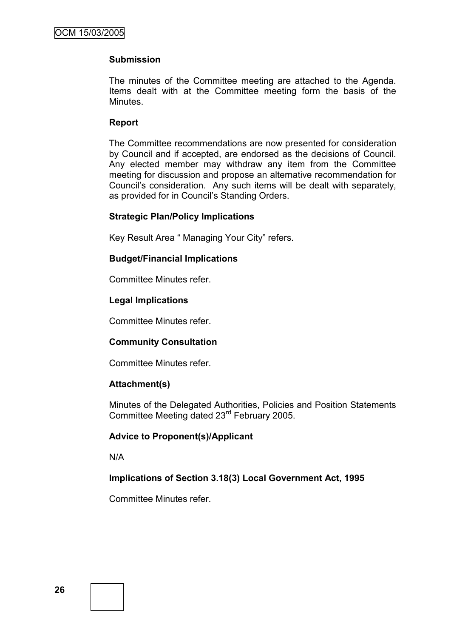### **Submission**

The minutes of the Committee meeting are attached to the Agenda. Items dealt with at the Committee meeting form the basis of the Minutes.

#### **Report**

The Committee recommendations are now presented for consideration by Council and if accepted, are endorsed as the decisions of Council. Any elected member may withdraw any item from the Committee meeting for discussion and propose an alternative recommendation for Council"s consideration. Any such items will be dealt with separately, as provided for in Council"s Standing Orders.

#### **Strategic Plan/Policy Implications**

Key Result Area " Managing Your City" refers.

#### **Budget/Financial Implications**

Committee Minutes refer.

#### **Legal Implications**

Committee Minutes refer.

#### **Community Consultation**

Committee Minutes refer.

#### **Attachment(s)**

Minutes of the Delegated Authorities, Policies and Position Statements Committee Meeting dated 23<sup>rd</sup> February 2005.

#### **Advice to Proponent(s)/Applicant**

N/A

#### **Implications of Section 3.18(3) Local Government Act, 1995**

Committee Minutes refer.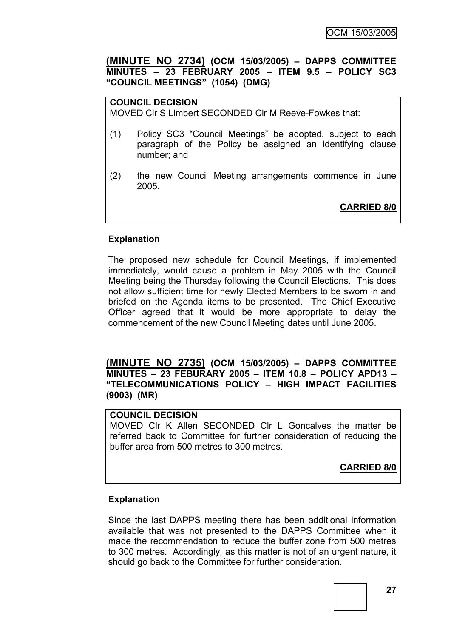**(MINUTE NO 2734) (OCM 15/03/2005) – DAPPS COMMITTEE MINUTES – 23 FEBRUARY 2005 – ITEM 9.5 – POLICY SC3 "COUNCIL MEETINGS" (1054) (DMG)**

# **COUNCIL DECISION**

MOVED Clr S Limbert SECONDED Clr M Reeve-Fowkes that:

- (1) Policy SC3 "Council Meetings" be adopted, subject to each paragraph of the Policy be assigned an identifying clause number; and
- (2) the new Council Meeting arrangements commence in June 2005.

**CARRIED 8/0**

#### **Explanation**

The proposed new schedule for Council Meetings, if implemented immediately, would cause a problem in May 2005 with the Council Meeting being the Thursday following the Council Elections. This does not allow sufficient time for newly Elected Members to be sworn in and briefed on the Agenda items to be presented. The Chief Executive Officer agreed that it would be more appropriate to delay the commencement of the new Council Meeting dates until June 2005.

**(MINUTE NO 2735) (OCM 15/03/2005) – DAPPS COMMITTEE MINUTES – 23 FEBURARY 2005 – ITEM 10.8 – POLICY APD13 – "TELECOMMUNICATIONS POLICY – HIGH IMPACT FACILITIES (9003) (MR)**

#### **COUNCIL DECISION**

MOVED Clr K Allen SECONDED Clr L Goncalves the matter be referred back to Committee for further consideration of reducing the buffer area from 500 metres to 300 metres.

**CARRIED 8/0**

#### **Explanation**

Since the last DAPPS meeting there has been additional information available that was not presented to the DAPPS Committee when it made the recommendation to reduce the buffer zone from 500 metres to 300 metres. Accordingly, as this matter is not of an urgent nature, it should go back to the Committee for further consideration.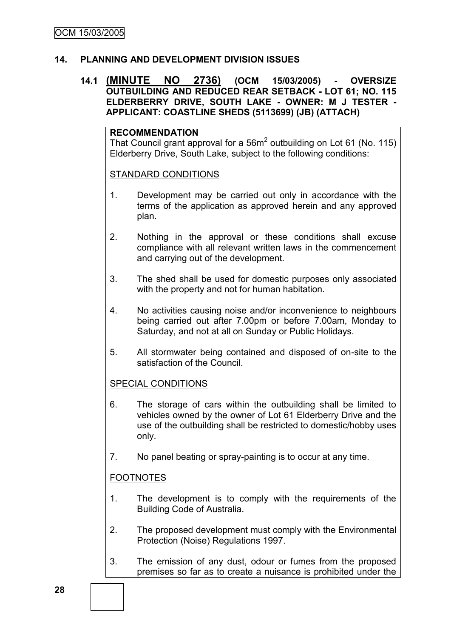### **14. PLANNING AND DEVELOPMENT DIVISION ISSUES**

### **14.1 (MINUTE NO 2736) (OCM 15/03/2005) - OVERSIZE OUTBUILDING AND REDUCED REAR SETBACK - LOT 61; NO. 115 ELDERBERRY DRIVE, SOUTH LAKE - OWNER: M J TESTER - APPLICANT: COASTLINE SHEDS (5113699) (JB) (ATTACH)**

#### **RECOMMENDATION**

That Council grant approval for a 56 $m^2$  outbuilding on Lot 61 (No. 115) Elderberry Drive, South Lake, subject to the following conditions:

### STANDARD CONDITIONS

- 1. Development may be carried out only in accordance with the terms of the application as approved herein and any approved plan.
- 2. Nothing in the approval or these conditions shall excuse compliance with all relevant written laws in the commencement and carrying out of the development.
- 3. The shed shall be used for domestic purposes only associated with the property and not for human habitation.
- 4. No activities causing noise and/or inconvenience to neighbours being carried out after 7.00pm or before 7.00am, Monday to Saturday, and not at all on Sunday or Public Holidays.
- 5. All stormwater being contained and disposed of on-site to the satisfaction of the Council.

# SPECIAL CONDITIONS

- 6. The storage of cars within the outbuilding shall be limited to vehicles owned by the owner of Lot 61 Elderberry Drive and the use of the outbuilding shall be restricted to domestic/hobby uses only.
- 7. No panel beating or spray-painting is to occur at any time.

# **FOOTNOTES**

- 1. The development is to comply with the requirements of the Building Code of Australia.
- 2. The proposed development must comply with the Environmental Protection (Noise) Regulations 1997.
- 3. The emission of any dust, odour or fumes from the proposed premises so far as to create a nuisance is prohibited under the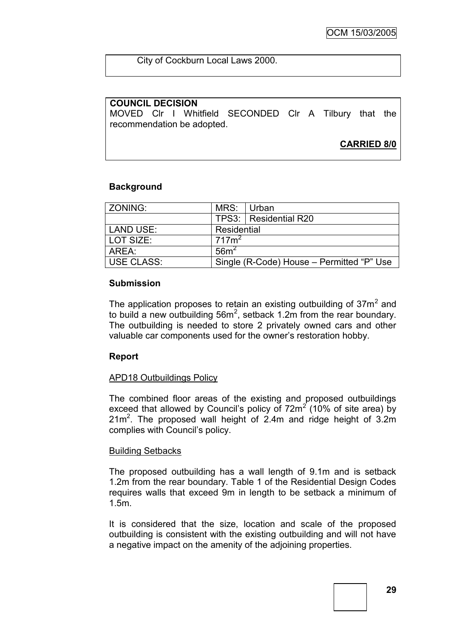City of Cockburn Local Laws 2000.

### **COUNCIL DECISION**

MOVED Clr I Whitfield SECONDED Clr A Tilbury that the recommendation be adopted.

**CARRIED 8/0**

#### **Background**

| ZONING:    | MRS:<br>∣Urban                            |                         |
|------------|-------------------------------------------|-------------------------|
|            |                                           | TPS3:   Residential R20 |
| LAND USE:  | Residential                               |                         |
| LOT SIZE:  | 717m <sup>2</sup>                         |                         |
| ARFA :     | 56m <sup>2</sup>                          |                         |
| USE CLASS: | Single (R-Code) House – Permitted "P" Use |                         |

#### **Submission**

The application proposes to retain an existing outbuilding of  $37m^2$  and to build a new outbuilding  $56m^2$ , setback 1.2m from the rear boundary. The outbuilding is needed to store 2 privately owned cars and other valuable car components used for the owner"s restoration hobby.

#### **Report**

#### APD18 Outbuildings Policy

The combined floor areas of the existing and proposed outbuildings exceed that allowed by Council's policy of  $72m^2$  (10% of site area) by  $21m<sup>2</sup>$ . The proposed wall height of 2.4m and ridge height of 3.2m complies with Council"s policy.

#### Building Setbacks

The proposed outbuilding has a wall length of 9.1m and is setback 1.2m from the rear boundary. Table 1 of the Residential Design Codes requires walls that exceed 9m in length to be setback a minimum of 1.5m.

It is considered that the size, location and scale of the proposed outbuilding is consistent with the existing outbuilding and will not have a negative impact on the amenity of the adjoining properties.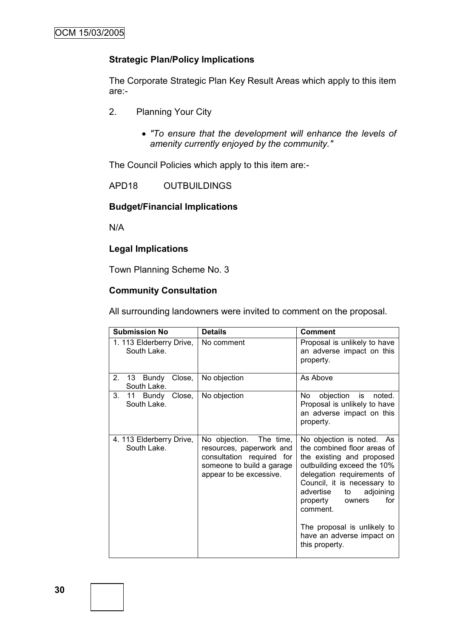### **Strategic Plan/Policy Implications**

The Corporate Strategic Plan Key Result Areas which apply to this item are:-

- 2. Planning Your City
	- *"To ensure that the development will enhance the levels of amenity currently enjoyed by the community."*

The Council Policies which apply to this item are:-

APD18 OUTBUILDINGS

#### **Budget/Financial Implications**

N/A

# **Legal Implications**

Town Planning Scheme No. 3

# **Community Consultation**

All surrounding landowners were invited to comment on the proposal.

| <b>Submission No</b>                    | <b>Details</b>                                                                                                                           | <b>Comment</b>                                                                                                                                                                                                                                                                                                                          |
|-----------------------------------------|------------------------------------------------------------------------------------------------------------------------------------------|-----------------------------------------------------------------------------------------------------------------------------------------------------------------------------------------------------------------------------------------------------------------------------------------------------------------------------------------|
| 1. 113 Elderberry Drive,<br>South Lake. | No comment                                                                                                                               | Proposal is unlikely to have<br>an adverse impact on this<br>property.                                                                                                                                                                                                                                                                  |
| 2.<br>13 Bundy<br>Close,<br>South Lake. | No objection                                                                                                                             | As Above                                                                                                                                                                                                                                                                                                                                |
| 3.<br>11 Bundy Close,<br>South Lake.    | No objection                                                                                                                             | objection is noted.<br>No<br>Proposal is unlikely to have<br>an adverse impact on this<br>property.                                                                                                                                                                                                                                     |
| 4. 113 Elderberry Drive,<br>South Lake. | No objection. The time,<br>resources, paperwork and<br>consultation required for<br>someone to build a garage<br>appear to be excessive. | No objection is noted. As<br>the combined floor areas of<br>the existing and proposed<br>outbuilding exceed the 10%<br>delegation requirements of<br>Council, it is necessary to<br>advertise<br>adjoining<br>to<br>for<br>property<br>owners<br>comment.<br>The proposal is unlikely to<br>have an adverse impact on<br>this property. |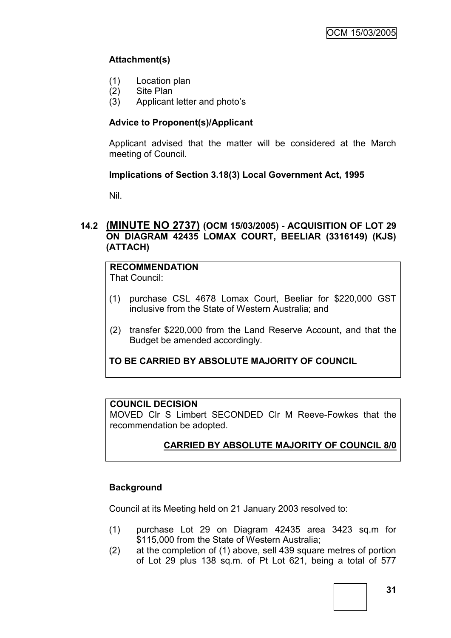# **Attachment(s)**

- (1) Location plan
- (2) Site Plan
- (3) Applicant letter and photo"s

# **Advice to Proponent(s)/Applicant**

Applicant advised that the matter will be considered at the March meeting of Council.

### **Implications of Section 3.18(3) Local Government Act, 1995**

Nil.

### **14.2 (MINUTE NO 2737) (OCM 15/03/2005) - ACQUISITION OF LOT 29 ON DIAGRAM 42435 LOMAX COURT, BEELIAR (3316149) (KJS) (ATTACH)**

#### **RECOMMENDATION** That Council:

- (1) purchase CSL 4678 Lomax Court, Beeliar for \$220,000 GST inclusive from the State of Western Australia; and
- (2) transfer \$220,000 from the Land Reserve Account**,** and that the Budget be amended accordingly.

**TO BE CARRIED BY ABSOLUTE MAJORITY OF COUNCIL**

#### **COUNCIL DECISION**

MOVED Clr S Limbert SECONDED Clr M Reeve-Fowkes that the recommendation be adopted.

# **CARRIED BY ABSOLUTE MAJORITY OF COUNCIL 8/0**

# **Background**

Council at its Meeting held on 21 January 2003 resolved to:

- (1) purchase Lot 29 on Diagram 42435 area 3423 sq.m for \$115,000 from the State of Western Australia;
- (2) at the completion of (1) above, sell 439 square metres of portion of Lot 29 plus 138 sq.m. of Pt Lot 621, being a total of 577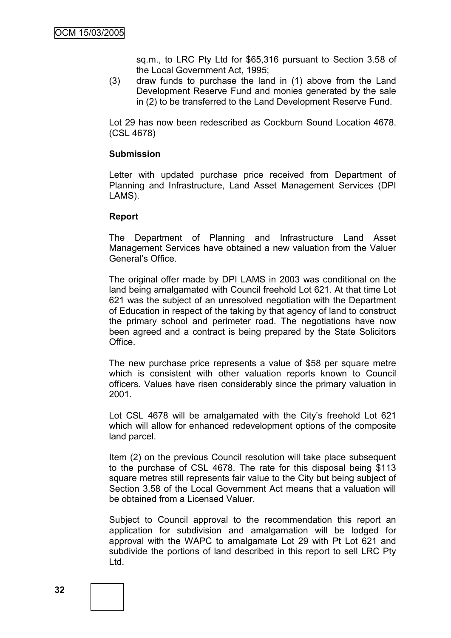sq.m., to LRC Pty Ltd for \$65,316 pursuant to Section 3.58 of the Local Government Act, 1995;

(3) draw funds to purchase the land in (1) above from the Land Development Reserve Fund and monies generated by the sale in (2) to be transferred to the Land Development Reserve Fund.

Lot 29 has now been redescribed as Cockburn Sound Location 4678. (CSL 4678)

#### **Submission**

Letter with updated purchase price received from Department of Planning and Infrastructure, Land Asset Management Services (DPI LAMS).

#### **Report**

The Department of Planning and Infrastructure Land Asset Management Services have obtained a new valuation from the Valuer General"s Office.

The original offer made by DPI LAMS in 2003 was conditional on the land being amalgamated with Council freehold Lot 621. At that time Lot 621 was the subject of an unresolved negotiation with the Department of Education in respect of the taking by that agency of land to construct the primary school and perimeter road. The negotiations have now been agreed and a contract is being prepared by the State Solicitors Office.

The new purchase price represents a value of \$58 per square metre which is consistent with other valuation reports known to Council officers. Values have risen considerably since the primary valuation in 2001.

Lot CSL 4678 will be amalgamated with the City's freehold Lot 621 which will allow for enhanced redevelopment options of the composite land parcel.

Item (2) on the previous Council resolution will take place subsequent to the purchase of CSL 4678. The rate for this disposal being \$113 square metres still represents fair value to the City but being subject of Section 3.58 of the Local Government Act means that a valuation will be obtained from a Licensed Valuer.

Subject to Council approval to the recommendation this report an application for subdivision and amalgamation will be lodged for approval with the WAPC to amalgamate Lot 29 with Pt Lot 621 and subdivide the portions of land described in this report to sell LRC Pty Ltd.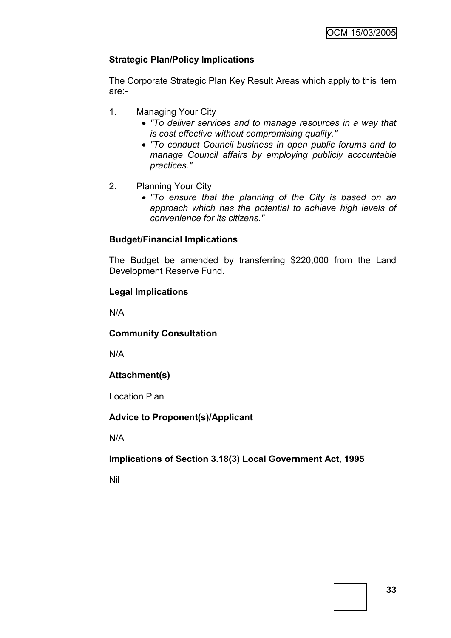# **Strategic Plan/Policy Implications**

The Corporate Strategic Plan Key Result Areas which apply to this item are:-

- 1. Managing Your City
	- *"To deliver services and to manage resources in a way that is cost effective without compromising quality."*
	- *"To conduct Council business in open public forums and to manage Council affairs by employing publicly accountable practices."*
- 2. Planning Your City
	- *"To ensure that the planning of the City is based on an approach which has the potential to achieve high levels of convenience for its citizens."*

# **Budget/Financial Implications**

The Budget be amended by transferring \$220,000 from the Land Development Reserve Fund.

# **Legal Implications**

N/A

# **Community Consultation**

N/A

# **Attachment(s)**

Location Plan

# **Advice to Proponent(s)/Applicant**

N/A

# **Implications of Section 3.18(3) Local Government Act, 1995**

Nil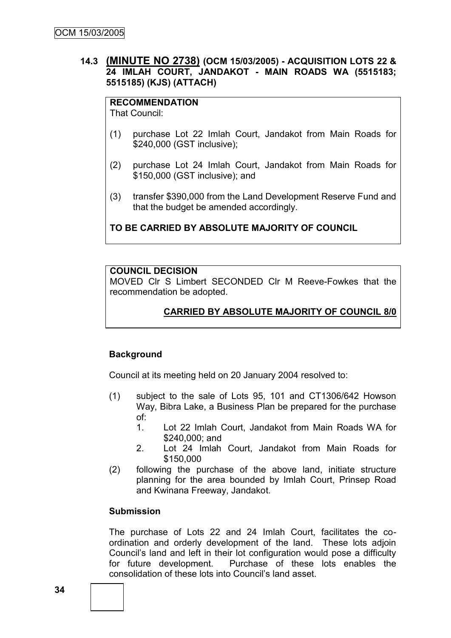# **14.3 (MINUTE NO 2738) (OCM 15/03/2005) - ACQUISITION LOTS 22 & 24 IMLAH COURT, JANDAKOT - MAIN ROADS WA (5515183; 5515185) (KJS) (ATTACH)**

# **RECOMMENDATION**

That Council:

- (1) purchase Lot 22 Imlah Court, Jandakot from Main Roads for \$240,000 (GST inclusive);
- (2) purchase Lot 24 Imlah Court, Jandakot from Main Roads for \$150,000 (GST inclusive); and
- (3) transfer \$390,000 from the Land Development Reserve Fund and that the budget be amended accordingly.

# **TO BE CARRIED BY ABSOLUTE MAJORITY OF COUNCIL**

# **COUNCIL DECISION**

MOVED Clr S Limbert SECONDED Clr M Reeve-Fowkes that the recommendation be adopted.

# **CARRIED BY ABSOLUTE MAJORITY OF COUNCIL 8/0**

# **Background**

Council at its meeting held on 20 January 2004 resolved to:

- (1) subject to the sale of Lots 95, 101 and CT1306/642 Howson Way, Bibra Lake, a Business Plan be prepared for the purchase of:
	- 1. Lot 22 Imlah Court, Jandakot from Main Roads WA for \$240,000; and
	- 2. Lot 24 Imlah Court, Jandakot from Main Roads for \$150,000
- (2) following the purchase of the above land, initiate structure planning for the area bounded by Imlah Court, Prinsep Road and Kwinana Freeway, Jandakot.

# **Submission**

The purchase of Lots 22 and 24 Imlah Court, facilitates the coordination and orderly development of the land. These lots adjoin Council"s land and left in their lot configuration would pose a difficulty for future development. Purchase of these lots enables the consolidation of these lots into Council"s land asset.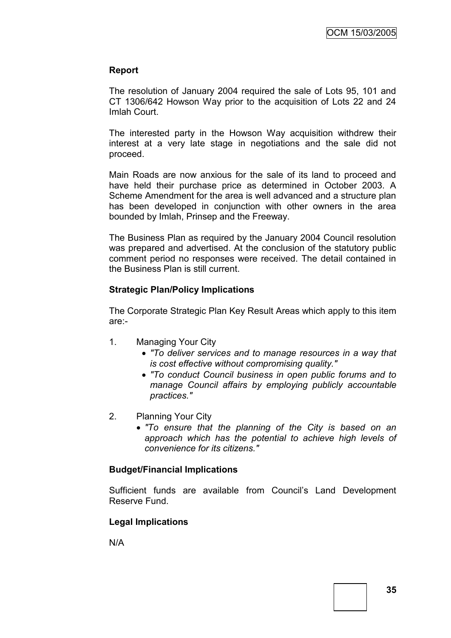# **Report**

The resolution of January 2004 required the sale of Lots 95, 101 and CT 1306/642 Howson Way prior to the acquisition of Lots 22 and 24 Imlah Court.

The interested party in the Howson Way acquisition withdrew their interest at a very late stage in negotiations and the sale did not proceed.

Main Roads are now anxious for the sale of its land to proceed and have held their purchase price as determined in October 2003. A Scheme Amendment for the area is well advanced and a structure plan has been developed in conjunction with other owners in the area bounded by Imlah, Prinsep and the Freeway.

The Business Plan as required by the January 2004 Council resolution was prepared and advertised. At the conclusion of the statutory public comment period no responses were received. The detail contained in the Business Plan is still current.

# **Strategic Plan/Policy Implications**

The Corporate Strategic Plan Key Result Areas which apply to this item are:-

- 1. Managing Your City
	- *"To deliver services and to manage resources in a way that is cost effective without compromising quality."*
	- *"To conduct Council business in open public forums and to manage Council affairs by employing publicly accountable practices."*
- 2. Planning Your City
	- *"To ensure that the planning of the City is based on an approach which has the potential to achieve high levels of convenience for its citizens."*

# **Budget/Financial Implications**

Sufficient funds are available from Council's Land Development Reserve Fund.

# **Legal Implications**

N/A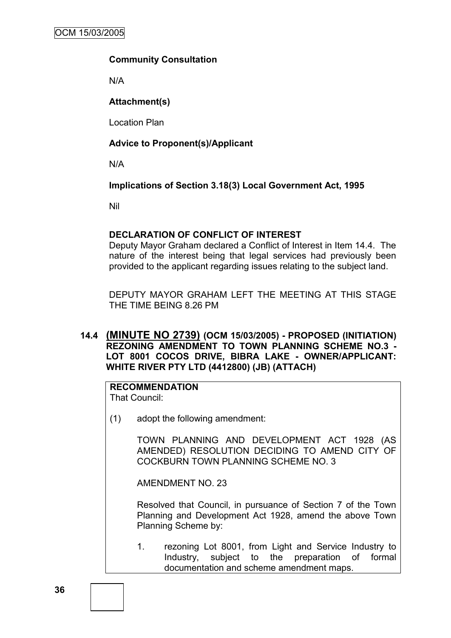# **Community Consultation**

N/A

# **Attachment(s)**

Location Plan

# **Advice to Proponent(s)/Applicant**

N/A

# **Implications of Section 3.18(3) Local Government Act, 1995**

Nil

# **DECLARATION OF CONFLICT OF INTEREST**

Deputy Mayor Graham declared a Conflict of Interest in Item 14.4. The nature of the interest being that legal services had previously been provided to the applicant regarding issues relating to the subject land.

DEPUTY MAYOR GRAHAM LEFT THE MEETING AT THIS STAGE THE TIME BEING 8.26 PM

# **14.4 (MINUTE NO 2739) (OCM 15/03/2005) - PROPOSED (INITIATION) REZONING AMENDMENT TO TOWN PLANNING SCHEME NO.3 - LOT 8001 COCOS DRIVE, BIBRA LAKE - OWNER/APPLICANT: WHITE RIVER PTY LTD (4412800) (JB) (ATTACH)**

# **RECOMMENDATION**

That Council:

(1) adopt the following amendment:

TOWN PLANNING AND DEVELOPMENT ACT 1928 (AS AMENDED) RESOLUTION DECIDING TO AMEND CITY OF COCKBURN TOWN PLANNING SCHEME NO. 3

AMENDMENT NO. 23

Resolved that Council, in pursuance of Section 7 of the Town Planning and Development Act 1928, amend the above Town Planning Scheme by:

1. rezoning Lot 8001, from Light and Service Industry to Industry, subject to the preparation of formal documentation and scheme amendment maps.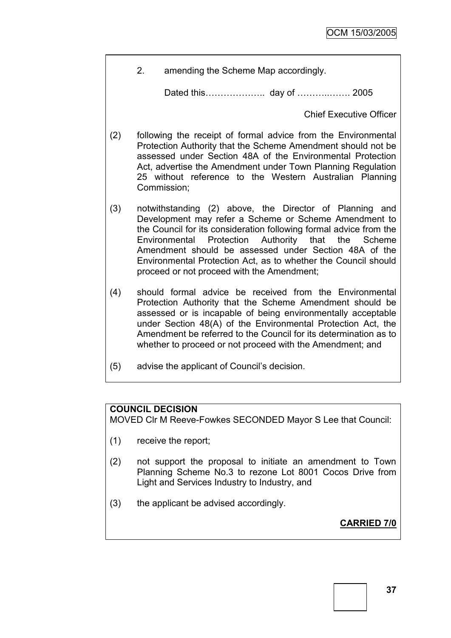2. amending the Scheme Map accordingly.

Dated this……………….. day of ………..……. 2005

Chief Executive Officer

- (2) following the receipt of formal advice from the Environmental Protection Authority that the Scheme Amendment should not be assessed under Section 48A of the Environmental Protection Act, advertise the Amendment under Town Planning Regulation 25 without reference to the Western Australian Planning Commission;
- (3) notwithstanding (2) above, the Director of Planning and Development may refer a Scheme or Scheme Amendment to the Council for its consideration following formal advice from the Environmental Protection Authority that the Scheme Amendment should be assessed under Section 48A of the Environmental Protection Act, as to whether the Council should proceed or not proceed with the Amendment;
- (4) should formal advice be received from the Environmental Protection Authority that the Scheme Amendment should be assessed or is incapable of being environmentally acceptable under Section 48(A) of the Environmental Protection Act, the Amendment be referred to the Council for its determination as to whether to proceed or not proceed with the Amendment; and
- (5) advise the applicant of Council"s decision.

# **COUNCIL DECISION**

MOVED Clr M Reeve-Fowkes SECONDED Mayor S Lee that Council:

- (1) receive the report;
- (2) not support the proposal to initiate an amendment to Town Planning Scheme No.3 to rezone Lot 8001 Cocos Drive from Light and Services Industry to Industry, and
- (3) the applicant be advised accordingly.

**CARRIED 7/0**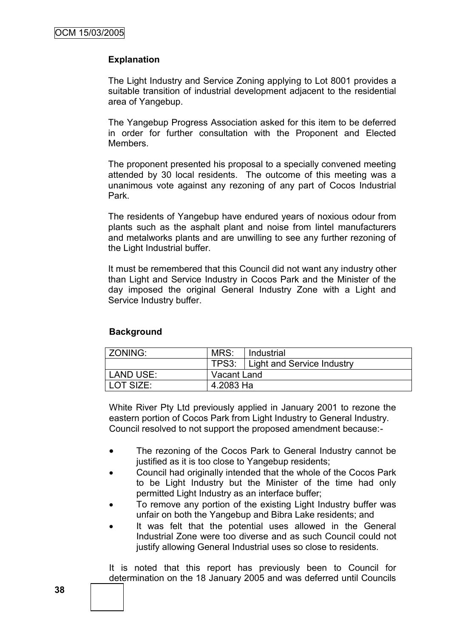# **Explanation**

The Light Industry and Service Zoning applying to Lot 8001 provides a suitable transition of industrial development adjacent to the residential area of Yangebup.

The Yangebup Progress Association asked for this item to be deferred in order for further consultation with the Proponent and Elected Members.

The proponent presented his proposal to a specially convened meeting attended by 30 local residents. The outcome of this meeting was a unanimous vote against any rezoning of any part of Cocos Industrial Park.

The residents of Yangebup have endured years of noxious odour from plants such as the asphalt plant and noise from lintel manufacturers and metalworks plants and are unwilling to see any further rezoning of the Light Industrial buffer.

It must be remembered that this Council did not want any industry other than Light and Service Industry in Cocos Park and the Minister of the day imposed the original General Industry Zone with a Light and Service Industry buffer.

# **Background**

| ZONING:   | MRS:        | l Industrial                     |
|-----------|-------------|----------------------------------|
|           |             | TPS3: Light and Service Industry |
| LAND USE: | Vacant Land |                                  |
| LOT SIZE: | 4.2083 Ha   |                                  |

White River Pty Ltd previously applied in January 2001 to rezone the eastern portion of Cocos Park from Light Industry to General Industry. Council resolved to not support the proposed amendment because:-

- The rezoning of the Cocos Park to General Industry cannot be justified as it is too close to Yangebup residents;
- Council had originally intended that the whole of the Cocos Park to be Light Industry but the Minister of the time had only permitted Light Industry as an interface buffer;
- To remove any portion of the existing Light Industry buffer was unfair on both the Yangebup and Bibra Lake residents; and
- It was felt that the potential uses allowed in the General Industrial Zone were too diverse and as such Council could not justify allowing General Industrial uses so close to residents.

It is noted that this report has previously been to Council for determination on the 18 January 2005 and was deferred until Councils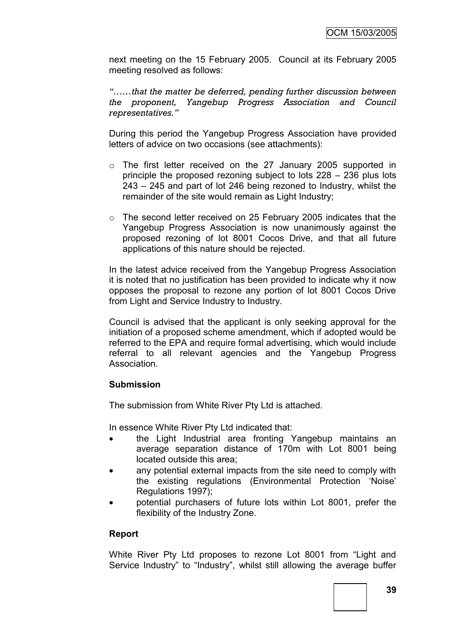next meeting on the 15 February 2005. Council at its February 2005 meeting resolved as follows:

*"……that the matter be deferred, pending further discussion between the proponent, Yangebup Progress Association and Council representatives."*

During this period the Yangebup Progress Association have provided letters of advice on two occasions (see attachments):

- $\circ$  The first letter received on the 27 January 2005 supported in principle the proposed rezoning subject to lots 228 – 236 plus lots 243 – 245 and part of lot 246 being rezoned to Industry, whilst the remainder of the site would remain as Light Industry;
- o The second letter received on 25 February 2005 indicates that the Yangebup Progress Association is now unanimously against the proposed rezoning of lot 8001 Cocos Drive, and that all future applications of this nature should be rejected.

In the latest advice received from the Yangebup Progress Association it is noted that no justification has been provided to indicate why it now opposes the proposal to rezone any portion of lot 8001 Cocos Drive from Light and Service Industry to Industry.

Council is advised that the applicant is only seeking approval for the initiation of a proposed scheme amendment, which if adopted would be referred to the EPA and require formal advertising, which would include referral to all relevant agencies and the Yangebup Progress Association.

# **Submission**

The submission from White River Pty Ltd is attached.

In essence White River Pty Ltd indicated that:

- the Light Industrial area fronting Yangebup maintains an average separation distance of 170m with Lot 8001 being located outside this area;
- any potential external impacts from the site need to comply with the existing regulations (Environmental Protection "Noise" Regulations 1997);
- potential purchasers of future lots within Lot 8001, prefer the flexibility of the Industry Zone.

# **Report**

White River Pty Ltd proposes to rezone Lot 8001 from "Light and Service Industry" to "Industry", whilst still allowing the average buffer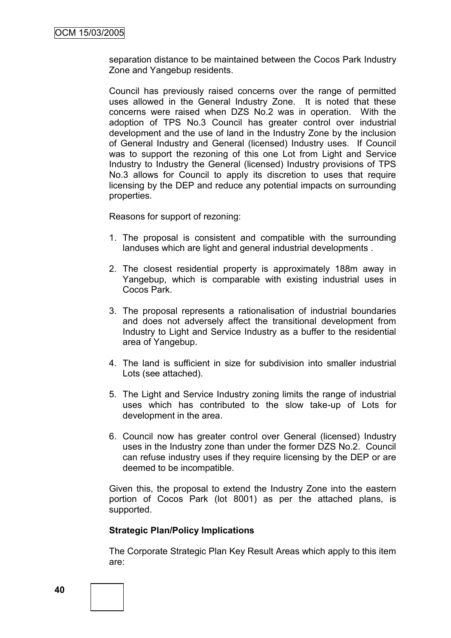separation distance to be maintained between the Cocos Park Industry Zone and Yangebup residents.

Council has previously raised concerns over the range of permitted uses allowed in the General Industry Zone. It is noted that these concerns were raised when DZS No.2 was in operation. With the adoption of TPS No.3 Council has greater control over industrial development and the use of land in the Industry Zone by the inclusion of General Industry and General (licensed) Industry uses. If Council was to support the rezoning of this one Lot from Light and Service Industry to Industry the General (licensed) Industry provisions of TPS No.3 allows for Council to apply its discretion to uses that require licensing by the DEP and reduce any potential impacts on surrounding properties.

Reasons for support of rezoning:

- 1. The proposal is consistent and compatible with the surrounding landuses which are light and general industrial developments .
- 2. The closest residential property is approximately 188m away in Yangebup, which is comparable with existing industrial uses in Cocos Park.
- 3. The proposal represents a rationalisation of industrial boundaries and does not adversely affect the transitional development from Industry to Light and Service Industry as a buffer to the residential area of Yangebup.
- 4. The land is sufficient in size for subdivision into smaller industrial Lots (see attached).
- 5. The Light and Service Industry zoning limits the range of industrial uses which has contributed to the slow take-up of Lots for development in the area.
- 6. Council now has greater control over General (licensed) Industry uses in the Industry zone than under the former DZS No.2. Council can refuse industry uses if they require licensing by the DEP or are deemed to be incompatible.

Given this, the proposal to extend the Industry Zone into the eastern portion of Cocos Park (lot 8001) as per the attached plans, is supported.

#### **Strategic Plan/Policy Implications**

The Corporate Strategic Plan Key Result Areas which apply to this item are: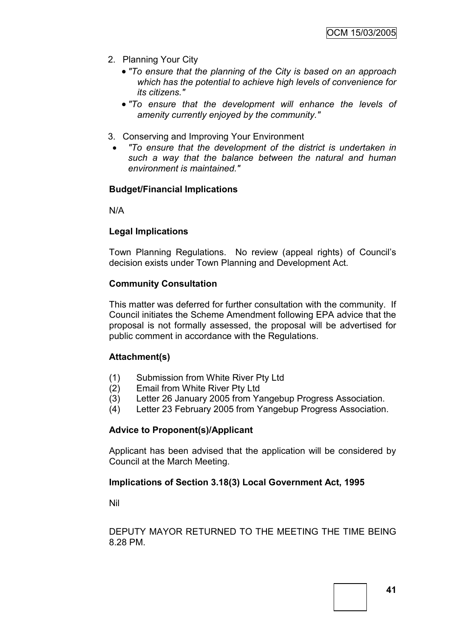- 2. Planning Your City
	- *"To ensure that the planning of the City is based on an approach which has the potential to achieve high levels of convenience for its citizens."*
	- *"To ensure that the development will enhance the levels of amenity currently enjoyed by the community."*
- 3. Conserving and Improving Your Environment
	- *"To ensure that the development of the district is undertaken in such a way that the balance between the natural and human environment is maintained."*

# **Budget/Financial Implications**

N/A

#### **Legal Implications**

Town Planning Regulations. No review (appeal rights) of Council"s decision exists under Town Planning and Development Act.

#### **Community Consultation**

This matter was deferred for further consultation with the community. If Council initiates the Scheme Amendment following EPA advice that the proposal is not formally assessed, the proposal will be advertised for public comment in accordance with the Regulations.

# **Attachment(s)**

- (1) Submission from White River Pty Ltd
- (2) Email from White River Pty Ltd
- (3) Letter 26 January 2005 from Yangebup Progress Association.
- (4) Letter 23 February 2005 from Yangebup Progress Association.

#### **Advice to Proponent(s)/Applicant**

Applicant has been advised that the application will be considered by Council at the March Meeting.

# **Implications of Section 3.18(3) Local Government Act, 1995**

Nil

DEPUTY MAYOR RETURNED TO THE MEETING THE TIME BEING 8.28 PM.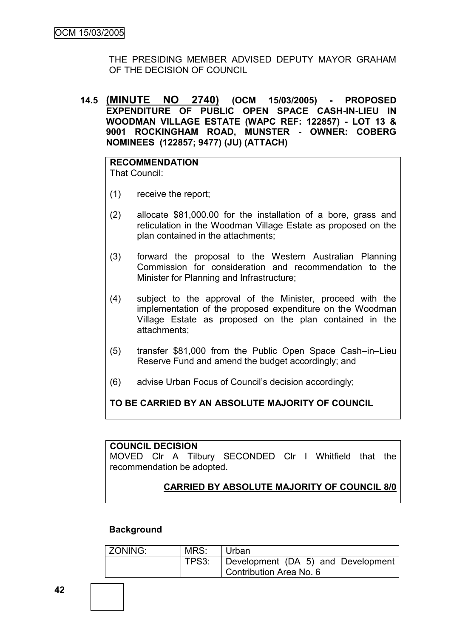THE PRESIDING MEMBER ADVISED DEPUTY MAYOR GRAHAM OF THE DECISION OF COUNCIL

**14.5 (MINUTE NO 2740) (OCM 15/03/2005) - PROPOSED EXPENDITURE OF PUBLIC OPEN SPACE CASH-IN-LIEU IN WOODMAN VILLAGE ESTATE (WAPC REF: 122857) - LOT 13 & 9001 ROCKINGHAM ROAD, MUNSTER - OWNER: COBERG NOMINEES (122857; 9477) (JU) (ATTACH)**

#### **RECOMMENDATION** That Council:

- (1) receive the report;
- (2) allocate \$81,000.00 for the installation of a bore, grass and reticulation in the Woodman Village Estate as proposed on the plan contained in the attachments;
- (3) forward the proposal to the Western Australian Planning Commission for consideration and recommendation to the Minister for Planning and Infrastructure;
- (4) subject to the approval of the Minister, proceed with the implementation of the proposed expenditure on the Woodman Village Estate as proposed on the plan contained in the attachments;
- (5) transfer \$81,000 from the Public Open Space Cash–in–Lieu Reserve Fund and amend the budget accordingly; and
- (6) advise Urban Focus of Council"s decision accordingly;

# **TO BE CARRIED BY AN ABSOLUTE MAJORITY OF COUNCIL**

#### **COUNCIL DECISION**

MOVED Clr A Tilbury SECONDED Clr I Whitfield that the recommendation be adopted.

# **CARRIED BY ABSOLUTE MAJORITY OF COUNCIL 8/0**

# **Background**

| <b>ZONING:</b> | MRS:  | ' Urban                            |
|----------------|-------|------------------------------------|
|                | TPS3: | Development (DA 5) and Development |
|                |       | Contribution Area No. 6            |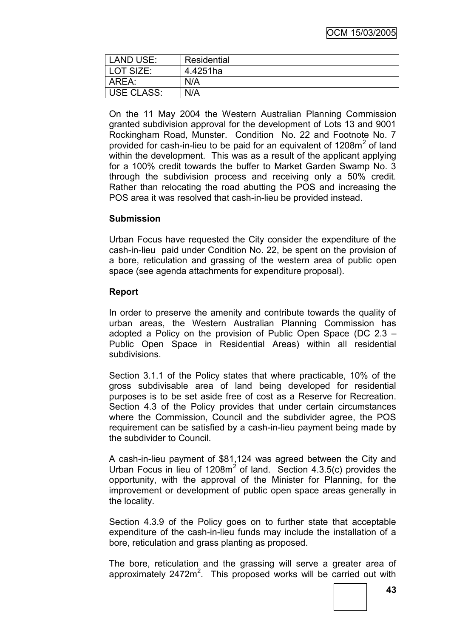| LAND USE:  | Residential |
|------------|-------------|
| LOT SIZE:  | 4.4251ha    |
| AREA:      | N/A         |
| USE CLASS: | N/A         |

On the 11 May 2004 the Western Australian Planning Commission granted subdivision approval for the development of Lots 13 and 9001 Rockingham Road, Munster. Condition No. 22 and Footnote No. 7 provided for cash-in-lieu to be paid for an equivalent of 1208 $m<sup>2</sup>$  of land within the development. This was as a result of the applicant applying for a 100% credit towards the buffer to Market Garden Swamp No. 3 through the subdivision process and receiving only a 50% credit. Rather than relocating the road abutting the POS and increasing the POS area it was resolved that cash-in-lieu be provided instead.

# **Submission**

Urban Focus have requested the City consider the expenditure of the cash-in-lieu paid under Condition No. 22, be spent on the provision of a bore, reticulation and grassing of the western area of public open space (see agenda attachments for expenditure proposal).

# **Report**

In order to preserve the amenity and contribute towards the quality of urban areas, the Western Australian Planning Commission has adopted a Policy on the provision of Public Open Space (DC 2.3 – Public Open Space in Residential Areas) within all residential subdivisions.

Section 3.1.1 of the Policy states that where practicable, 10% of the gross subdivisable area of land being developed for residential purposes is to be set aside free of cost as a Reserve for Recreation. Section 4.3 of the Policy provides that under certain circumstances where the Commission, Council and the subdivider agree, the POS requirement can be satisfied by a cash-in-lieu payment being made by the subdivider to Council.

A cash-in-lieu payment of \$81,124 was agreed between the City and Urban Focus in lieu of  $1208m^2$  of land. Section  $4.3.5(c)$  provides the opportunity, with the approval of the Minister for Planning, for the improvement or development of public open space areas generally in the locality.

Section 4.3.9 of the Policy goes on to further state that acceptable expenditure of the cash-in-lieu funds may include the installation of a bore, reticulation and grass planting as proposed.

The bore, reticulation and the grassing will serve a greater area of approximately  $2472m^2$ . This proposed works will be carried out with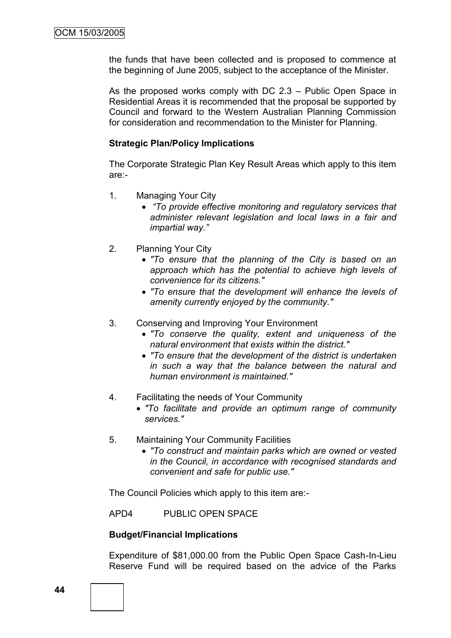the funds that have been collected and is proposed to commence at the beginning of June 2005, subject to the acceptance of the Minister.

As the proposed works comply with DC 2.3 – Public Open Space in Residential Areas it is recommended that the proposal be supported by Council and forward to the Western Australian Planning Commission for consideration and recommendation to the Minister for Planning.

#### **Strategic Plan/Policy Implications**

The Corporate Strategic Plan Key Result Areas which apply to this item are:-

- 1. Managing Your City
	- *"To provide effective monitoring and regulatory services that administer relevant legislation and local laws in a fair and impartial way."*
- 2. Planning Your City
	- *"To ensure that the planning of the City is based on an approach which has the potential to achieve high levels of convenience for its citizens."*
	- *"To ensure that the development will enhance the levels of amenity currently enjoyed by the community."*
- 3. Conserving and Improving Your Environment
	- *"To conserve the quality, extent and uniqueness of the natural environment that exists within the district."*
	- *"To ensure that the development of the district is undertaken in such a way that the balance between the natural and human environment is maintained."*
- 4. Facilitating the needs of Your Community
	- *"To facilitate and provide an optimum range of community services."*
- 5. Maintaining Your Community Facilities
	- *"To construct and maintain parks which are owned or vested in the Council, in accordance with recognised standards and convenient and safe for public use."*

The Council Policies which apply to this item are:-

APD4 PUBLIC OPEN SPACE

#### **Budget/Financial Implications**

Expenditure of \$81,000.00 from the Public Open Space Cash-In-Lieu Reserve Fund will be required based on the advice of the Parks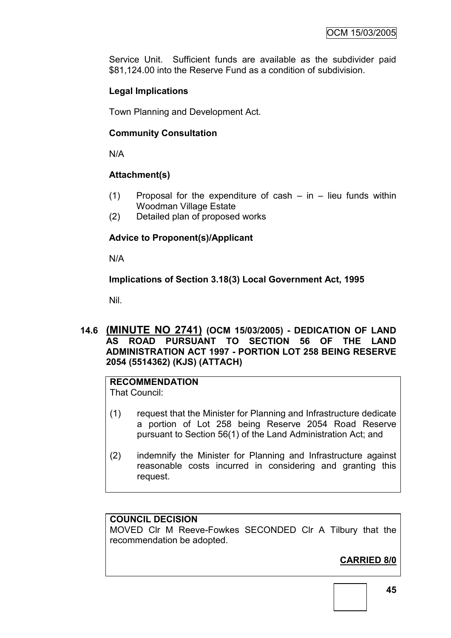Service Unit. Sufficient funds are available as the subdivider paid \$81,124.00 into the Reserve Fund as a condition of subdivision.

# **Legal Implications**

Town Planning and Development Act.

# **Community Consultation**

N/A

# **Attachment(s)**

- $(1)$  Proposal for the expenditure of cash in lieu funds within Woodman Village Estate
- (2) Detailed plan of proposed works

# **Advice to Proponent(s)/Applicant**

N/A

**Implications of Section 3.18(3) Local Government Act, 1995**

Nil.

**14.6 (MINUTE NO 2741) (OCM 15/03/2005) - DEDICATION OF LAND AS ROAD PURSUANT TO SECTION 56 OF THE LAND ADMINISTRATION ACT 1997 - PORTION LOT 258 BEING RESERVE 2054 (5514362) (KJS) (ATTACH)**

# **RECOMMENDATION**

That Council:

- (1) request that the Minister for Planning and Infrastructure dedicate a portion of Lot 258 being Reserve 2054 Road Reserve pursuant to Section 56(1) of the Land Administration Act; and
- (2) indemnify the Minister for Planning and Infrastructure against reasonable costs incurred in considering and granting this request.

# **COUNCIL DECISION**

MOVED Clr M Reeve-Fowkes SECONDED Clr A Tilbury that the recommendation be adopted.

# **CARRIED 8/0**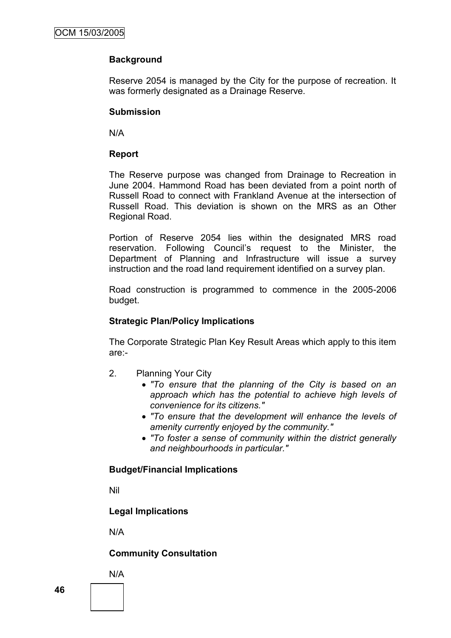# **Background**

Reserve 2054 is managed by the City for the purpose of recreation. It was formerly designated as a Drainage Reserve.

# **Submission**

N/A

# **Report**

The Reserve purpose was changed from Drainage to Recreation in June 2004. Hammond Road has been deviated from a point north of Russell Road to connect with Frankland Avenue at the intersection of Russell Road. This deviation is shown on the MRS as an Other Regional Road.

Portion of Reserve 2054 lies within the designated MRS road reservation. Following Council"s request to the Minister, the Department of Planning and Infrastructure will issue a survey instruction and the road land requirement identified on a survey plan.

Road construction is programmed to commence in the 2005-2006 budget.

# **Strategic Plan/Policy Implications**

The Corporate Strategic Plan Key Result Areas which apply to this item are:-

- 2. Planning Your City
	- *"To ensure that the planning of the City is based on an approach which has the potential to achieve high levels of convenience for its citizens."*
	- *"To ensure that the development will enhance the levels of amenity currently enjoyed by the community."*
	- *"To foster a sense of community within the district generally and neighbourhoods in particular."*

# **Budget/Financial Implications**

Nil

**Legal Implications**

N/A

**Community Consultation**

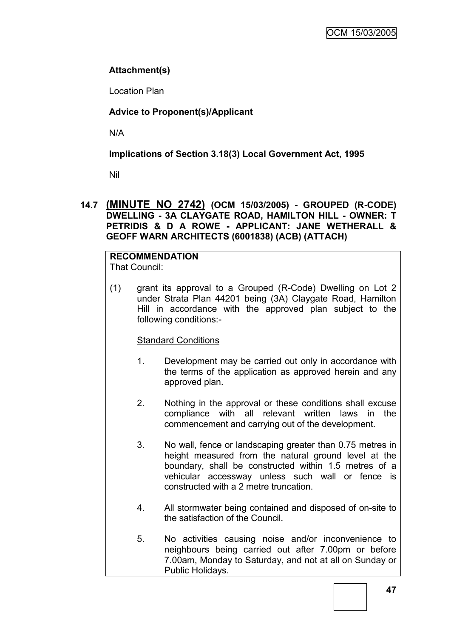# **Attachment(s)**

Location Plan

# **Advice to Proponent(s)/Applicant**

N/A

# **Implications of Section 3.18(3) Local Government Act, 1995**

Nil

# **14.7 (MINUTE NO 2742) (OCM 15/03/2005) - GROUPED (R-CODE) DWELLING - 3A CLAYGATE ROAD, HAMILTON HILL - OWNER: T PETRIDIS & D A ROWE - APPLICANT: JANE WETHERALL & GEOFF WARN ARCHITECTS (6001838) (ACB) (ATTACH)**

#### **RECOMMENDATION** That Council:

(1) grant its approval to a Grouped (R-Code) Dwelling on Lot 2 under Strata Plan 44201 being (3A) Claygate Road, Hamilton Hill in accordance with the approved plan subject to the following conditions:-

# Standard Conditions

- 1. Development may be carried out only in accordance with the terms of the application as approved herein and any approved plan.
- 2. Nothing in the approval or these conditions shall excuse compliance with all relevant written laws in the commencement and carrying out of the development.
- 3. No wall, fence or landscaping greater than 0.75 metres in height measured from the natural ground level at the boundary, shall be constructed within 1.5 metres of a vehicular accessway unless such wall or fence is constructed with a 2 metre truncation.
- 4. All stormwater being contained and disposed of on-site to the satisfaction of the Council.
- 5. No activities causing noise and/or inconvenience to neighbours being carried out after 7.00pm or before 7.00am, Monday to Saturday, and not at all on Sunday or Public Holidays.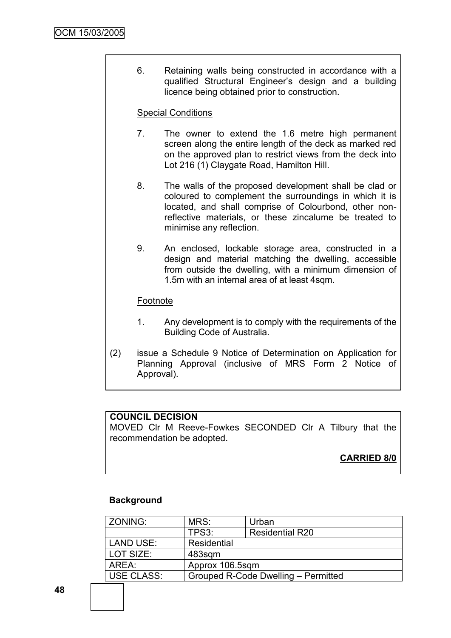6. Retaining walls being constructed in accordance with a qualified Structural Engineer"s design and a building licence being obtained prior to construction.

# Special Conditions

- 7. The owner to extend the 1.6 metre high permanent screen along the entire length of the deck as marked red on the approved plan to restrict views from the deck into Lot 216 (1) Claygate Road, Hamilton Hill.
- 8. The walls of the proposed development shall be clad or coloured to complement the surroundings in which it is located, and shall comprise of Colourbond, other nonreflective materials, or these zincalume be treated to minimise any reflection.
- 9. An enclosed, lockable storage area, constructed in a design and material matching the dwelling, accessible from outside the dwelling, with a minimum dimension of 1.5m with an internal area of at least 4sqm.

# Footnote

- 1. Any development is to comply with the requirements of the Building Code of Australia.
- (2) issue a Schedule 9 Notice of Determination on Application for Planning Approval (inclusive of MRS Form 2 Notice of Approval).

# **COUNCIL DECISION**

MOVED Clr M Reeve-Fowkes SECONDED Clr A Tilbury that the recommendation be adopted.

# **CARRIED 8/0**

# **Background**

| ZONING:           | MRS:            | Urban                               |  |
|-------------------|-----------------|-------------------------------------|--|
|                   | TPS3:           | <b>Residential R20</b>              |  |
| <b>LAND USE:</b>  | Residential     |                                     |  |
| LOT SIZE:         | 483sqm          |                                     |  |
| AREA:             | Approx 106.5sqm |                                     |  |
| <b>USE CLASS:</b> |                 | Grouped R-Code Dwelling - Permitted |  |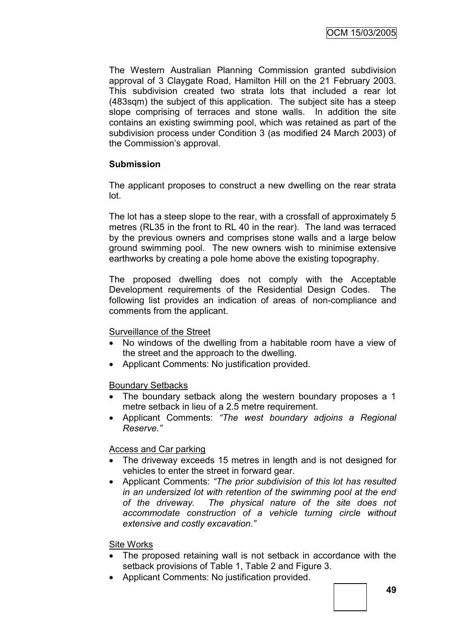The Western Australian Planning Commission granted subdivision approval of 3 Claygate Road, Hamilton Hill on the 21 February 2003. This subdivision created two strata lots that included a rear lot (483sqm) the subject of this application. The subject site has a steep slope comprising of terraces and stone walls. In addition the site contains an existing swimming pool, which was retained as part of the subdivision process under Condition 3 (as modified 24 March 2003) of the Commission's approval.

# **Submission**

The applicant proposes to construct a new dwelling on the rear strata lot.

The lot has a steep slope to the rear, with a crossfall of approximately 5 metres (RL35 in the front to RL 40 in the rear). The land was terraced by the previous owners and comprises stone walls and a large below ground swimming pool. The new owners wish to minimise extensive earthworks by creating a pole home above the existing topography.

The proposed dwelling does not comply with the Acceptable Development requirements of the Residential Design Codes. The following list provides an indication of areas of non-compliance and comments from the applicant.

# Surveillance of the Street

- No windows of the dwelling from a habitable room have a view of the street and the approach to the dwelling.
- Applicant Comments: No justification provided.

# Boundary Setbacks

- The boundary setback along the western boundary proposes a 1 metre setback in lieu of a 2.5 metre requirement.
- Applicant Comments: *"The west boundary adjoins a Regional Reserve."*

# Access and Car parking

- The driveway exceeds 15 metres in length and is not designed for vehicles to enter the street in forward gear.
- Applicant Comments: *"The prior subdivision of this lot has resulted in an undersized lot with retention of the swimming pool at the end of the driveway. The physical nature of the site does not accommodate construction of a vehicle turning circle without extensive and costly excavation."*

# Site Works

- The proposed retaining wall is not setback in accordance with the setback provisions of Table 1, Table 2 and Figure 3.
- Applicant Comments: No justification provided.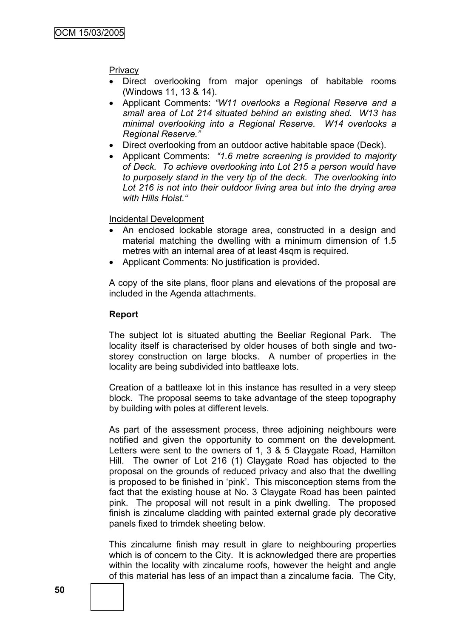# **Privacy**

- Direct overlooking from major openings of habitable rooms (Windows 11, 13 & 14).
- Applicant Comments: *"W11 overlooks a Regional Reserve and a small area of Lot 214 situated behind an existing shed. W13 has minimal overlooking into a Regional Reserve. W14 overlooks a Regional Reserve."*
- Direct overlooking from an outdoor active habitable space (Deck).
- Applicant Comments: *"1.6 metre screening is provided to majority of Deck. To achieve overlooking into Lot 215 a person would have to purposely stand in the very tip of the deck. The overlooking into Lot 216 is not into their outdoor living area but into the drying area with Hills Hoist."*

Incidental Development

- An enclosed lockable storage area, constructed in a design and material matching the dwelling with a minimum dimension of 1.5 metres with an internal area of at least 4sqm is required.
- Applicant Comments: No justification is provided.

A copy of the site plans, floor plans and elevations of the proposal are included in the Agenda attachments.

#### **Report**

The subject lot is situated abutting the Beeliar Regional Park. The locality itself is characterised by older houses of both single and twostorey construction on large blocks. A number of properties in the locality are being subdivided into battleaxe lots.

Creation of a battleaxe lot in this instance has resulted in a very steep block. The proposal seems to take advantage of the steep topography by building with poles at different levels.

As part of the assessment process, three adjoining neighbours were notified and given the opportunity to comment on the development. Letters were sent to the owners of 1, 3 & 5 Claygate Road, Hamilton Hill. The owner of Lot 216 (1) Claygate Road has objected to the proposal on the grounds of reduced privacy and also that the dwelling is proposed to be finished in "pink". This misconception stems from the fact that the existing house at No. 3 Claygate Road has been painted pink. The proposal will not result in a pink dwelling. The proposed finish is zincalume cladding with painted external grade ply decorative panels fixed to trimdek sheeting below.

This zincalume finish may result in glare to neighbouring properties which is of concern to the City. It is acknowledged there are properties within the locality with zincalume roofs, however the height and angle of this material has less of an impact than a zincalume facia. The City,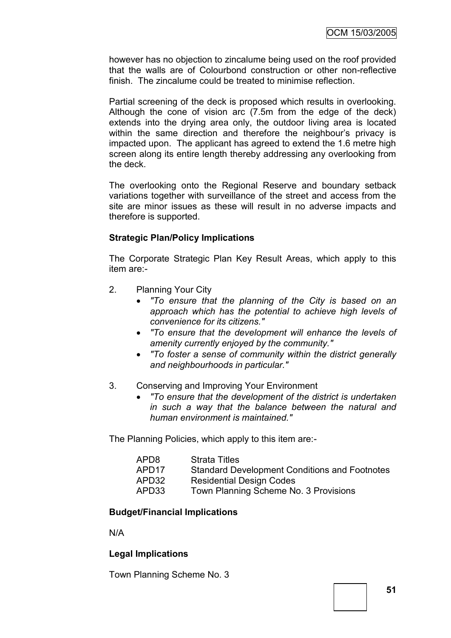however has no objection to zincalume being used on the roof provided that the walls are of Colourbond construction or other non-reflective finish. The zincalume could be treated to minimise reflection.

Partial screening of the deck is proposed which results in overlooking. Although the cone of vision arc (7.5m from the edge of the deck) extends into the drying area only, the outdoor living area is located within the same direction and therefore the neighbour's privacy is impacted upon. The applicant has agreed to extend the 1.6 metre high screen along its entire length thereby addressing any overlooking from the deck.

The overlooking onto the Regional Reserve and boundary setback variations together with surveillance of the street and access from the site are minor issues as these will result in no adverse impacts and therefore is supported.

# **Strategic Plan/Policy Implications**

The Corporate Strategic Plan Key Result Areas, which apply to this item are:-

- 2. Planning Your City
	- *"To ensure that the planning of the City is based on an approach which has the potential to achieve high levels of convenience for its citizens."*
	- *"To ensure that the development will enhance the levels of amenity currently enjoyed by the community."*
	- *"To foster a sense of community within the district generally and neighbourhoods in particular."*
- 3. Conserving and Improving Your Environment
	- *"To ensure that the development of the district is undertaken in such a way that the balance between the natural and human environment is maintained."*

The Planning Policies, which apply to this item are:-

| APD8              | <b>Strata Titles</b>                                 |
|-------------------|------------------------------------------------------|
| APD <sub>17</sub> | <b>Standard Development Conditions and Footnotes</b> |
| APD32             | <b>Residential Design Codes</b>                      |
| APD33             | Town Planning Scheme No. 3 Provisions                |

# **Budget/Financial Implications**

N/A

# **Legal Implications**

Town Planning Scheme No. 3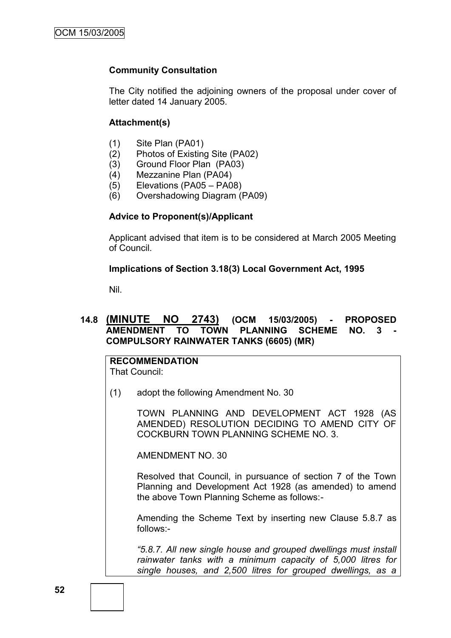# **Community Consultation**

The City notified the adjoining owners of the proposal under cover of letter dated 14 January 2005.

#### **Attachment(s)**

- (1) Site Plan (PA01)
- (2) Photos of Existing Site (PA02)
- (3) Ground Floor Plan (PA03)
- (4) Mezzanine Plan (PA04)
- (5) Elevations (PA05 PA08)
- (6) Overshadowing Diagram (PA09)

#### **Advice to Proponent(s)/Applicant**

Applicant advised that item is to be considered at March 2005 Meeting of Council.

#### **Implications of Section 3.18(3) Local Government Act, 1995**

Nil.

# **14.8 (MINUTE NO 2743) (OCM 15/03/2005) - PROPOSED AMENDMENT TO TOWN PLANNING SCHEME NO. 3 - COMPULSORY RAINWATER TANKS (6605) (MR)**

**RECOMMENDATION** That Council:

(1) adopt the following Amendment No. 30

TOWN PLANNING AND DEVELOPMENT ACT 1928 (AS AMENDED) RESOLUTION DECIDING TO AMEND CITY OF COCKBURN TOWN PLANNING SCHEME NO. 3.

AMENDMENT NO. 30

Resolved that Council, in pursuance of section 7 of the Town Planning and Development Act 1928 (as amended) to amend the above Town Planning Scheme as follows:-

Amending the Scheme Text by inserting new Clause 5.8.7 as follows:-

*"5.8.7. All new single house and grouped dwellings must install rainwater tanks with a minimum capacity of 5,000 litres for single houses, and 2,500 litres for grouped dwellings, as a*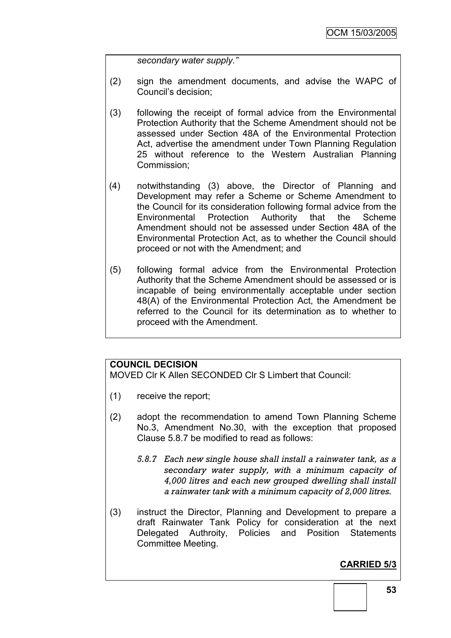*secondary water supply."*

- (2) sign the amendment documents, and advise the WAPC of Council"s decision;
- (3) following the receipt of formal advice from the Environmental Protection Authority that the Scheme Amendment should not be assessed under Section 48A of the Environmental Protection Act, advertise the amendment under Town Planning Regulation 25 without reference to the Western Australian Planning Commission;
- (4) notwithstanding (3) above, the Director of Planning and Development may refer a Scheme or Scheme Amendment to the Council for its consideration following formal advice from the Environmental Protection Authority that the Scheme Amendment should not be assessed under Section 48A of the Environmental Protection Act, as to whether the Council should proceed or not with the Amendment; and
- (5) following formal advice from the Environmental Protection Authority that the Scheme Amendment should be assessed or is incapable of being environmentally acceptable under section 48(A) of the Environmental Protection Act, the Amendment be referred to the Council for its determination as to whether to proceed with the Amendment.

# **COUNCIL DECISION**

MOVED Clr K Allen SECONDED Clr S Limbert that Council:

- (1) receive the report;
- (2) adopt the recommendation to amend Town Planning Scheme No.3, Amendment No.30, with the exception that proposed Clause 5.8.7 be modified to read as follows:
	- *5.8.7 Each new single house shall install a rainwater tank, as a secondary water supply, with a minimum capacity of 4,000 litres and each new grouped dwelling shall install a rainwater tank with a minimum capacity of 2,000 litres.*
- (3) instruct the Director, Planning and Development to prepare a draft Rainwater Tank Policy for consideration at the next Delegated Authroity, Policies and Position Statements Committee Meeting.

# **CARRIED 5/3**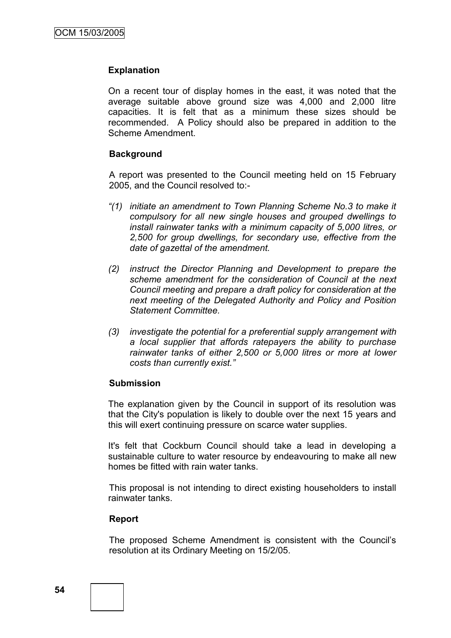# **Explanation**

On a recent tour of display homes in the east, it was noted that the average suitable above ground size was 4,000 and 2,000 litre capacities. It is felt that as a minimum these sizes should be recommended. A Policy should also be prepared in addition to the Scheme Amendment.

#### **Background**

A report was presented to the Council meeting held on 15 February 2005, and the Council resolved to:-

- *"(1) initiate an amendment to Town Planning Scheme No.3 to make it compulsory for all new single houses and grouped dwellings to install rainwater tanks with a minimum capacity of 5,000 litres, or 2,500 for group dwellings, for secondary use, effective from the date of gazettal of the amendment.*
- *(2) instruct the Director Planning and Development to prepare the scheme amendment for the consideration of Council at the next Council meeting and prepare a draft policy for consideration at the next meeting of the Delegated Authority and Policy and Position Statement Committee.*
- *(3) investigate the potential for a preferential supply arrangement with a local supplier that affords ratepayers the ability to purchase rainwater tanks of either 2,500 or 5,000 litres or more at lower costs than currently exist."*

#### **Submission**

The explanation given by the Council in support of its resolution was that the City's population is likely to double over the next 15 years and this will exert continuing pressure on scarce water supplies.

It's felt that Cockburn Council should take a lead in developing a sustainable culture to water resource by endeavouring to make all new homes be fitted with rain water tanks.

This proposal is not intending to direct existing householders to install rainwater tanks.

#### **Report**

The proposed Scheme Amendment is consistent with the Council"s resolution at its Ordinary Meeting on 15/2/05.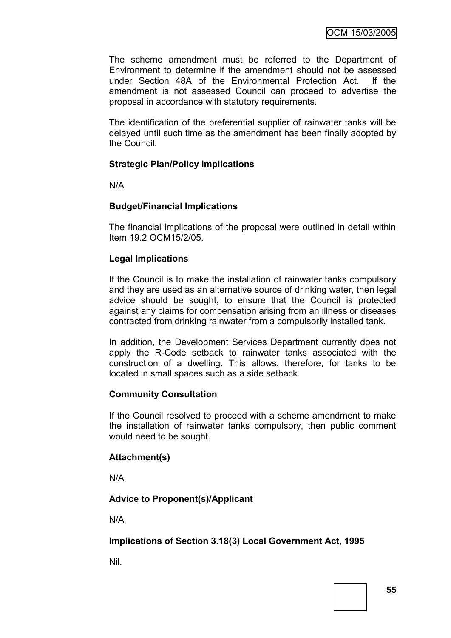The scheme amendment must be referred to the Department of Environment to determine if the amendment should not be assessed under Section 48A of the Environmental Protection Act. If the amendment is not assessed Council can proceed to advertise the proposal in accordance with statutory requirements.

The identification of the preferential supplier of rainwater tanks will be delayed until such time as the amendment has been finally adopted by the Council.

# **Strategic Plan/Policy Implications**

N/A

# **Budget/Financial Implications**

The financial implications of the proposal were outlined in detail within Item 19.2 OCM15/2/05.

# **Legal Implications**

If the Council is to make the installation of rainwater tanks compulsory and they are used as an alternative source of drinking water, then legal advice should be sought, to ensure that the Council is protected against any claims for compensation arising from an illness or diseases contracted from drinking rainwater from a compulsorily installed tank.

In addition, the Development Services Department currently does not apply the R-Code setback to rainwater tanks associated with the construction of a dwelling. This allows, therefore, for tanks to be located in small spaces such as a side setback.

# **Community Consultation**

If the Council resolved to proceed with a scheme amendment to make the installation of rainwater tanks compulsory, then public comment would need to be sought.

# **Attachment(s)**

N/A

# **Advice to Proponent(s)/Applicant**

N/A

# **Implications of Section 3.18(3) Local Government Act, 1995**

Nil.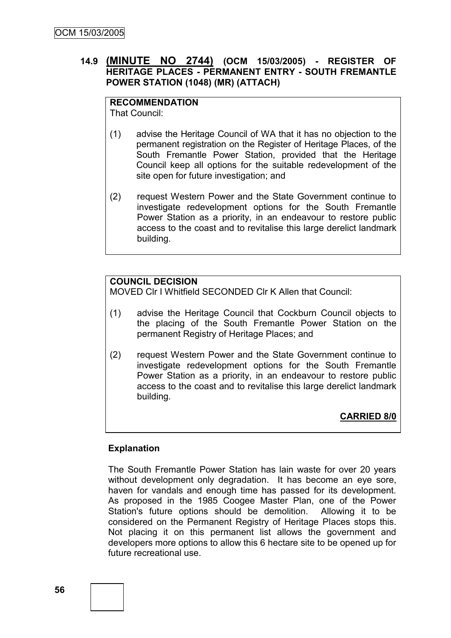# **14.9 (MINUTE NO 2744) (OCM 15/03/2005) - REGISTER OF HERITAGE PLACES - PERMANENT ENTRY - SOUTH FREMANTLE POWER STATION (1048) (MR) (ATTACH)**

#### **RECOMMENDATION** That Council:

- (1) advise the Heritage Council of WA that it has no objection to the permanent registration on the Register of Heritage Places, of the South Fremantle Power Station, provided that the Heritage Council keep all options for the suitable redevelopment of the site open for future investigation; and
- (2) request Western Power and the State Government continue to investigate redevelopment options for the South Fremantle Power Station as a priority, in an endeavour to restore public access to the coast and to revitalise this large derelict landmark building.

# **COUNCIL DECISION**

MOVED Clr I Whitfield SECONDED Clr K Allen that Council:

- (1) advise the Heritage Council that Cockburn Council objects to the placing of the South Fremantle Power Station on the permanent Registry of Heritage Places; and
- (2) request Western Power and the State Government continue to investigate redevelopment options for the South Fremantle Power Station as a priority, in an endeavour to restore public access to the coast and to revitalise this large derelict landmark building.

**CARRIED 8/0**

# **Explanation**

The South Fremantle Power Station has lain waste for over 20 years without development only degradation. It has become an eye sore, haven for vandals and enough time has passed for its development. As proposed in the 1985 Coogee Master Plan, one of the Power Station's future options should be demolition. Allowing it to be considered on the Permanent Registry of Heritage Places stops this. Not placing it on this permanent list allows the government and developers more options to allow this 6 hectare site to be opened up for future recreational use.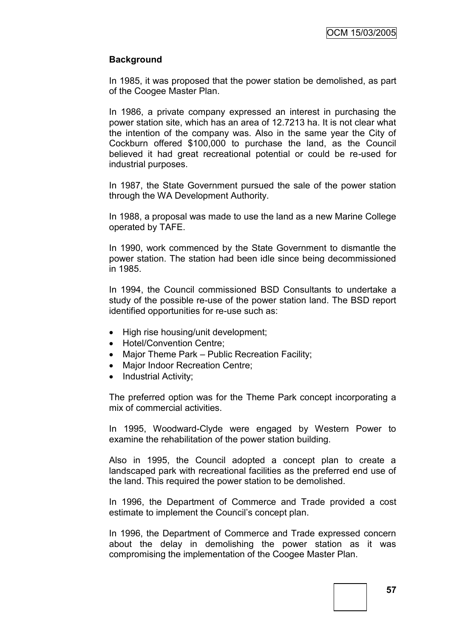# **Background**

In 1985, it was proposed that the power station be demolished, as part of the Coogee Master Plan.

In 1986, a private company expressed an interest in purchasing the power station site, which has an area of 12.7213 ha. It is not clear what the intention of the company was. Also in the same year the City of Cockburn offered \$100,000 to purchase the land, as the Council believed it had great recreational potential or could be re-used for industrial purposes.

In 1987, the State Government pursued the sale of the power station through the WA Development Authority.

In 1988, a proposal was made to use the land as a new Marine College operated by TAFE.

In 1990, work commenced by the State Government to dismantle the power station. The station had been idle since being decommissioned in 1985.

In 1994, the Council commissioned BSD Consultants to undertake a study of the possible re-use of the power station land. The BSD report identified opportunities for re-use such as:

- High rise housing/unit development;
- Hotel/Convention Centre;
- Major Theme Park Public Recreation Facility:
- Major Indoor Recreation Centre;
- Industrial Activity;

The preferred option was for the Theme Park concept incorporating a mix of commercial activities.

In 1995, Woodward-Clyde were engaged by Western Power to examine the rehabilitation of the power station building.

Also in 1995, the Council adopted a concept plan to create a landscaped park with recreational facilities as the preferred end use of the land. This required the power station to be demolished.

In 1996, the Department of Commerce and Trade provided a cost estimate to implement the Council's concept plan.

In 1996, the Department of Commerce and Trade expressed concern about the delay in demolishing the power station as it was compromising the implementation of the Coogee Master Plan.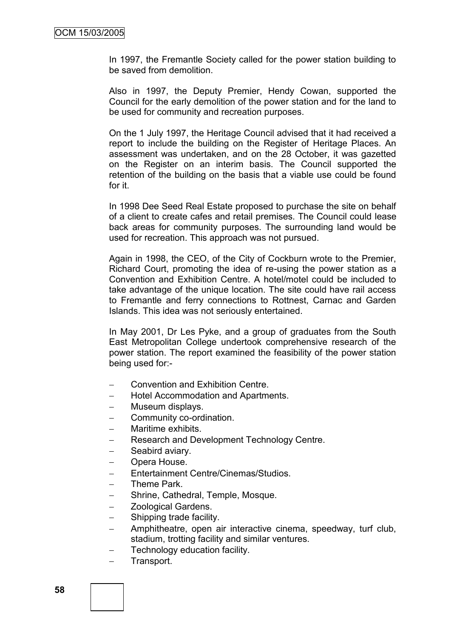In 1997, the Fremantle Society called for the power station building to be saved from demolition.

Also in 1997, the Deputy Premier, Hendy Cowan, supported the Council for the early demolition of the power station and for the land to be used for community and recreation purposes.

On the 1 July 1997, the Heritage Council advised that it had received a report to include the building on the Register of Heritage Places. An assessment was undertaken, and on the 28 October, it was gazetted on the Register on an interim basis. The Council supported the retention of the building on the basis that a viable use could be found for it.

In 1998 Dee Seed Real Estate proposed to purchase the site on behalf of a client to create cafes and retail premises. The Council could lease back areas for community purposes. The surrounding land would be used for recreation. This approach was not pursued.

Again in 1998, the CEO, of the City of Cockburn wrote to the Premier, Richard Court, promoting the idea of re-using the power station as a Convention and Exhibition Centre. A hotel/motel could be included to take advantage of the unique location. The site could have rail access to Fremantle and ferry connections to Rottnest, Carnac and Garden Islands. This idea was not seriously entertained.

In May 2001, Dr Les Pyke, and a group of graduates from the South East Metropolitan College undertook comprehensive research of the power station. The report examined the feasibility of the power station being used for:-

- Convention and Exhibition Centre.
- Hotel Accommodation and Apartments.
- Museum displays.
- Community co-ordination.
- Maritime exhibits.
- Research and Development Technology Centre.
- Seabird aviary.
- Opera House.
- Entertainment Centre/Cinemas/Studios.
- Theme Park.
- Shrine, Cathedral, Temple, Mosque.
- Zoological Gardens.
- Shipping trade facility.
- Amphitheatre, open air interactive cinema, speedway, turf club, stadium, trotting facility and similar ventures.
- Technology education facility.
- Transport.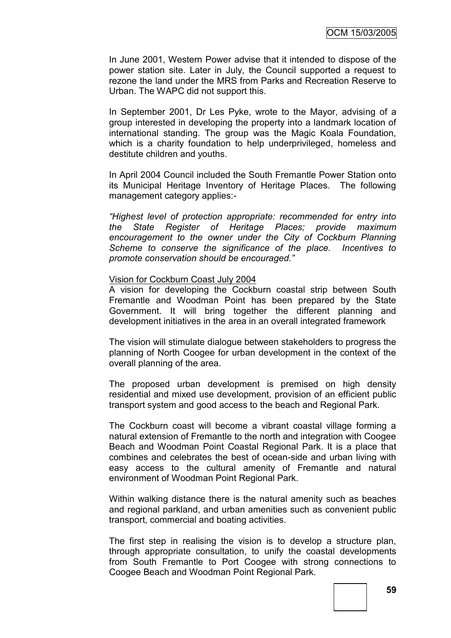In June 2001, Western Power advise that it intended to dispose of the power station site. Later in July, the Council supported a request to rezone the land under the MRS from Parks and Recreation Reserve to Urban. The WAPC did not support this.

In September 2001, Dr Les Pyke, wrote to the Mayor, advising of a group interested in developing the property into a landmark location of international standing. The group was the Magic Koala Foundation, which is a charity foundation to help underprivileged, homeless and destitute children and youths.

In April 2004 Council included the South Fremantle Power Station onto its Municipal Heritage Inventory of Heritage Places. The following management category applies:-

*"Highest level of protection appropriate: recommended for entry into the State Register of Heritage Places; provide maximum encouragement to the owner under the City of Cockburn Planning Scheme to conserve the significance of the place. Incentives to promote conservation should be encouraged."*

#### Vision for Cockburn Coast July 2004

A vision for developing the Cockburn coastal strip between South Fremantle and Woodman Point has been prepared by the State Government. It will bring together the different planning and development initiatives in the area in an overall integrated framework

The vision will stimulate dialogue between stakeholders to progress the planning of North Coogee for urban development in the context of the overall planning of the area.

The proposed urban development is premised on high density residential and mixed use development, provision of an efficient public transport system and good access to the beach and Regional Park.

The Cockburn coast will become a vibrant coastal village forming a natural extension of Fremantle to the north and integration with Coogee Beach and Woodman Point Coastal Regional Park. It is a place that combines and celebrates the best of ocean-side and urban living with easy access to the cultural amenity of Fremantle and natural environment of Woodman Point Regional Park.

Within walking distance there is the natural amenity such as beaches and regional parkland, and urban amenities such as convenient public transport, commercial and boating activities.

The first step in realising the vision is to develop a structure plan, through appropriate consultation, to unify the coastal developments from South Fremantle to Port Coogee with strong connections to Coogee Beach and Woodman Point Regional Park.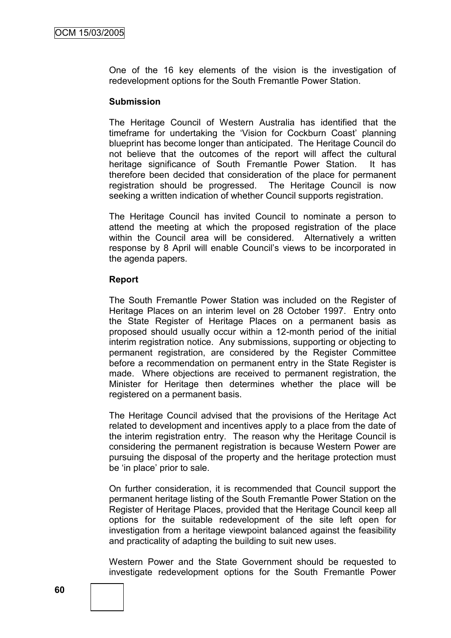One of the 16 key elements of the vision is the investigation of redevelopment options for the South Fremantle Power Station.

#### **Submission**

The Heritage Council of Western Australia has identified that the timeframe for undertaking the "Vision for Cockburn Coast" planning blueprint has become longer than anticipated. The Heritage Council do not believe that the outcomes of the report will affect the cultural heritage significance of South Fremantle Power Station. It has therefore been decided that consideration of the place for permanent registration should be progressed. The Heritage Council is now seeking a written indication of whether Council supports registration.

The Heritage Council has invited Council to nominate a person to attend the meeting at which the proposed registration of the place within the Council area will be considered. Alternatively a written response by 8 April will enable Council"s views to be incorporated in the agenda papers.

#### **Report**

The South Fremantle Power Station was included on the Register of Heritage Places on an interim level on 28 October 1997. Entry onto the State Register of Heritage Places on a permanent basis as proposed should usually occur within a 12-month period of the initial interim registration notice. Any submissions, supporting or objecting to permanent registration, are considered by the Register Committee before a recommendation on permanent entry in the State Register is made. Where objections are received to permanent registration, the Minister for Heritage then determines whether the place will be registered on a permanent basis.

The Heritage Council advised that the provisions of the Heritage Act related to development and incentives apply to a place from the date of the interim registration entry. The reason why the Heritage Council is considering the permanent registration is because Western Power are pursuing the disposal of the property and the heritage protection must be "in place" prior to sale.

On further consideration, it is recommended that Council support the permanent heritage listing of the South Fremantle Power Station on the Register of Heritage Places, provided that the Heritage Council keep all options for the suitable redevelopment of the site left open for investigation from a heritage viewpoint balanced against the feasibility and practicality of adapting the building to suit new uses.

Western Power and the State Government should be requested to investigate redevelopment options for the South Fremantle Power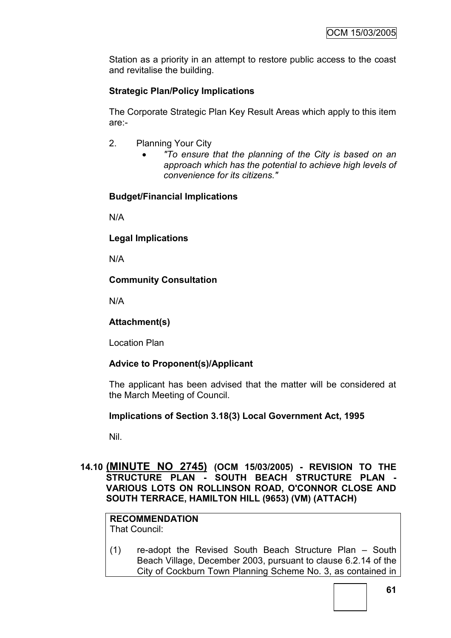Station as a priority in an attempt to restore public access to the coast and revitalise the building.

# **Strategic Plan/Policy Implications**

The Corporate Strategic Plan Key Result Areas which apply to this item are:-

- 2. Planning Your City
	- *"To ensure that the planning of the City is based on an approach which has the potential to achieve high levels of convenience for its citizens."*

# **Budget/Financial Implications**

N/A

**Legal Implications**

N/A

# **Community Consultation**

N/A

# **Attachment(s)**

Location Plan

# **Advice to Proponent(s)/Applicant**

The applicant has been advised that the matter will be considered at the March Meeting of Council.

# **Implications of Section 3.18(3) Local Government Act, 1995**

Nil.

# **14.10 (MINUTE NO 2745) (OCM 15/03/2005) - REVISION TO THE STRUCTURE PLAN - SOUTH BEACH STRUCTURE PLAN - VARIOUS LOTS ON ROLLINSON ROAD, O'CONNOR CLOSE AND SOUTH TERRACE, HAMILTON HILL (9653) (VM) (ATTACH)**

#### **RECOMMENDATION** That Council:

(1) re-adopt the Revised South Beach Structure Plan – South Beach Village, December 2003, pursuant to clause 6.2.14 of the City of Cockburn Town Planning Scheme No. 3, as contained in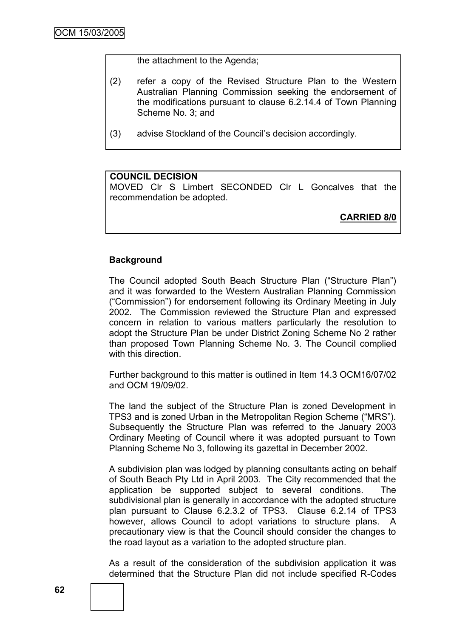the attachment to the Agenda;

- (2) refer a copy of the Revised Structure Plan to the Western Australian Planning Commission seeking the endorsement of the modifications pursuant to clause 6.2.14.4 of Town Planning Scheme No. 3; and
- (3) advise Stockland of the Council"s decision accordingly.

#### **COUNCIL DECISION**

MOVED Clr S Limbert SECONDED Clr L Goncalves that the recommendation be adopted.

**CARRIED 8/0**

#### **Background**

The Council adopted South Beach Structure Plan ("Structure Plan") and it was forwarded to the Western Australian Planning Commission ("Commission") for endorsement following its Ordinary Meeting in July 2002. The Commission reviewed the Structure Plan and expressed concern in relation to various matters particularly the resolution to adopt the Structure Plan be under District Zoning Scheme No 2 rather than proposed Town Planning Scheme No. 3. The Council complied with this direction.

Further background to this matter is outlined in Item 14.3 OCM16/07/02 and OCM 19/09/02.

The land the subject of the Structure Plan is zoned Development in TPS3 and is zoned Urban in the Metropolitan Region Scheme ("MRS"). Subsequently the Structure Plan was referred to the January 2003 Ordinary Meeting of Council where it was adopted pursuant to Town Planning Scheme No 3, following its gazettal in December 2002.

A subdivision plan was lodged by planning consultants acting on behalf of South Beach Pty Ltd in April 2003. The City recommended that the application be supported subject to several conditions. The subdivisional plan is generally in accordance with the adopted structure plan pursuant to Clause 6.2.3.2 of TPS3. Clause 6.2.14 of TPS3 however, allows Council to adopt variations to structure plans. A precautionary view is that the Council should consider the changes to the road layout as a variation to the adopted structure plan.

As a result of the consideration of the subdivision application it was determined that the Structure Plan did not include specified R-Codes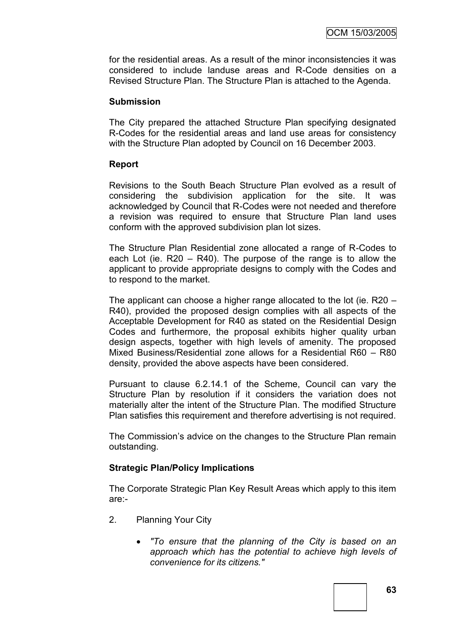for the residential areas. As a result of the minor inconsistencies it was considered to include landuse areas and R-Code densities on a Revised Structure Plan. The Structure Plan is attached to the Agenda.

#### **Submission**

The City prepared the attached Structure Plan specifying designated R-Codes for the residential areas and land use areas for consistency with the Structure Plan adopted by Council on 16 December 2003.

# **Report**

Revisions to the South Beach Structure Plan evolved as a result of considering the subdivision application for the site. It was acknowledged by Council that R-Codes were not needed and therefore a revision was required to ensure that Structure Plan land uses conform with the approved subdivision plan lot sizes.

The Structure Plan Residential zone allocated a range of R-Codes to each Lot (ie. R20 – R40). The purpose of the range is to allow the applicant to provide appropriate designs to comply with the Codes and to respond to the market.

The applicant can choose a higher range allocated to the lot (ie. R20 – R40), provided the proposed design complies with all aspects of the Acceptable Development for R40 as stated on the Residential Design Codes and furthermore, the proposal exhibits higher quality urban design aspects, together with high levels of amenity. The proposed Mixed Business/Residential zone allows for a Residential R60 – R80 density, provided the above aspects have been considered.

Pursuant to clause 6.2.14.1 of the Scheme, Council can vary the Structure Plan by resolution if it considers the variation does not materially alter the intent of the Structure Plan. The modified Structure Plan satisfies this requirement and therefore advertising is not required.

The Commission's advice on the changes to the Structure Plan remain outstanding.

# **Strategic Plan/Policy Implications**

The Corporate Strategic Plan Key Result Areas which apply to this item are:-

- 2. Planning Your City
	- *"To ensure that the planning of the City is based on an approach which has the potential to achieve high levels of convenience for its citizens."*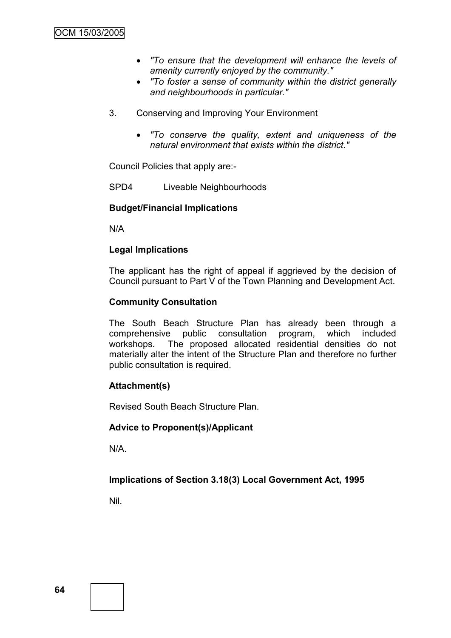- *"To ensure that the development will enhance the levels of amenity currently enjoyed by the community."*
- *"To foster a sense of community within the district generally and neighbourhoods in particular."*
- 3. Conserving and Improving Your Environment
	- *"To conserve the quality, extent and uniqueness of the natural environment that exists within the district."*

Council Policies that apply are:-

SPD4 Liveable Neighbourhoods

# **Budget/Financial Implications**

N/A

# **Legal Implications**

The applicant has the right of appeal if aggrieved by the decision of Council pursuant to Part V of the Town Planning and Development Act.

# **Community Consultation**

The South Beach Structure Plan has already been through a comprehensive public consultation program, which included workshops. The proposed allocated residential densities do not materially alter the intent of the Structure Plan and therefore no further public consultation is required.

# **Attachment(s)**

Revised South Beach Structure Plan.

# **Advice to Proponent(s)/Applicant**

N/A.

# **Implications of Section 3.18(3) Local Government Act, 1995**

Nil.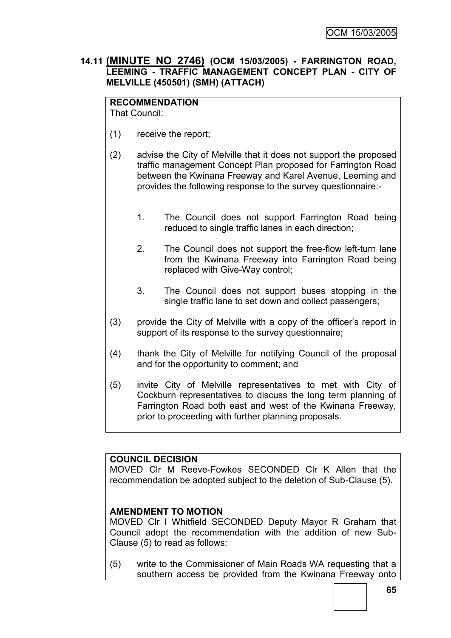# **14.11 (MINUTE NO 2746) (OCM 15/03/2005) - FARRINGTON ROAD, LEEMING - TRAFFIC MANAGEMENT CONCEPT PLAN - CITY OF MELVILLE (450501) (SMH) (ATTACH)**

# **RECOMMENDATION**

That Council:

- (1) receive the report;
- (2) advise the City of Melville that it does not support the proposed traffic management Concept Plan proposed for Farrington Road between the Kwinana Freeway and Karel Avenue, Leeming and provides the following response to the survey questionnaire:-
	- 1. The Council does not support Farrington Road being reduced to single traffic lanes in each direction;
	- 2. The Council does not support the free-flow left-turn lane from the Kwinana Freeway into Farrington Road being replaced with Give-Way control;
	- 3. The Council does not support buses stopping in the single traffic lane to set down and collect passengers;
- (3) provide the City of Melville with a copy of the officer"s report in support of its response to the survey questionnaire;
- (4) thank the City of Melville for notifying Council of the proposal and for the opportunity to comment; and
- (5) invite City of Melville representatives to met with City of Cockburn representatives to discuss the long term planning of Farrington Road both east and west of the Kwinana Freeway, prior to proceeding with further planning proposals.

# **COUNCIL DECISION**

MOVED Clr M Reeve-Fowkes SECONDED Clr K Allen that the recommendation be adopted subject to the deletion of Sub-Clause (5).

# **AMENDMENT TO MOTION**

MOVED Clr I Whitfield SECONDED Deputy Mayor R Graham that Council adopt the recommendation with the addition of new Sub-Clause (5) to read as follows:

(5) write to the Commissioner of Main Roads WA requesting that a southern access be provided from the Kwinana Freeway onto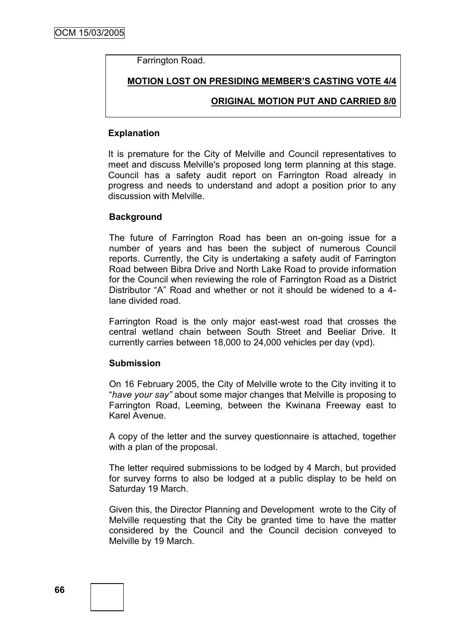Farrington Road.

**MOTION LOST ON PRESIDING MEMBER"S CASTING VOTE 4/4**

# **ORIGINAL MOTION PUT AND CARRIED 8/0**

#### **Explanation**

It is premature for the City of Melville and Council representatives to meet and discuss Melville's proposed long term planning at this stage. Council has a safety audit report on Farrington Road already in progress and needs to understand and adopt a position prior to any discussion with Melville.

#### **Background**

The future of Farrington Road has been an on-going issue for a number of years and has been the subject of numerous Council reports. Currently, the City is undertaking a safety audit of Farrington Road between Bibra Drive and North Lake Road to provide information for the Council when reviewing the role of Farrington Road as a District Distributor "A" Road and whether or not it should be widened to a 4 lane divided road.

Farrington Road is the only major east-west road that crosses the central wetland chain between South Street and Beeliar Drive. It currently carries between 18,000 to 24,000 vehicles per day (vpd).

#### **Submission**

On 16 February 2005, the City of Melville wrote to the City inviting it to "*have your say"* about some major changes that Melville is proposing to Farrington Road, Leeming, between the Kwinana Freeway east to Karel Avenue.

A copy of the letter and the survey questionnaire is attached, together with a plan of the proposal.

The letter required submissions to be lodged by 4 March, but provided for survey forms to also be lodged at a public display to be held on Saturday 19 March.

Given this, the Director Planning and Development wrote to the City of Melville requesting that the City be granted time to have the matter considered by the Council and the Council decision conveyed to Melville by 19 March.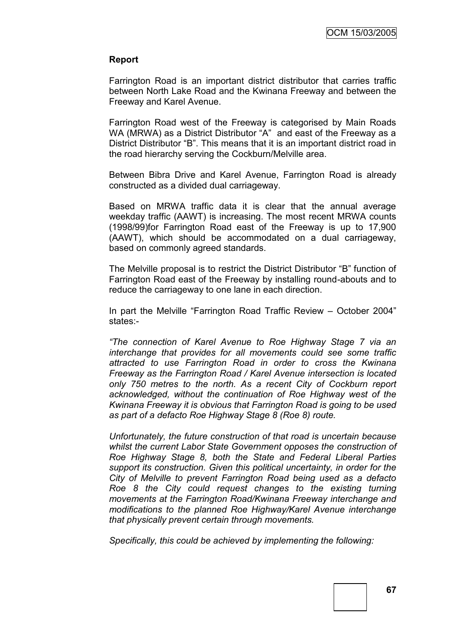#### **Report**

Farrington Road is an important district distributor that carries traffic between North Lake Road and the Kwinana Freeway and between the Freeway and Karel Avenue.

Farrington Road west of the Freeway is categorised by Main Roads WA (MRWA) as a District Distributor "A" and east of the Freeway as a District Distributor "B". This means that it is an important district road in the road hierarchy serving the Cockburn/Melville area.

Between Bibra Drive and Karel Avenue, Farrington Road is already constructed as a divided dual carriageway.

Based on MRWA traffic data it is clear that the annual average weekday traffic (AAWT) is increasing. The most recent MRWA counts (1998/99)for Farrington Road east of the Freeway is up to 17,900 (AAWT), which should be accommodated on a dual carriageway, based on commonly agreed standards.

The Melville proposal is to restrict the District Distributor "B" function of Farrington Road east of the Freeway by installing round-abouts and to reduce the carriageway to one lane in each direction.

In part the Melville "Farrington Road Traffic Review – October 2004" states:-

*"The connection of Karel Avenue to Roe Highway Stage 7 via an interchange that provides for all movements could see some traffic attracted to use Farrington Road in order to cross the Kwinana Freeway as the Farrington Road / Karel Avenue intersection is located only 750 metres to the north. As a recent City of Cockburn report acknowledged, without the continuation of Roe Highway west of the Kwinana Freeway it is obvious that Farrington Road is going to be used as part of a defacto Roe Highway Stage 8 (Roe 8) route.*

*Unfortunately, the future construction of that road is uncertain because whilst the current Labor State Government opposes the construction of Roe Highway Stage 8, both the State and Federal Liberal Parties support its construction. Given this political uncertainty, in order for the City of Melville to prevent Farrington Road being used as a defacto Roe 8 the City could request changes to the existing turning movements at the Farrington Road/Kwinana Freeway interchange and modifications to the planned Roe Highway/Karel Avenue interchange that physically prevent certain through movements.*

*Specifically, this could be achieved by implementing the following:*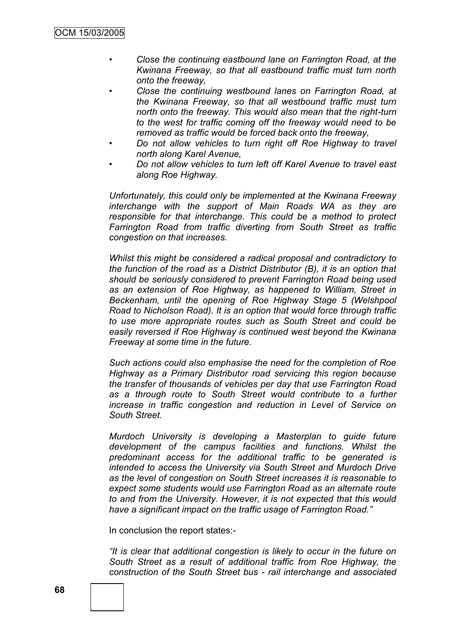- *• Close the continuing eastbound lane on Farrington Road, at the Kwinana Freeway, so that all eastbound traffic must turn north onto the freeway,*
- *• Close the continuing westbound lanes on Farrington Road, at the Kwinana Freeway, so that all westbound traffic must turn north onto the freeway. This would also mean that the right-turn to the west for traffic coming off the freeway would need to be removed as traffic would be forced back onto the freeway,*
- *• Do not allow vehicles to turn right off Roe Highway to travel north along Karel Avenue,*
- *• Do not allow vehicles to turn left off Karel Avenue to travel east along Roe Highway.*

*Unfortunately, this could only be implemented at the Kwinana Freeway interchange with the support of Main Roads WA as they are responsible for that interchange. This could be a method to protect Farrington Road from traffic diverting from South Street as traffic congestion on that increases.*

*Whilst this might be considered a radical proposal and contradictory to the function of the road as a District Distributor (B), it is an option that should be seriously considered to prevent Farrington Road being used as an extension of Roe Highway, as happened to William, Street in Beckenham, until the opening of Roe Highway Stage 5 (Welshpool Road to Nicholson Road). It is an option that would force through traffic to use more appropriate routes such as South Street and could be easily reversed if Roe Highway is continued west beyond the Kwinana Freeway at some time in the future.*

*Such actions could also emphasise the need for the completion of Roe Highway as a Primary Distributor road servicing this region because the transfer of thousands of vehicles per day that use Farrington Road as a through route to South Street would contribute to a further increase in traffic congestion and reduction in Level of Service on South Street.*

*Murdoch University is developing a Masterplan to guide future development of the campus facilities and functions. Whilst the predominant access for the additional traffic to be generated is intended to access the University via South Street and Murdoch Drive as the level of congestion on South Street increases it is reasonable to expect some students would use Farrington Road as an alternate route to and from the University. However, it is not expected that this would have a significant impact on the traffic usage of Farrington Road."*

In conclusion the report states:-

*"It is clear that additional congestion is likely to occur in the future on South Street as a result of additional traffic from Roe Highway, the construction of the South Street bus - rail interchange and associated*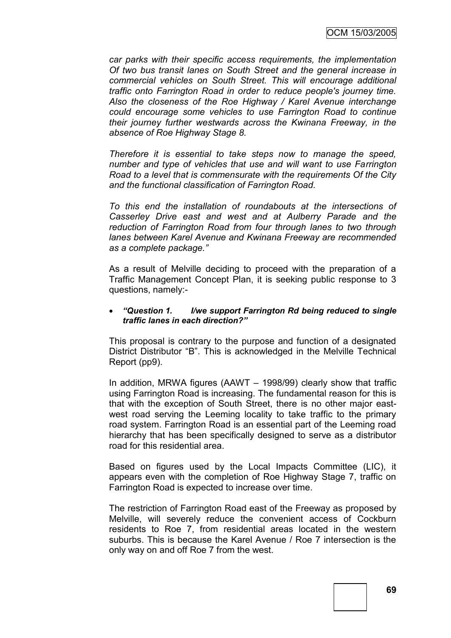*car parks with their specific access requirements, the implementation Of two bus transit lanes on South Street and the general increase in commercial vehicles on South Street. This will encourage additional traffic onto Farrington Road in order to reduce people's journey time. Also the closeness of the Roe Highway / Karel Avenue interchange could encourage some vehicles to use Farrington Road to continue their journey further westwards across the Kwinana Freeway, in the absence of Roe Highway Stage 8.*

*Therefore it is essential to take steps now to manage the speed, number and type of vehicles that use and will want to use Farrington Road to a level that is commensurate with the requirements Of the City and the functional classification of Farrington Road.*

*To this end the installation of roundabouts at the intersections of Casserley Drive east and west and at Aulberry Parade and the reduction of Farrington Road from four through lanes to two through lanes between Karel Avenue and Kwinana Freeway are recommended as a complete package."*

As a result of Melville deciding to proceed with the preparation of a Traffic Management Concept Plan, it is seeking public response to 3 questions, namely:-

#### *"Question 1. I/we support Farrington Rd being reduced to single traffic lanes in each direction?"*

This proposal is contrary to the purpose and function of a designated District Distributor "B". This is acknowledged in the Melville Technical Report (pp9).

In addition, MRWA figures (AAWT – 1998/99) clearly show that traffic using Farrington Road is increasing. The fundamental reason for this is that with the exception of South Street, there is no other major eastwest road serving the Leeming locality to take traffic to the primary road system. Farrington Road is an essential part of the Leeming road hierarchy that has been specifically designed to serve as a distributor road for this residential area.

Based on figures used by the Local Impacts Committee (LIC), it appears even with the completion of Roe Highway Stage 7, traffic on Farrington Road is expected to increase over time.

The restriction of Farrington Road east of the Freeway as proposed by Melville, will severely reduce the convenient access of Cockburn residents to Roe 7, from residential areas located in the western suburbs. This is because the Karel Avenue / Roe 7 intersection is the only way on and off Roe 7 from the west.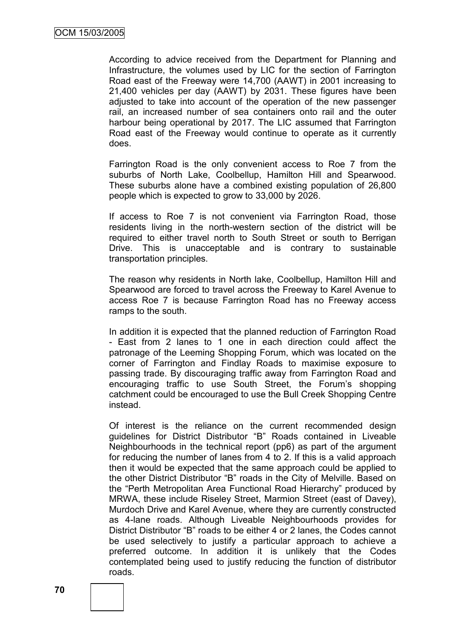According to advice received from the Department for Planning and Infrastructure, the volumes used by LIC for the section of Farrington Road east of the Freeway were 14,700 (AAWT) in 2001 increasing to 21,400 vehicles per day (AAWT) by 2031. These figures have been adjusted to take into account of the operation of the new passenger rail, an increased number of sea containers onto rail and the outer harbour being operational by 2017. The LIC assumed that Farrington Road east of the Freeway would continue to operate as it currently does.

Farrington Road is the only convenient access to Roe 7 from the suburbs of North Lake, Coolbellup, Hamilton Hill and Spearwood. These suburbs alone have a combined existing population of 26,800 people which is expected to grow to 33,000 by 2026.

If access to Roe 7 is not convenient via Farrington Road, those residents living in the north-western section of the district will be required to either travel north to South Street or south to Berrigan Drive. This is unacceptable and is contrary to sustainable transportation principles.

The reason why residents in North lake, Coolbellup, Hamilton Hill and Spearwood are forced to travel across the Freeway to Karel Avenue to access Roe 7 is because Farrington Road has no Freeway access ramps to the south.

In addition it is expected that the planned reduction of Farrington Road - East from 2 lanes to 1 one in each direction could affect the patronage of the Leeming Shopping Forum, which was located on the corner of Farrington and Findlay Roads to maximise exposure to passing trade. By discouraging traffic away from Farrington Road and encouraging traffic to use South Street, the Forum"s shopping catchment could be encouraged to use the Bull Creek Shopping Centre instead.

Of interest is the reliance on the current recommended design guidelines for District Distributor "B" Roads contained in Liveable Neighbourhoods in the technical report (pp6) as part of the argument for reducing the number of lanes from 4 to 2. If this is a valid approach then it would be expected that the same approach could be applied to the other District Distributor "B" roads in the City of Melville. Based on the "Perth Metropolitan Area Functional Road Hierarchy" produced by MRWA, these include Riseley Street, Marmion Street (east of Davey), Murdoch Drive and Karel Avenue, where they are currently constructed as 4-lane roads. Although Liveable Neighbourhoods provides for District Distributor "B" roads to be either 4 or 2 lanes, the Codes cannot be used selectively to justify a particular approach to achieve a preferred outcome. In addition it is unlikely that the Codes contemplated being used to justify reducing the function of distributor roads.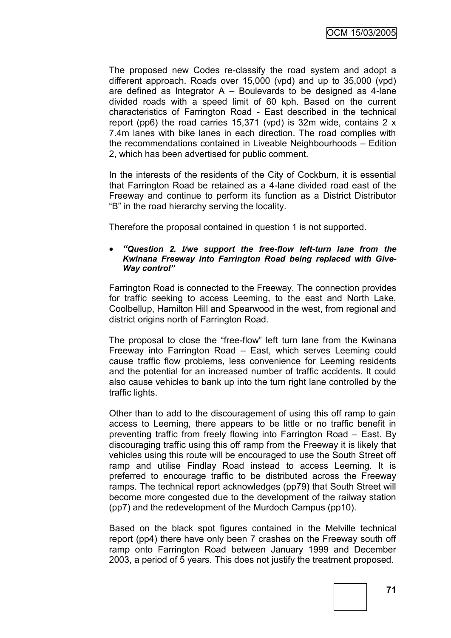The proposed new Codes re-classify the road system and adopt a different approach. Roads over 15,000 (vpd) and up to 35,000 (vpd) are defined as Integrator  $A - B$ oulevards to be designed as 4-lane divided roads with a speed limit of 60 kph. Based on the current characteristics of Farrington Road - East described in the technical report (pp6) the road carries 15,371 (vpd) is 32m wide, contains 2 x 7.4m lanes with bike lanes in each direction. The road complies with the recommendations contained in Liveable Neighbourhoods – Edition 2, which has been advertised for public comment.

In the interests of the residents of the City of Cockburn, it is essential that Farrington Road be retained as a 4-lane divided road east of the Freeway and continue to perform its function as a District Distributor "B" in the road hierarchy serving the locality.

Therefore the proposal contained in question 1 is not supported.

#### *"Question 2. I/we support the free-flow left-turn lane from the Kwinana Freeway into Farrington Road being replaced with Give-Way control"*

Farrington Road is connected to the Freeway. The connection provides for traffic seeking to access Leeming, to the east and North Lake, Coolbellup, Hamilton Hill and Spearwood in the west, from regional and district origins north of Farrington Road.

The proposal to close the "free-flow" left turn lane from the Kwinana Freeway into Farrington Road – East, which serves Leeming could cause traffic flow problems, less convenience for Leeming residents and the potential for an increased number of traffic accidents. It could also cause vehicles to bank up into the turn right lane controlled by the traffic lights.

Other than to add to the discouragement of using this off ramp to gain access to Leeming, there appears to be little or no traffic benefit in preventing traffic from freely flowing into Farrington Road – East. By discouraging traffic using this off ramp from the Freeway it is likely that vehicles using this route will be encouraged to use the South Street off ramp and utilise Findlay Road instead to access Leeming. It is preferred to encourage traffic to be distributed across the Freeway ramps. The technical report acknowledges (pp79) that South Street will become more congested due to the development of the railway station (pp7) and the redevelopment of the Murdoch Campus (pp10).

Based on the black spot figures contained in the Melville technical report (pp4) there have only been 7 crashes on the Freeway south off ramp onto Farrington Road between January 1999 and December 2003, a period of 5 years. This does not justify the treatment proposed.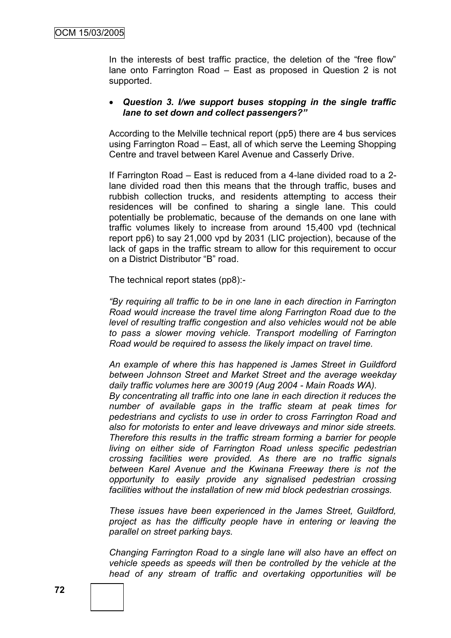In the interests of best traffic practice, the deletion of the "free flow" lane onto Farrington Road – East as proposed in Question 2 is not supported.

#### *Question 3. I/we support buses stopping in the single traffic lane to set down and collect passengers?"*

According to the Melville technical report (pp5) there are 4 bus services using Farrington Road – East, all of which serve the Leeming Shopping Centre and travel between Karel Avenue and Casserly Drive.

If Farrington Road – East is reduced from a 4-lane divided road to a 2 lane divided road then this means that the through traffic, buses and rubbish collection trucks, and residents attempting to access their residences will be confined to sharing a single lane. This could potentially be problematic, because of the demands on one lane with traffic volumes likely to increase from around 15,400 vpd (technical report pp6) to say 21,000 vpd by 2031 (LIC projection), because of the lack of gaps in the traffic stream to allow for this requirement to occur on a District Distributor "B" road.

The technical report states (pp8):-

*"By requiring all traffic to be in one lane in each direction in Farrington Road would increase the travel time along Farrington Road due to the level of resulting traffic congestion and also vehicles would not be able to pass a slower moving vehicle. Transport modelling of Farrington Road would be required to assess the likely impact on travel time.*

*An example of where this has happened is James Street in Guildford between Johnson Street and Market Street and the average weekday daily traffic volumes here are 30019 (Aug 2004 - Main Roads WA).*

*By concentrating all traffic into one lane in each direction it reduces the number of available gaps in the traffic steam at peak times for pedestrians and cyclists to use in order to cross Farrington Road and also for motorists to enter and leave driveways and minor side streets. Therefore this results in the traffic stream forming a barrier for people living on either side of Farrington Road unless specific pedestrian crossing facilities were provided. As there are no traffic signals between Karel Avenue and the Kwinana Freeway there is not the opportunity to easily provide any signalised pedestrian crossing facilities without the installation of new mid block pedestrian crossings.*

*These issues have been experienced in the James Street, Guildford, project as has the difficulty people have in entering or leaving the parallel on street parking bays.*

*Changing Farrington Road to a single lane will also have an effect on vehicle speeds as speeds will then be controlled by the vehicle at the head of any stream of traffic and overtaking opportunities will be*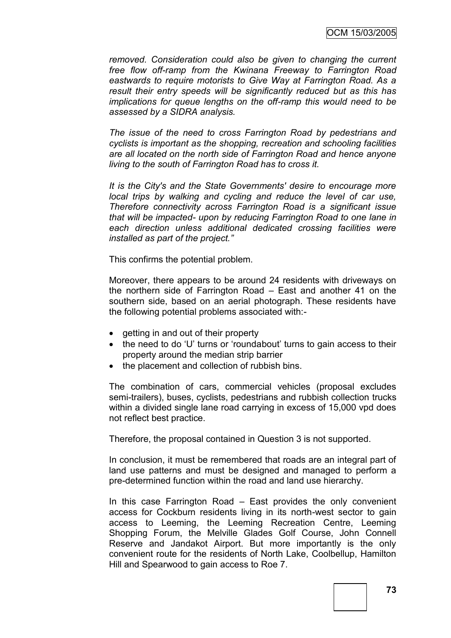*removed. Consideration could also be given to changing the current free flow off-ramp from the Kwinana Freeway to Farrington Road eastwards to require motorists to Give Way at Farrington Road. As a result their entry speeds will be significantly reduced but as this has implications for queue lengths on the off-ramp this would need to be assessed by a SIDRA analysis.*

*The issue of the need to cross Farrington Road by pedestrians and cyclists is important as the shopping, recreation and schooling facilities are all located on the north side of Farrington Road and hence anyone living to the south of Farrington Road has to cross it.*

*It is the City's and the State Governments' desire to encourage more local trips by walking and cycling and reduce the level of car use, Therefore connectivity across Farrington Road is a significant issue that will be impacted- upon by reducing Farrington Road to one lane in each direction unless additional dedicated crossing facilities were installed as part of the project."*

This confirms the potential problem.

Moreover, there appears to be around 24 residents with driveways on the northern side of Farrington Road – East and another 41 on the southern side, based on an aerial photograph. These residents have the following potential problems associated with:-

- getting in and out of their property
- the need to do 'U' turns or 'roundabout' turns to gain access to their property around the median strip barrier
- the placement and collection of rubbish bins.

The combination of cars, commercial vehicles (proposal excludes semi-trailers), buses, cyclists, pedestrians and rubbish collection trucks within a divided single lane road carrying in excess of 15,000 vpd does not reflect best practice.

Therefore, the proposal contained in Question 3 is not supported.

In conclusion, it must be remembered that roads are an integral part of land use patterns and must be designed and managed to perform a pre-determined function within the road and land use hierarchy.

In this case Farrington Road – East provides the only convenient access for Cockburn residents living in its north-west sector to gain access to Leeming, the Leeming Recreation Centre, Leeming Shopping Forum, the Melville Glades Golf Course, John Connell Reserve and Jandakot Airport. But more importantly is the only convenient route for the residents of North Lake, Coolbellup, Hamilton Hill and Spearwood to gain access to Roe 7.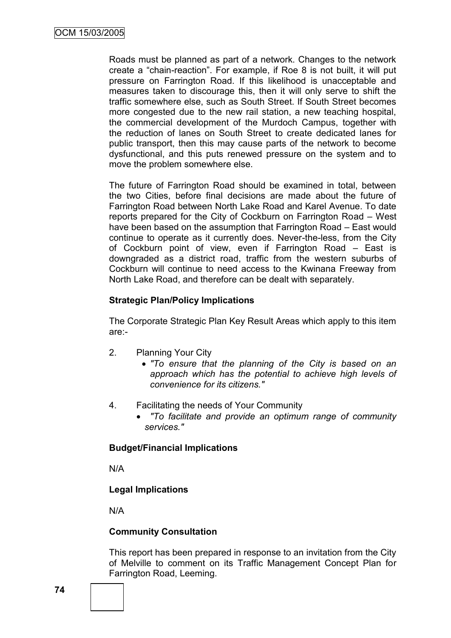Roads must be planned as part of a network. Changes to the network create a "chain-reaction". For example, if Roe 8 is not built, it will put pressure on Farrington Road. If this likelihood is unacceptable and measures taken to discourage this, then it will only serve to shift the traffic somewhere else, such as South Street. If South Street becomes more congested due to the new rail station, a new teaching hospital, the commercial development of the Murdoch Campus, together with the reduction of lanes on South Street to create dedicated lanes for public transport, then this may cause parts of the network to become dysfunctional, and this puts renewed pressure on the system and to move the problem somewhere else.

The future of Farrington Road should be examined in total, between the two Cities, before final decisions are made about the future of Farrington Road between North Lake Road and Karel Avenue. To date reports prepared for the City of Cockburn on Farrington Road – West have been based on the assumption that Farrington Road – East would continue to operate as it currently does. Never-the-less, from the City of Cockburn point of view, even if Farrington Road – East is downgraded as a district road, traffic from the western suburbs of Cockburn will continue to need access to the Kwinana Freeway from North Lake Road, and therefore can be dealt with separately.

## **Strategic Plan/Policy Implications**

The Corporate Strategic Plan Key Result Areas which apply to this item are:-

- 2. Planning Your City
	- *"To ensure that the planning of the City is based on an approach which has the potential to achieve high levels of convenience for its citizens."*
- 4. Facilitating the needs of Your Community
	- *"To facilitate and provide an optimum range of community services."*

## **Budget/Financial Implications**

N/A

# **Legal Implications**

N/A

## **Community Consultation**

This report has been prepared in response to an invitation from the City of Melville to comment on its Traffic Management Concept Plan for Farrington Road, Leeming.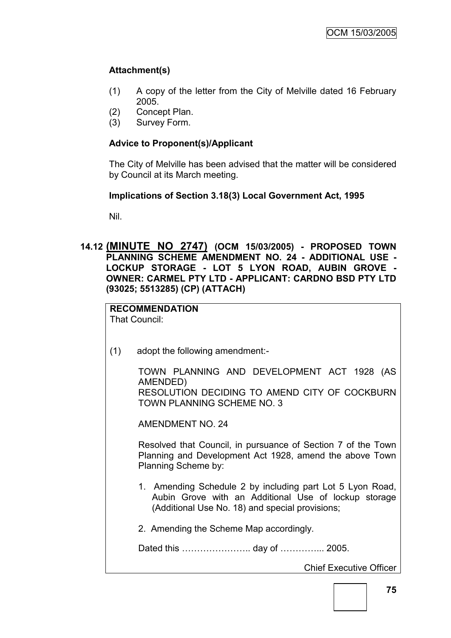# **Attachment(s)**

- (1) A copy of the letter from the City of Melville dated 16 February 2005.
- (2) Concept Plan.
- (3) Survey Form.

## **Advice to Proponent(s)/Applicant**

The City of Melville has been advised that the matter will be considered by Council at its March meeting.

## **Implications of Section 3.18(3) Local Government Act, 1995**

Nil.

**14.12 (MINUTE NO 2747) (OCM 15/03/2005) - PROPOSED TOWN PLANNING SCHEME AMENDMENT NO. 24 - ADDITIONAL USE - LOCKUP STORAGE - LOT 5 LYON ROAD, AUBIN GROVE - OWNER: CARMEL PTY LTD - APPLICANT: CARDNO BSD PTY LTD (93025; 5513285) (CP) (ATTACH)**

**RECOMMENDATION** That Council:

(1) adopt the following amendment:-

TOWN PLANNING AND DEVELOPMENT ACT 1928 (AS AMENDED) RESOLUTION DECIDING TO AMEND CITY OF COCKBURN TOWN PLANNING SCHEME NO. 3

AMENDMENT NO. 24

Resolved that Council, in pursuance of Section 7 of the Town Planning and Development Act 1928, amend the above Town Planning Scheme by:

- 1. Amending Schedule 2 by including part Lot 5 Lyon Road, Aubin Grove with an Additional Use of lockup storage (Additional Use No. 18) and special provisions;
- 2. Amending the Scheme Map accordingly.

Dated this …………………… day of …………… 2005.

Chief Executive Officer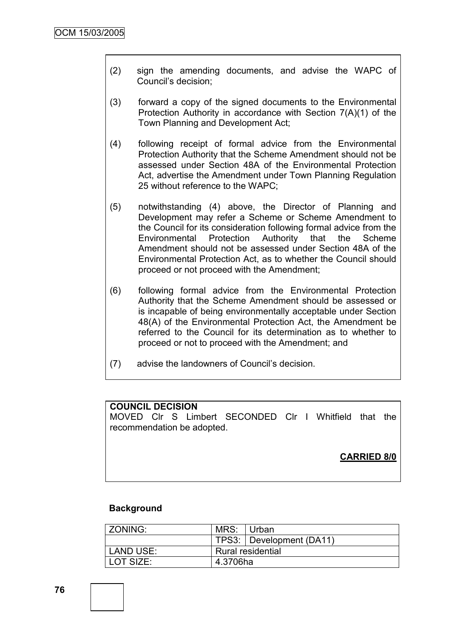- (2) sign the amending documents, and advise the WAPC of Council"s decision;
- (3) forward a copy of the signed documents to the Environmental Protection Authority in accordance with Section 7(A)(1) of the Town Planning and Development Act;
- (4) following receipt of formal advice from the Environmental Protection Authority that the Scheme Amendment should not be assessed under Section 48A of the Environmental Protection Act, advertise the Amendment under Town Planning Regulation 25 without reference to the WAPC;
- (5) notwithstanding (4) above, the Director of Planning and Development may refer a Scheme or Scheme Amendment to the Council for its consideration following formal advice from the Environmental Protection Authority that the Scheme Amendment should not be assessed under Section 48A of the Environmental Protection Act, as to whether the Council should proceed or not proceed with the Amendment;
- (6) following formal advice from the Environmental Protection Authority that the Scheme Amendment should be assessed or is incapable of being environmentally acceptable under Section 48(A) of the Environmental Protection Act, the Amendment be referred to the Council for its determination as to whether to proceed or not to proceed with the Amendment; and
- (7) advise the landowners of Council"s decision.

## **COUNCIL DECISION**

MOVED Clr S Limbert SECONDED Clr I Whitfield that the recommendation be adopted.

**CARRIED 8/0**

#### **Background**

| l ZONING: | MRS: Urban               |                          |
|-----------|--------------------------|--------------------------|
|           |                          | TPS3: Development (DA11) |
| LAND USE: | <b>Rural residential</b> |                          |
| LOT SIZE: | 4.3706ha                 |                          |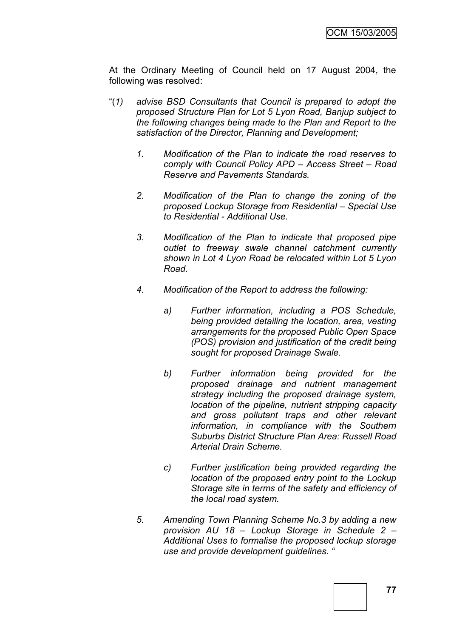At the Ordinary Meeting of Council held on 17 August 2004, the following was resolved:

- "(*1) advise BSD Consultants that Council is prepared to adopt the proposed Structure Plan for Lot 5 Lyon Road, Banjup subject to the following changes being made to the Plan and Report to the satisfaction of the Director, Planning and Development;*
	- *1. Modification of the Plan to indicate the road reserves to comply with Council Policy APD – Access Street – Road Reserve and Pavements Standards.*
	- *2. Modification of the Plan to change the zoning of the proposed Lockup Storage from Residential – Special Use to Residential - Additional Use.*
	- *3. Modification of the Plan to indicate that proposed pipe outlet to freeway swale channel catchment currently shown in Lot 4 Lyon Road be relocated within Lot 5 Lyon Road.*
	- *4. Modification of the Report to address the following:*
		- *a) Further information, including a POS Schedule, being provided detailing the location, area, vesting arrangements for the proposed Public Open Space (POS) provision and justification of the credit being sought for proposed Drainage Swale.*
		- *b) Further information being provided for the proposed drainage and nutrient management strategy including the proposed drainage system, location of the pipeline, nutrient stripping capacity and gross pollutant traps and other relevant information, in compliance with the Southern Suburbs District Structure Plan Area: Russell Road Arterial Drain Scheme.*
		- *c) Further justification being provided regarding the location of the proposed entry point to the Lockup Storage site in terms of the safety and efficiency of the local road system.*
	- *5. Amending Town Planning Scheme No.3 by adding a new provision AU 18 – Lockup Storage in Schedule 2 – Additional Uses to formalise the proposed lockup storage use and provide development guidelines. "*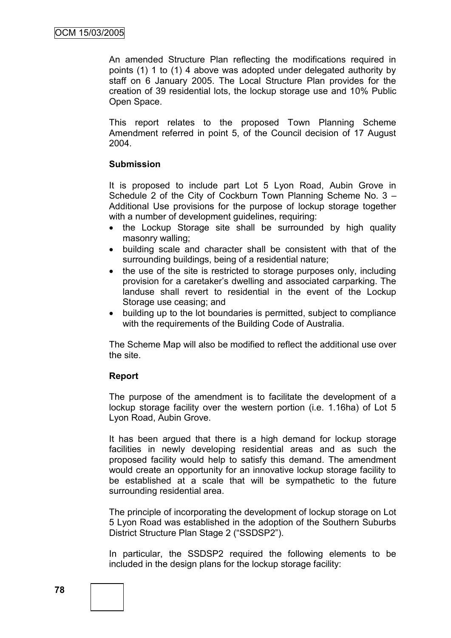An amended Structure Plan reflecting the modifications required in points (1) 1 to (1) 4 above was adopted under delegated authority by staff on 6 January 2005. The Local Structure Plan provides for the creation of 39 residential lots, the lockup storage use and 10% Public Open Space.

This report relates to the proposed Town Planning Scheme Amendment referred in point 5, of the Council decision of 17 August 2004.

## **Submission**

It is proposed to include part Lot 5 Lyon Road, Aubin Grove in Schedule 2 of the City of Cockburn Town Planning Scheme No. 3 – Additional Use provisions for the purpose of lockup storage together with a number of development guidelines, requiring:

- the Lockup Storage site shall be surrounded by high quality masonry walling;
- building scale and character shall be consistent with that of the surrounding buildings, being of a residential nature;
- the use of the site is restricted to storage purposes only, including provision for a caretaker"s dwelling and associated carparking. The landuse shall revert to residential in the event of the Lockup Storage use ceasing; and
- building up to the lot boundaries is permitted, subject to compliance with the requirements of the Building Code of Australia.

The Scheme Map will also be modified to reflect the additional use over the site.

## **Report**

The purpose of the amendment is to facilitate the development of a lockup storage facility over the western portion (i.e. 1.16ha) of Lot 5 Lyon Road, Aubin Grove.

It has been argued that there is a high demand for lockup storage facilities in newly developing residential areas and as such the proposed facility would help to satisfy this demand. The amendment would create an opportunity for an innovative lockup storage facility to be established at a scale that will be sympathetic to the future surrounding residential area.

The principle of incorporating the development of lockup storage on Lot 5 Lyon Road was established in the adoption of the Southern Suburbs District Structure Plan Stage 2 ("SSDSP2").

In particular, the SSDSP2 required the following elements to be included in the design plans for the lockup storage facility: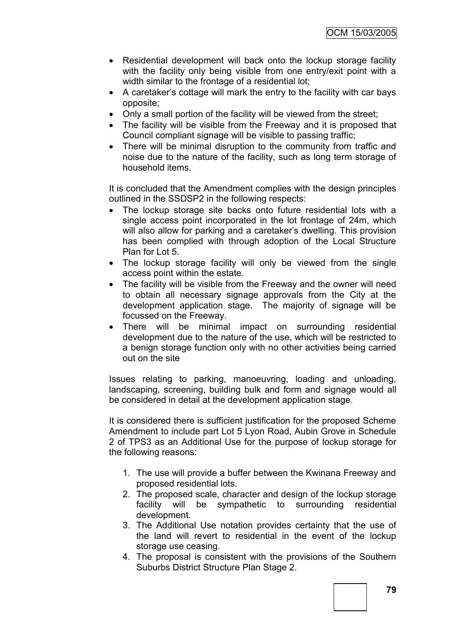- Residential development will back onto the lockup storage facility with the facility only being visible from one entry/exit point with a width similar to the frontage of a residential lot;
- A caretaker"s cottage will mark the entry to the facility with car bays opposite;
- Only a small portion of the facility will be viewed from the street;
- The facility will be visible from the Freeway and it is proposed that Council compliant signage will be visible to passing traffic;
- There will be minimal disruption to the community from traffic and noise due to the nature of the facility, such as long term storage of household items.

It is concluded that the Amendment complies with the design principles outlined in the SSDSP2 in the following respects:

- The lockup storage site backs onto future residential lots with a single access point incorporated in the lot frontage of 24m, which will also allow for parking and a caretaker"s dwelling. This provision has been complied with through adoption of the Local Structure Plan for Lot 5.
- The lockup storage facility will only be viewed from the single access point within the estate.
- The facility will be visible from the Freeway and the owner will need to obtain all necessary signage approvals from the City at the development application stage. The majority of signage will be focussed on the Freeway.
- There will be minimal impact on surrounding residential development due to the nature of the use, which will be restricted to a benign storage function only with no other activities being carried out on the site

Issues relating to parking, manoeuvring, loading and unloading, landscaping, screening, building bulk and form and signage would all be considered in detail at the development application stage.

It is considered there is sufficient justification for the proposed Scheme Amendment to include part Lot 5 Lyon Road, Aubin Grove in Schedule 2 of TPS3 as an Additional Use for the purpose of lockup storage for the following reasons:

- 1. The use will provide a buffer between the Kwinana Freeway and proposed residential lots.
- 2. The proposed scale, character and design of the lockup storage facility will be sympathetic to surrounding residential development.
- 3. The Additional Use notation provides certainty that the use of the land will revert to residential in the event of the lockup storage use ceasing.
- 4. The proposal is consistent with the provisions of the Southern Suburbs District Structure Plan Stage 2.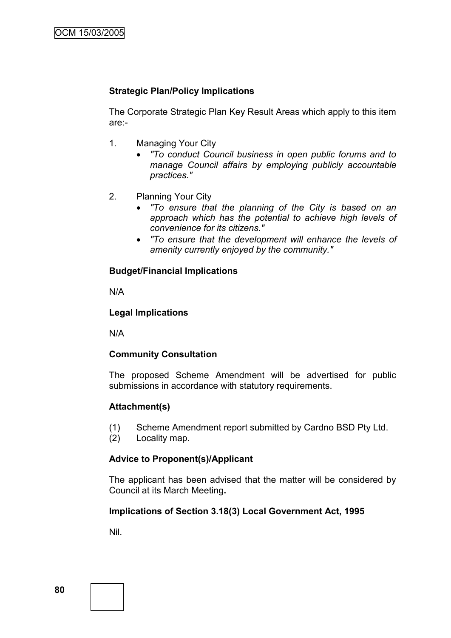# **Strategic Plan/Policy Implications**

The Corporate Strategic Plan Key Result Areas which apply to this item are:-

- 1. Managing Your City
	- *"To conduct Council business in open public forums and to manage Council affairs by employing publicly accountable practices."*
- 2. Planning Your City
	- *"To ensure that the planning of the City is based on an approach which has the potential to achieve high levels of convenience for its citizens."*
	- *"To ensure that the development will enhance the levels of amenity currently enjoyed by the community."*

#### **Budget/Financial Implications**

N/A

#### **Legal Implications**

N/A

## **Community Consultation**

The proposed Scheme Amendment will be advertised for public submissions in accordance with statutory requirements.

#### **Attachment(s)**

- (1) Scheme Amendment report submitted by Cardno BSD Pty Ltd.
- (2) Locality map.

## **Advice to Proponent(s)/Applicant**

The applicant has been advised that the matter will be considered by Council at its March Meeting**.**

## **Implications of Section 3.18(3) Local Government Act, 1995**

Nil.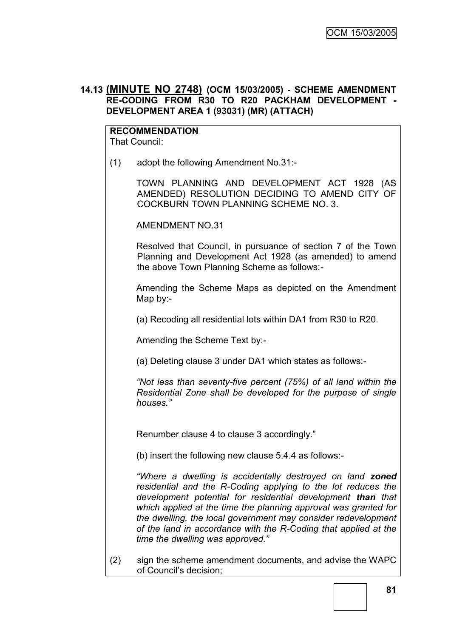## **14.13 (MINUTE NO 2748) (OCM 15/03/2005) - SCHEME AMENDMENT RE-CODING FROM R30 TO R20 PACKHAM DEVELOPMENT - DEVELOPMENT AREA 1 (93031) (MR) (ATTACH)**

#### **RECOMMENDATION** That Council:

(1) adopt the following Amendment No.31:-

TOWN PLANNING AND DEVELOPMENT ACT 1928 (AS AMENDED) RESOLUTION DECIDING TO AMEND CITY OF COCKBURN TOWN PLANNING SCHEME NO. 3.

AMENDMENT NO.31

Resolved that Council, in pursuance of section 7 of the Town Planning and Development Act 1928 (as amended) to amend the above Town Planning Scheme as follows:-

Amending the Scheme Maps as depicted on the Amendment Map by:-

(a) Recoding all residential lots within DA1 from R30 to R20.

Amending the Scheme Text by:-

(a) Deleting clause 3 under DA1 which states as follows:-

*"Not less than seventy-five percent (75%) of all land within the Residential Zone shall be developed for the purpose of single houses."*

Renumber clause 4 to clause 3 accordingly."

(b) insert the following new clause 5.4.4 as follows:-

*"Where a dwelling is accidentally destroyed on land zoned residential and the R-Coding applying to the lot reduces the development potential for residential development than that which applied at the time the planning approval was granted for the dwelling, the local government may consider redevelopment of the land in accordance with the R-Coding that applied at the time the dwelling was approved."*

(2) sign the scheme amendment documents, and advise the WAPC of Council"s decision;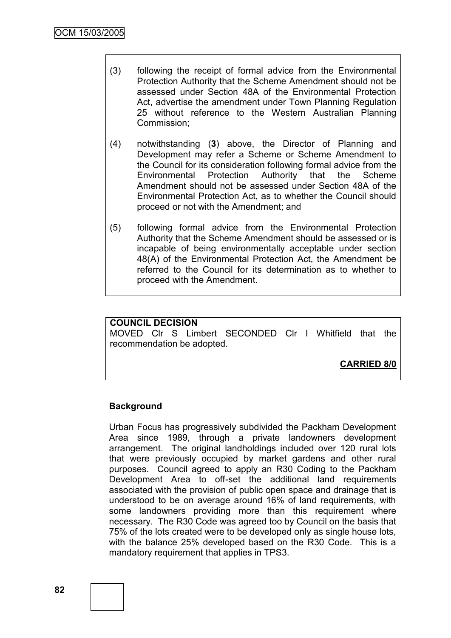- (3) following the receipt of formal advice from the Environmental Protection Authority that the Scheme Amendment should not be assessed under Section 48A of the Environmental Protection Act, advertise the amendment under Town Planning Regulation 25 without reference to the Western Australian Planning Commission;
- (4) notwithstanding (**3**) above, the Director of Planning and Development may refer a Scheme or Scheme Amendment to the Council for its consideration following formal advice from the Environmental Protection Authority that the Scheme Amendment should not be assessed under Section 48A of the Environmental Protection Act, as to whether the Council should proceed or not with the Amendment; and
- (5) following formal advice from the Environmental Protection Authority that the Scheme Amendment should be assessed or is incapable of being environmentally acceptable under section 48(A) of the Environmental Protection Act, the Amendment be referred to the Council for its determination as to whether to proceed with the Amendment.

## **COUNCIL DECISION**

MOVED Clr S Limbert SECONDED Clr I Whitfield that the recommendation be adopted.

**CARRIED 8/0**

#### **Background**

Urban Focus has progressively subdivided the Packham Development Area since 1989, through a private landowners development arrangement. The original landholdings included over 120 rural lots that were previously occupied by market gardens and other rural purposes. Council agreed to apply an R30 Coding to the Packham Development Area to off-set the additional land requirements associated with the provision of public open space and drainage that is understood to be on average around 16% of land requirements, with some landowners providing more than this requirement where necessary. The R30 Code was agreed too by Council on the basis that 75% of the lots created were to be developed only as single house lots, with the balance 25% developed based on the R30 Code. This is a mandatory requirement that applies in TPS3.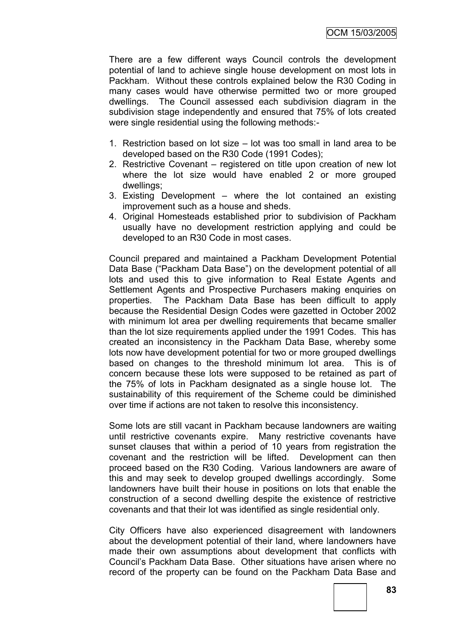There are a few different ways Council controls the development potential of land to achieve single house development on most lots in Packham. Without these controls explained below the R30 Coding in many cases would have otherwise permitted two or more grouped dwellings. The Council assessed each subdivision diagram in the subdivision stage independently and ensured that 75% of lots created were single residential using the following methods:-

- 1. Restriction based on lot size lot was too small in land area to be developed based on the R30 Code (1991 Codes);
- 2. Restrictive Covenant registered on title upon creation of new lot where the lot size would have enabled 2 or more grouped dwellings;
- 3. Existing Development where the lot contained an existing improvement such as a house and sheds.
- 4. Original Homesteads established prior to subdivision of Packham usually have no development restriction applying and could be developed to an R30 Code in most cases.

Council prepared and maintained a Packham Development Potential Data Base ("Packham Data Base") on the development potential of all lots and used this to give information to Real Estate Agents and Settlement Agents and Prospective Purchasers making enquiries on properties. The Packham Data Base has been difficult to apply because the Residential Design Codes were gazetted in October 2002 with minimum lot area per dwelling requirements that became smaller than the lot size requirements applied under the 1991 Codes. This has created an inconsistency in the Packham Data Base, whereby some lots now have development potential for two or more grouped dwellings based on changes to the threshold minimum lot area. This is of concern because these lots were supposed to be retained as part of the 75% of lots in Packham designated as a single house lot. The sustainability of this requirement of the Scheme could be diminished over time if actions are not taken to resolve this inconsistency.

Some lots are still vacant in Packham because landowners are waiting until restrictive covenants expire. Many restrictive covenants have sunset clauses that within a period of 10 years from registration the covenant and the restriction will be lifted. Development can then proceed based on the R30 Coding. Various landowners are aware of this and may seek to develop grouped dwellings accordingly. Some landowners have built their house in positions on lots that enable the construction of a second dwelling despite the existence of restrictive covenants and that their lot was identified as single residential only.

City Officers have also experienced disagreement with landowners about the development potential of their land, where landowners have made their own assumptions about development that conflicts with Council"s Packham Data Base. Other situations have arisen where no record of the property can be found on the Packham Data Base and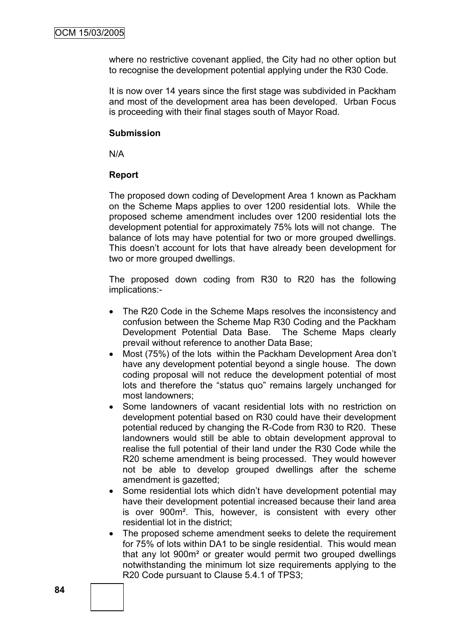where no restrictive covenant applied, the City had no other option but to recognise the development potential applying under the R30 Code.

It is now over 14 years since the first stage was subdivided in Packham and most of the development area has been developed. Urban Focus is proceeding with their final stages south of Mayor Road.

## **Submission**

N/A

## **Report**

The proposed down coding of Development Area 1 known as Packham on the Scheme Maps applies to over 1200 residential lots. While the proposed scheme amendment includes over 1200 residential lots the development potential for approximately 75% lots will not change. The balance of lots may have potential for two or more grouped dwellings. This doesn"t account for lots that have already been development for two or more grouped dwellings.

The proposed down coding from R30 to R20 has the following implications:-

- The R20 Code in the Scheme Maps resolves the inconsistency and confusion between the Scheme Map R30 Coding and the Packham Development Potential Data Base. The Scheme Maps clearly prevail without reference to another Data Base;
- Most (75%) of the lots within the Packham Development Area don't have any development potential beyond a single house. The down coding proposal will not reduce the development potential of most lots and therefore the "status quo" remains largely unchanged for most landowners;
- Some landowners of vacant residential lots with no restriction on development potential based on R30 could have their development potential reduced by changing the R-Code from R30 to R20. These landowners would still be able to obtain development approval to realise the full potential of their land under the R30 Code while the R20 scheme amendment is being processed. They would however not be able to develop grouped dwellings after the scheme amendment is gazetted;
- Some residential lots which didn't have development potential may have their development potential increased because their land area is over 900m². This, however, is consistent with every other residential lot in the district;
- The proposed scheme amendment seeks to delete the requirement for 75% of lots within DA1 to be single residential. This would mean that any lot 900m² or greater would permit two grouped dwellings notwithstanding the minimum lot size requirements applying to the R20 Code pursuant to Clause 5.4.1 of TPS3;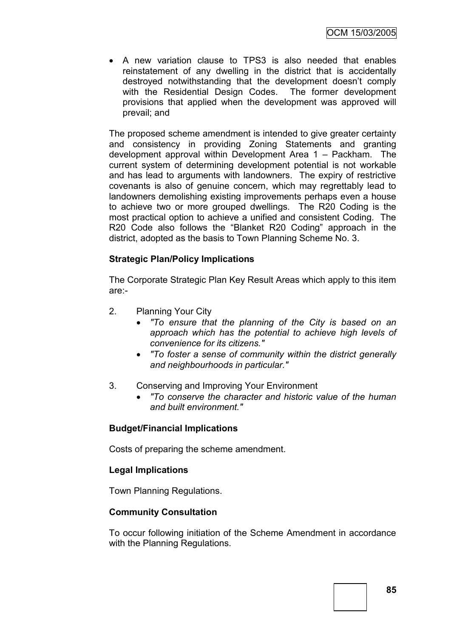A new variation clause to TPS3 is also needed that enables reinstatement of any dwelling in the district that is accidentally destroyed notwithstanding that the development doesn"t comply with the Residential Design Codes. The former development provisions that applied when the development was approved will prevail; and

The proposed scheme amendment is intended to give greater certainty and consistency in providing Zoning Statements and granting development approval within Development Area 1 – Packham. The current system of determining development potential is not workable and has lead to arguments with landowners. The expiry of restrictive covenants is also of genuine concern, which may regrettably lead to landowners demolishing existing improvements perhaps even a house to achieve two or more grouped dwellings. The R20 Coding is the most practical option to achieve a unified and consistent Coding. The R20 Code also follows the "Blanket R20 Coding" approach in the district, adopted as the basis to Town Planning Scheme No. 3.

## **Strategic Plan/Policy Implications**

The Corporate Strategic Plan Key Result Areas which apply to this item are:-

- 2. Planning Your City
	- *"To ensure that the planning of the City is based on an approach which has the potential to achieve high levels of convenience for its citizens."*
	- *"To foster a sense of community within the district generally and neighbourhoods in particular."*
- 3. Conserving and Improving Your Environment
	- *"To conserve the character and historic value of the human and built environment."*

## **Budget/Financial Implications**

Costs of preparing the scheme amendment.

## **Legal Implications**

Town Planning Regulations.

#### **Community Consultation**

To occur following initiation of the Scheme Amendment in accordance with the Planning Regulations.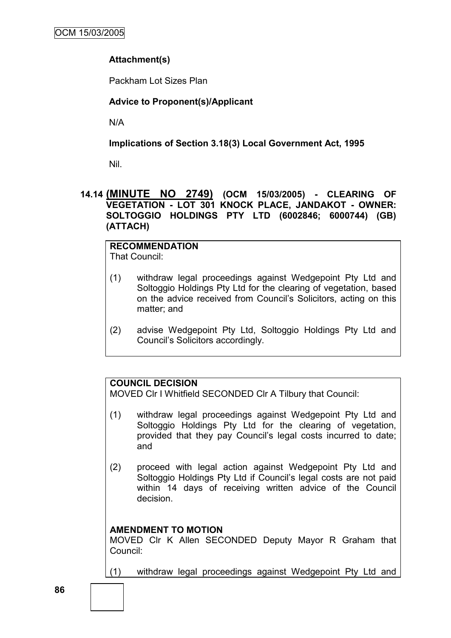# **Attachment(s)**

Packham Lot Sizes Plan

## **Advice to Proponent(s)/Applicant**

N/A

## **Implications of Section 3.18(3) Local Government Act, 1995**

Nil.

## **14.14 (MINUTE NO 2749) (OCM 15/03/2005) - CLEARING OF VEGETATION - LOT 301 KNOCK PLACE, JANDAKOT - OWNER: SOLTOGGIO HOLDINGS PTY LTD (6002846; 6000744) (GB) (ATTACH)**

# **RECOMMENDATION**

That Council:

- (1) withdraw legal proceedings against Wedgepoint Pty Ltd and Soltoggio Holdings Pty Ltd for the clearing of vegetation, based on the advice received from Council"s Solicitors, acting on this matter; and
- (2) advise Wedgepoint Pty Ltd, Soltoggio Holdings Pty Ltd and Council"s Solicitors accordingly.

# **COUNCIL DECISION**

MOVED Clr I Whitfield SECONDED Clr A Tilbury that Council:

- (1) withdraw legal proceedings against Wedgepoint Pty Ltd and Soltoggio Holdings Pty Ltd for the clearing of vegetation, provided that they pay Council's legal costs incurred to date: and
- (2) proceed with legal action against Wedgepoint Pty Ltd and Soltoggio Holdings Pty Ltd if Council's legal costs are not paid within 14 days of receiving written advice of the Council decision.

# **AMENDMENT TO MOTION**

MOVED Clr K Allen SECONDED Deputy Mayor R Graham that Council:

(1) withdraw legal proceedings against Wedgepoint Pty Ltd and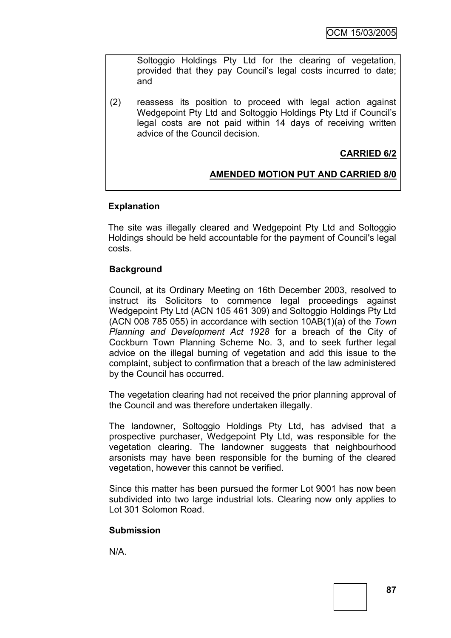Soltoggio Holdings Pty Ltd for the clearing of vegetation, provided that they pay Council"s legal costs incurred to date; and

(2) reassess its position to proceed with legal action against Wedgepoint Pty Ltd and Soltoggio Holdings Pty Ltd if Council"s legal costs are not paid within 14 days of receiving written advice of the Council decision.

# **CARRIED 6/2**

## **AMENDED MOTION PUT AND CARRIED 8/0**

#### **Explanation**

The site was illegally cleared and Wedgepoint Pty Ltd and Soltoggio Holdings should be held accountable for the payment of Council's legal costs.

## **Background**

Council, at its Ordinary Meeting on 16th December 2003, resolved to instruct its Solicitors to commence legal proceedings against Wedgepoint Pty Ltd (ACN 105 461 309) and Soltoggio Holdings Pty Ltd (ACN 008 785 055) in accordance with section 10AB(1)(a) of the *Town Planning and Development Act 1928* for a breach of the City of Cockburn Town Planning Scheme No. 3, and to seek further legal advice on the illegal burning of vegetation and add this issue to the complaint, subject to confirmation that a breach of the law administered by the Council has occurred.

The vegetation clearing had not received the prior planning approval of the Council and was therefore undertaken illegally.

The landowner, Soltoggio Holdings Pty Ltd, has advised that a prospective purchaser, Wedgepoint Pty Ltd, was responsible for the vegetation clearing. The landowner suggests that neighbourhood arsonists may have been responsible for the burning of the cleared vegetation, however this cannot be verified.

Since this matter has been pursued the former Lot 9001 has now been subdivided into two large industrial lots. Clearing now only applies to Lot 301 Solomon Road.

## **Submission**

N/A.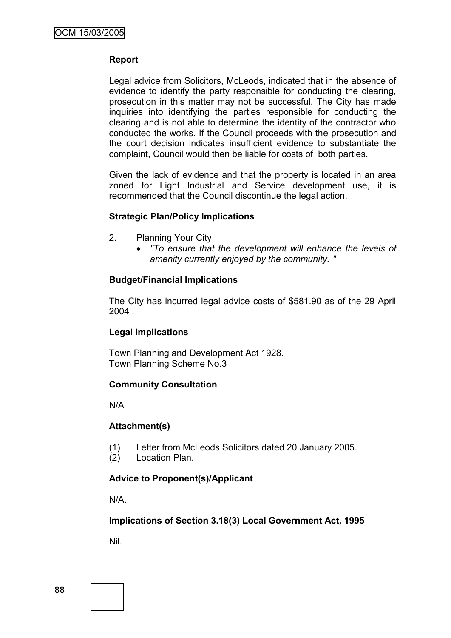## **Report**

Legal advice from Solicitors, McLeods, indicated that in the absence of evidence to identify the party responsible for conducting the clearing, prosecution in this matter may not be successful. The City has made inquiries into identifying the parties responsible for conducting the clearing and is not able to determine the identity of the contractor who conducted the works. If the Council proceeds with the prosecution and the court decision indicates insufficient evidence to substantiate the complaint, Council would then be liable for costs of both parties.

Given the lack of evidence and that the property is located in an area zoned for Light Industrial and Service development use, it is recommended that the Council discontinue the legal action.

#### **Strategic Plan/Policy Implications**

- 2. Planning Your City
	- *"To ensure that the development will enhance the levels of amenity currently enjoyed by the community. "*

#### **Budget/Financial Implications**

The City has incurred legal advice costs of \$581.90 as of the 29 April 2004 .

## **Legal Implications**

Town Planning and Development Act 1928. Town Planning Scheme No.3

## **Community Consultation**

N/A

#### **Attachment(s)**

- (1) Letter from McLeods Solicitors dated 20 January 2005.
- (2) Location Plan.

## **Advice to Proponent(s)/Applicant**

N/A.

## **Implications of Section 3.18(3) Local Government Act, 1995**

Nil.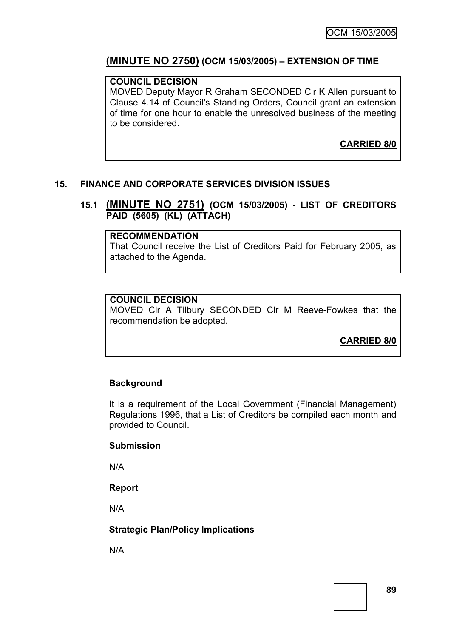# **(MINUTE NO 2750) (OCM 15/03/2005) – EXTENSION OF TIME**

## **COUNCIL DECISION**

MOVED Deputy Mayor R Graham SECONDED Clr K Allen pursuant to Clause 4.14 of Council's Standing Orders, Council grant an extension of time for one hour to enable the unresolved business of the meeting to be considered.

**CARRIED 8/0**

## **15. FINANCE AND CORPORATE SERVICES DIVISION ISSUES**

## **15.1 (MINUTE NO 2751) (OCM 15/03/2005) - LIST OF CREDITORS PAID (5605) (KL) (ATTACH)**

#### **RECOMMENDATION**

That Council receive the List of Creditors Paid for February 2005, as attached to the Agenda.

#### **COUNCIL DECISION**

MOVED Clr A Tilbury SECONDED Clr M Reeve-Fowkes that the recommendation be adopted.

**CARRIED 8/0**

## **Background**

It is a requirement of the Local Government (Financial Management) Regulations 1996, that a List of Creditors be compiled each month and provided to Council.

#### **Submission**

N/A

**Report**

N/A

## **Strategic Plan/Policy Implications**

N/A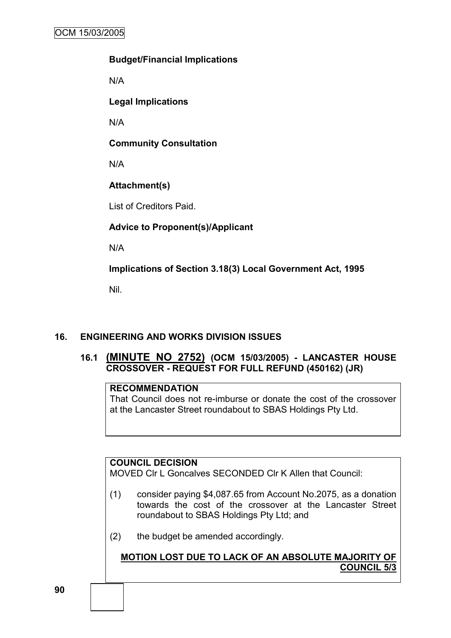# **Budget/Financial Implications**

N/A

**Legal Implications**

N/A

**Community Consultation**

N/A

# **Attachment(s)**

List of Creditors Paid.

# **Advice to Proponent(s)/Applicant**

N/A

**Implications of Section 3.18(3) Local Government Act, 1995**

Nil.

# **16. ENGINEERING AND WORKS DIVISION ISSUES**

# **16.1 (MINUTE NO 2752) (OCM 15/03/2005) - LANCASTER HOUSE CROSSOVER - REQUEST FOR FULL REFUND (450162) (JR)**

## **RECOMMENDATION**

That Council does not re-imburse or donate the cost of the crossover at the Lancaster Street roundabout to SBAS Holdings Pty Ltd.

# **COUNCIL DECISION**

MOVED Clr L Goncalves SECONDED Clr K Allen that Council:

- (1) consider paying \$4,087.65 from Account No.2075, as a donation towards the cost of the crossover at the Lancaster Street roundabout to SBAS Holdings Pty Ltd; and
- (2) the budget be amended accordingly.

**MOTION LOST DUE TO LACK OF AN ABSOLUTE MAJORITY OF COUNCIL 5/3**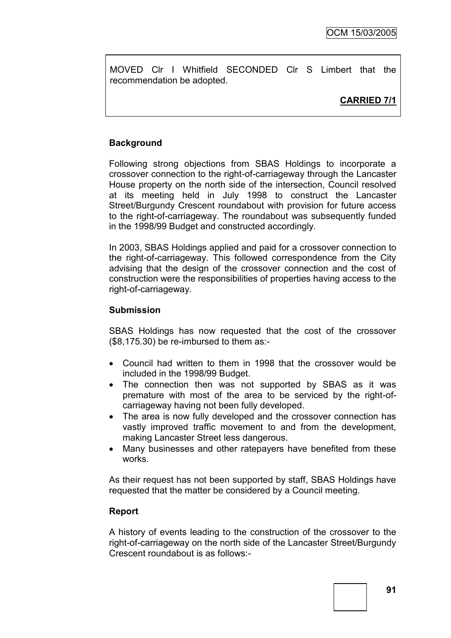MOVED Clr I Whitfield SECONDED Clr S Limbert that the recommendation be adopted.

## **CARRIED 7/1**

## **Background**

Following strong objections from SBAS Holdings to incorporate a crossover connection to the right-of-carriageway through the Lancaster House property on the north side of the intersection, Council resolved at its meeting held in July 1998 to construct the Lancaster Street/Burgundy Crescent roundabout with provision for future access to the right-of-carriageway. The roundabout was subsequently funded in the 1998/99 Budget and constructed accordingly.

In 2003, SBAS Holdings applied and paid for a crossover connection to the right-of-carriageway. This followed correspondence from the City advising that the design of the crossover connection and the cost of construction were the responsibilities of properties having access to the right-of-carriageway.

## **Submission**

SBAS Holdings has now requested that the cost of the crossover (\$8,175.30) be re-imbursed to them as:-

- Council had written to them in 1998 that the crossover would be included in the 1998/99 Budget.
- The connection then was not supported by SBAS as it was premature with most of the area to be serviced by the right-ofcarriageway having not been fully developed.
- The area is now fully developed and the crossover connection has vastly improved traffic movement to and from the development, making Lancaster Street less dangerous.
- Many businesses and other ratepayers have benefited from these works.

As their request has not been supported by staff, SBAS Holdings have requested that the matter be considered by a Council meeting.

#### **Report**

A history of events leading to the construction of the crossover to the right-of-carriageway on the north side of the Lancaster Street/Burgundy Crescent roundabout is as follows:-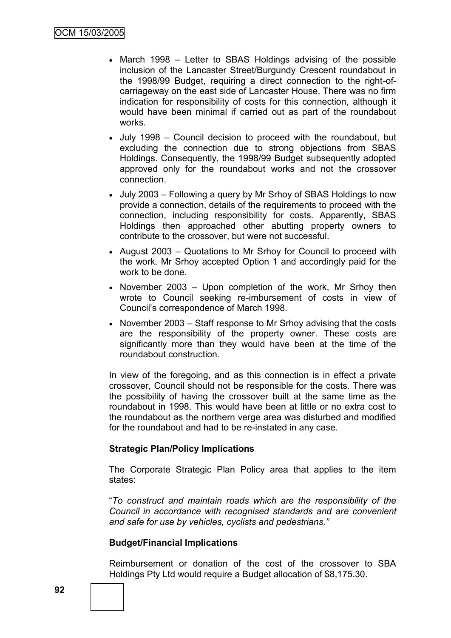- March 1998 Letter to SBAS Holdings advising of the possible inclusion of the Lancaster Street/Burgundy Crescent roundabout in the 1998/99 Budget, requiring a direct connection to the right-ofcarriageway on the east side of Lancaster House. There was no firm indication for responsibility of costs for this connection, although it would have been minimal if carried out as part of the roundabout works.
- July 1998 Council decision to proceed with the roundabout, but excluding the connection due to strong objections from SBAS Holdings. Consequently, the 1998/99 Budget subsequently adopted approved only for the roundabout works and not the crossover connection.
- July 2003 Following a query by Mr Srhoy of SBAS Holdings to now provide a connection, details of the requirements to proceed with the connection, including responsibility for costs. Apparently, SBAS Holdings then approached other abutting property owners to contribute to the crossover, but were not successful.
- August 2003 Quotations to Mr Srhoy for Council to proceed with the work. Mr Srhoy accepted Option 1 and accordingly paid for the work to be done.
- November 2003 Upon completion of the work, Mr Srhoy then wrote to Council seeking re-imbursement of costs in view of Council"s correspondence of March 1998.
- November 2003 Staff response to Mr Srhoy advising that the costs are the responsibility of the property owner. These costs are significantly more than they would have been at the time of the roundabout construction.

In view of the foregoing, and as this connection is in effect a private crossover, Council should not be responsible for the costs. There was the possibility of having the crossover built at the same time as the roundabout in 1998. This would have been at little or no extra cost to the roundabout as the northern verge area was disturbed and modified for the roundabout and had to be re-instated in any case.

## **Strategic Plan/Policy Implications**

The Corporate Strategic Plan Policy area that applies to the item states:

"*To construct and maintain roads which are the responsibility of the Council in accordance with recognised standards and are convenient and safe for use by vehicles, cyclists and pedestrians."*

## **Budget/Financial Implications**

Reimbursement or donation of the cost of the crossover to SBA Holdings Pty Ltd would require a Budget allocation of \$8,175.30.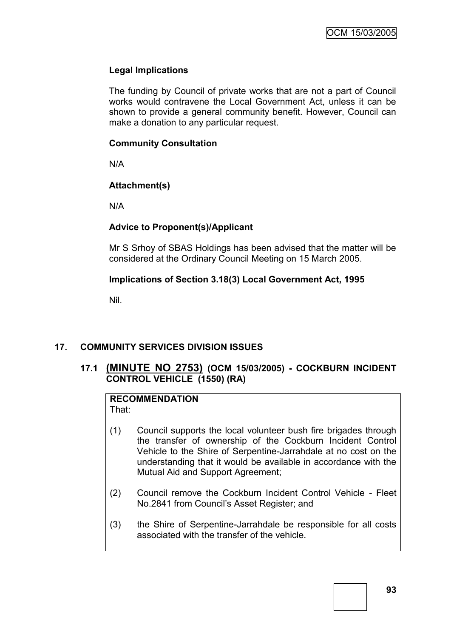## **Legal Implications**

The funding by Council of private works that are not a part of Council works would contravene the Local Government Act, unless it can be shown to provide a general community benefit. However, Council can make a donation to any particular request.

## **Community Consultation**

N/A

# **Attachment(s)**

N/A

# **Advice to Proponent(s)/Applicant**

Mr S Srhoy of SBAS Holdings has been advised that the matter will be considered at the Ordinary Council Meeting on 15 March 2005.

## **Implications of Section 3.18(3) Local Government Act, 1995**

Nil.

# **17. COMMUNITY SERVICES DIVISION ISSUES**

# **17.1 (MINUTE NO 2753) (OCM 15/03/2005) - COCKBURN INCIDENT CONTROL VEHICLE (1550) (RA)**

#### **RECOMMENDATION** That:

- (1) Council supports the local volunteer bush fire brigades through the transfer of ownership of the Cockburn Incident Control Vehicle to the Shire of Serpentine-Jarrahdale at no cost on the understanding that it would be available in accordance with the Mutual Aid and Support Agreement;
- (2) Council remove the Cockburn Incident Control Vehicle Fleet No.2841 from Council"s Asset Register; and
- (3) the Shire of Serpentine-Jarrahdale be responsible for all costs associated with the transfer of the vehicle.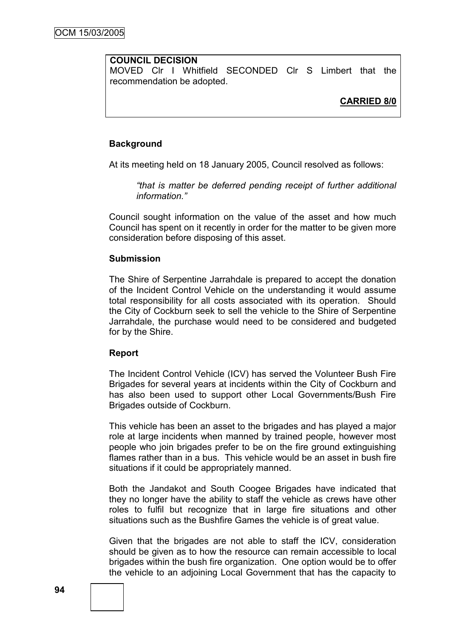#### **COUNCIL DECISION**

MOVED Clr I Whitfield SECONDED Clr S Limbert that the recommendation be adopted.

#### **Background**

At its meeting held on 18 January 2005, Council resolved as follows:

*"that is matter be deferred pending receipt of further additional information."*

Council sought information on the value of the asset and how much Council has spent on it recently in order for the matter to be given more consideration before disposing of this asset.

#### **Submission**

The Shire of Serpentine Jarrahdale is prepared to accept the donation of the Incident Control Vehicle on the understanding it would assume total responsibility for all costs associated with its operation. Should the City of Cockburn seek to sell the vehicle to the Shire of Serpentine Jarrahdale, the purchase would need to be considered and budgeted for by the Shire.

#### **Report**

The Incident Control Vehicle (ICV) has served the Volunteer Bush Fire Brigades for several years at incidents within the City of Cockburn and has also been used to support other Local Governments/Bush Fire Brigades outside of Cockburn.

This vehicle has been an asset to the brigades and has played a major role at large incidents when manned by trained people, however most people who join brigades prefer to be on the fire ground extinguishing flames rather than in a bus. This vehicle would be an asset in bush fire situations if it could be appropriately manned.

Both the Jandakot and South Coogee Brigades have indicated that they no longer have the ability to staff the vehicle as crews have other roles to fulfil but recognize that in large fire situations and other situations such as the Bushfire Games the vehicle is of great value.

Given that the brigades are not able to staff the ICV, consideration should be given as to how the resource can remain accessible to local brigades within the bush fire organization. One option would be to offer the vehicle to an adjoining Local Government that has the capacity to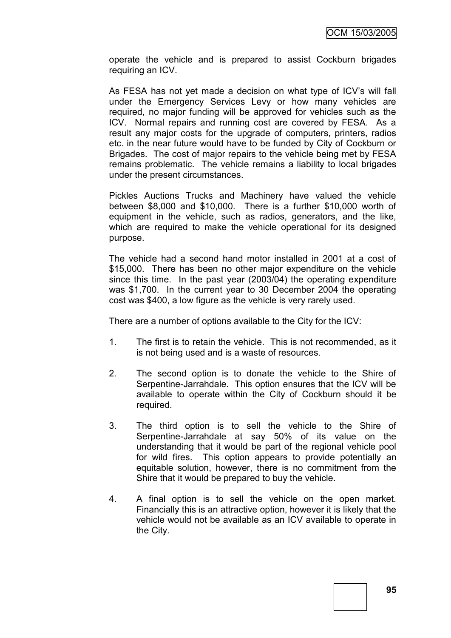operate the vehicle and is prepared to assist Cockburn brigades requiring an ICV.

As FESA has not yet made a decision on what type of ICV"s will fall under the Emergency Services Levy or how many vehicles are required, no major funding will be approved for vehicles such as the ICV. Normal repairs and running cost are covered by FESA. As a result any major costs for the upgrade of computers, printers, radios etc. in the near future would have to be funded by City of Cockburn or Brigades. The cost of major repairs to the vehicle being met by FESA remains problematic. The vehicle remains a liability to local brigades under the present circumstances.

Pickles Auctions Trucks and Machinery have valued the vehicle between \$8,000 and \$10,000. There is a further \$10,000 worth of equipment in the vehicle, such as radios, generators, and the like, which are required to make the vehicle operational for its designed purpose.

The vehicle had a second hand motor installed in 2001 at a cost of \$15,000. There has been no other major expenditure on the vehicle since this time. In the past year (2003/04) the operating expenditure was \$1,700. In the current year to 30 December 2004 the operating cost was \$400, a low figure as the vehicle is very rarely used.

There are a number of options available to the City for the ICV:

- 1. The first is to retain the vehicle. This is not recommended, as it is not being used and is a waste of resources.
- 2. The second option is to donate the vehicle to the Shire of Serpentine-Jarrahdale. This option ensures that the ICV will be available to operate within the City of Cockburn should it be required.
- 3. The third option is to sell the vehicle to the Shire of Serpentine-Jarrahdale at say 50% of its value on the understanding that it would be part of the regional vehicle pool for wild fires. This option appears to provide potentially an equitable solution, however, there is no commitment from the Shire that it would be prepared to buy the vehicle.
- 4. A final option is to sell the vehicle on the open market. Financially this is an attractive option, however it is likely that the vehicle would not be available as an ICV available to operate in the City.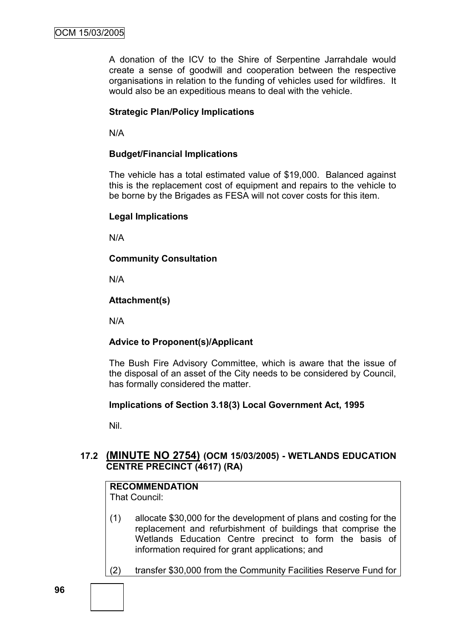A donation of the ICV to the Shire of Serpentine Jarrahdale would create a sense of goodwill and cooperation between the respective organisations in relation to the funding of vehicles used for wildfires. It would also be an expeditious means to deal with the vehicle.

## **Strategic Plan/Policy Implications**

N/A

## **Budget/Financial Implications**

The vehicle has a total estimated value of \$19,000. Balanced against this is the replacement cost of equipment and repairs to the vehicle to be borne by the Brigades as FESA will not cover costs for this item.

## **Legal Implications**

N/A

**Community Consultation**

N/A

## **Attachment(s)**

N/A

# **Advice to Proponent(s)/Applicant**

The Bush Fire Advisory Committee, which is aware that the issue of the disposal of an asset of the City needs to be considered by Council, has formally considered the matter.

## **Implications of Section 3.18(3) Local Government Act, 1995**

Nil.

# **17.2 (MINUTE NO 2754) (OCM 15/03/2005) - WETLANDS EDUCATION CENTRE PRECINCT (4617) (RA)**

# **RECOMMENDATION**

That Council:

- (1) allocate \$30,000 for the development of plans and costing for the replacement and refurbishment of buildings that comprise the Wetlands Education Centre precinct to form the basis of information required for grant applications; and
- (2) transfer \$30,000 from the Community Facilities Reserve Fund for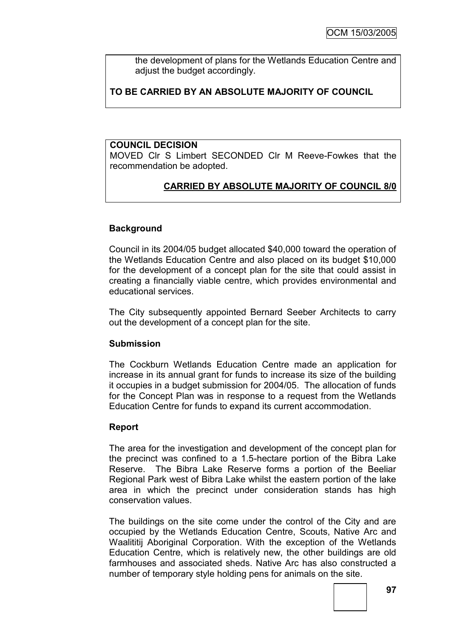the development of plans for the Wetlands Education Centre and adjust the budget accordingly.

# **TO BE CARRIED BY AN ABSOLUTE MAJORITY OF COUNCIL**

#### **COUNCIL DECISION**

MOVED Clr S Limbert SECONDED Clr M Reeve-Fowkes that the recommendation be adopted.

# **CARRIED BY ABSOLUTE MAJORITY OF COUNCIL 8/0**

## **Background**

Council in its 2004/05 budget allocated \$40,000 toward the operation of the Wetlands Education Centre and also placed on its budget \$10,000 for the development of a concept plan for the site that could assist in creating a financially viable centre, which provides environmental and educational services.

The City subsequently appointed Bernard Seeber Architects to carry out the development of a concept plan for the site.

## **Submission**

The Cockburn Wetlands Education Centre made an application for increase in its annual grant for funds to increase its size of the building it occupies in a budget submission for 2004/05. The allocation of funds for the Concept Plan was in response to a request from the Wetlands Education Centre for funds to expand its current accommodation.

## **Report**

The area for the investigation and development of the concept plan for the precinct was confined to a 1.5-hectare portion of the Bibra Lake Reserve. The Bibra Lake Reserve forms a portion of the Beeliar Regional Park west of Bibra Lake whilst the eastern portion of the lake area in which the precinct under consideration stands has high conservation values.

The buildings on the site come under the control of the City and are occupied by the Wetlands Education Centre, Scouts, Native Arc and Waalititij Aboriginal Corporation. With the exception of the Wetlands Education Centre, which is relatively new, the other buildings are old farmhouses and associated sheds. Native Arc has also constructed a number of temporary style holding pens for animals on the site.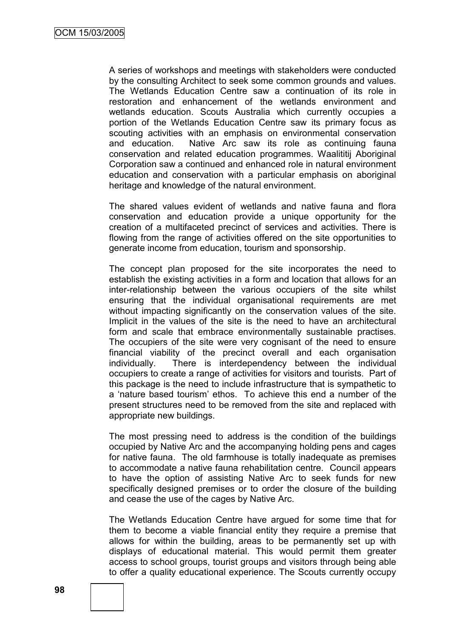A series of workshops and meetings with stakeholders were conducted by the consulting Architect to seek some common grounds and values. The Wetlands Education Centre saw a continuation of its role in restoration and enhancement of the wetlands environment and wetlands education. Scouts Australia which currently occupies a portion of the Wetlands Education Centre saw its primary focus as scouting activities with an emphasis on environmental conservation and education. Native Arc saw its role as continuing fauna conservation and related education programmes. Waalititij Aboriginal Corporation saw a continued and enhanced role in natural environment education and conservation with a particular emphasis on aboriginal heritage and knowledge of the natural environment.

The shared values evident of wetlands and native fauna and flora conservation and education provide a unique opportunity for the creation of a multifaceted precinct of services and activities. There is flowing from the range of activities offered on the site opportunities to generate income from education, tourism and sponsorship.

The concept plan proposed for the site incorporates the need to establish the existing activities in a form and location that allows for an inter-relationship between the various occupiers of the site whilst ensuring that the individual organisational requirements are met without impacting significantly on the conservation values of the site. Implicit in the values of the site is the need to have an architectural form and scale that embrace environmentally sustainable practises. The occupiers of the site were very cognisant of the need to ensure financial viability of the precinct overall and each organisation individually. There is interdependency between the individual occupiers to create a range of activities for visitors and tourists. Part of this package is the need to include infrastructure that is sympathetic to a "nature based tourism" ethos. To achieve this end a number of the present structures need to be removed from the site and replaced with appropriate new buildings.

The most pressing need to address is the condition of the buildings occupied by Native Arc and the accompanying holding pens and cages for native fauna. The old farmhouse is totally inadequate as premises to accommodate a native fauna rehabilitation centre. Council appears to have the option of assisting Native Arc to seek funds for new specifically designed premises or to order the closure of the building and cease the use of the cages by Native Arc.

The Wetlands Education Centre have argued for some time that for them to become a viable financial entity they require a premise that allows for within the building, areas to be permanently set up with displays of educational material. This would permit them greater access to school groups, tourist groups and visitors through being able to offer a quality educational experience. The Scouts currently occupy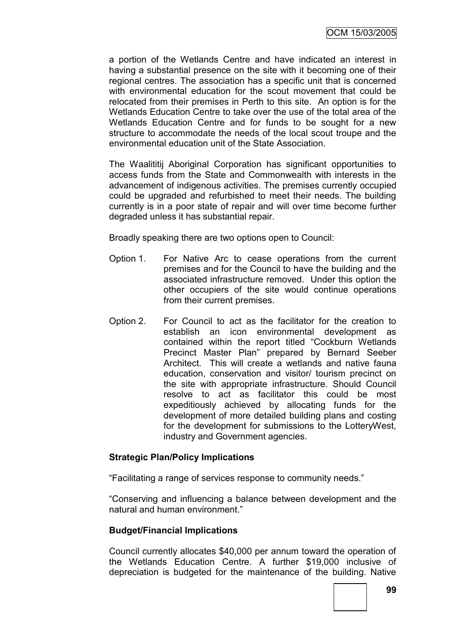a portion of the Wetlands Centre and have indicated an interest in having a substantial presence on the site with it becoming one of their regional centres. The association has a specific unit that is concerned with environmental education for the scout movement that could be relocated from their premises in Perth to this site. An option is for the Wetlands Education Centre to take over the use of the total area of the Wetlands Education Centre and for funds to be sought for a new structure to accommodate the needs of the local scout troupe and the environmental education unit of the State Association.

The Waalititij Aboriginal Corporation has significant opportunities to access funds from the State and Commonwealth with interests in the advancement of indigenous activities. The premises currently occupied could be upgraded and refurbished to meet their needs. The building currently is in a poor state of repair and will over time become further degraded unless it has substantial repair.

Broadly speaking there are two options open to Council:

- Option 1. For Native Arc to cease operations from the current premises and for the Council to have the building and the associated infrastructure removed. Under this option the other occupiers of the site would continue operations from their current premises.
- Option 2. For Council to act as the facilitator for the creation to establish an icon environmental development as contained within the report titled "Cockburn Wetlands Precinct Master Plan" prepared by Bernard Seeber Architect. This will create a wetlands and native fauna education, conservation and visitor/ tourism precinct on the site with appropriate infrastructure. Should Council resolve to act as facilitator this could be most expeditiously achieved by allocating funds for the development of more detailed building plans and costing for the development for submissions to the LotteryWest, industry and Government agencies.

## **Strategic Plan/Policy Implications**

"Facilitating a range of services response to community needs."

"Conserving and influencing a balance between development and the natural and human environment."

## **Budget/Financial Implications**

Council currently allocates \$40,000 per annum toward the operation of the Wetlands Education Centre. A further \$19,000 inclusive of depreciation is budgeted for the maintenance of the building. Native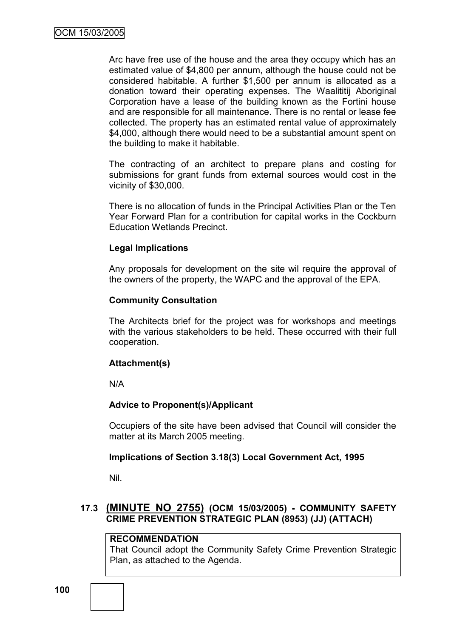Arc have free use of the house and the area they occupy which has an estimated value of \$4,800 per annum, although the house could not be considered habitable. A further \$1,500 per annum is allocated as a donation toward their operating expenses. The Waalititij Aboriginal Corporation have a lease of the building known as the Fortini house and are responsible for all maintenance. There is no rental or lease fee collected. The property has an estimated rental value of approximately \$4,000, although there would need to be a substantial amount spent on the building to make it habitable.

The contracting of an architect to prepare plans and costing for submissions for grant funds from external sources would cost in the vicinity of \$30,000.

There is no allocation of funds in the Principal Activities Plan or the Ten Year Forward Plan for a contribution for capital works in the Cockburn Education Wetlands Precinct.

## **Legal Implications**

Any proposals for development on the site wil require the approval of the owners of the property, the WAPC and the approval of the EPA.

#### **Community Consultation**

The Architects brief for the project was for workshops and meetings with the various stakeholders to be held. These occurred with their full cooperation.

## **Attachment(s)**

N/A

## **Advice to Proponent(s)/Applicant**

Occupiers of the site have been advised that Council will consider the matter at its March 2005 meeting.

## **Implications of Section 3.18(3) Local Government Act, 1995**

Nil.

# **17.3 (MINUTE NO 2755) (OCM 15/03/2005) - COMMUNITY SAFETY CRIME PREVENTION STRATEGIC PLAN (8953) (JJ) (ATTACH)**

## **RECOMMENDATION**

That Council adopt the Community Safety Crime Prevention Strategic Plan, as attached to the Agenda.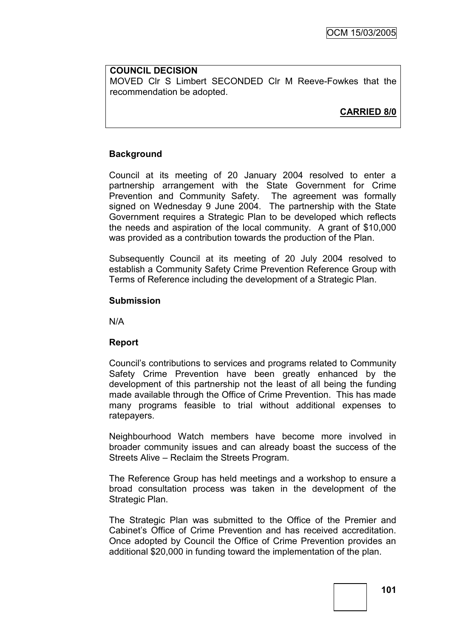#### **COUNCIL DECISION** MOVED Clr S Limbert SECONDED Clr M Reeve-Fowkes that the recommendation be adopted.

**CARRIED 8/0**

## **Background**

Council at its meeting of 20 January 2004 resolved to enter a partnership arrangement with the State Government for Crime Prevention and Community Safety. The agreement was formally signed on Wednesday 9 June 2004. The partnership with the State Government requires a Strategic Plan to be developed which reflects the needs and aspiration of the local community. A grant of \$10,000 was provided as a contribution towards the production of the Plan.

Subsequently Council at its meeting of 20 July 2004 resolved to establish a Community Safety Crime Prevention Reference Group with Terms of Reference including the development of a Strategic Plan.

## **Submission**

N/A

## **Report**

Council"s contributions to services and programs related to Community Safety Crime Prevention have been greatly enhanced by the development of this partnership not the least of all being the funding made available through the Office of Crime Prevention. This has made many programs feasible to trial without additional expenses to ratepayers.

Neighbourhood Watch members have become more involved in broader community issues and can already boast the success of the Streets Alive – Reclaim the Streets Program.

The Reference Group has held meetings and a workshop to ensure a broad consultation process was taken in the development of the Strategic Plan.

The Strategic Plan was submitted to the Office of the Premier and Cabinet"s Office of Crime Prevention and has received accreditation. Once adopted by Council the Office of Crime Prevention provides an additional \$20,000 in funding toward the implementation of the plan.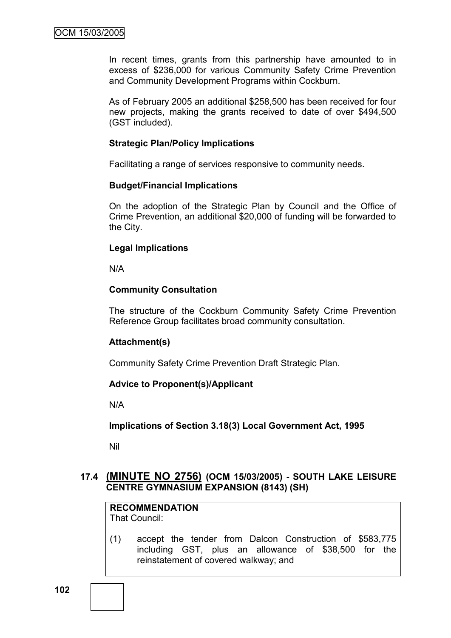In recent times, grants from this partnership have amounted to in excess of \$236,000 for various Community Safety Crime Prevention and Community Development Programs within Cockburn.

As of February 2005 an additional \$258,500 has been received for four new projects, making the grants received to date of over \$494,500 (GST included).

## **Strategic Plan/Policy Implications**

Facilitating a range of services responsive to community needs.

#### **Budget/Financial Implications**

On the adoption of the Strategic Plan by Council and the Office of Crime Prevention, an additional \$20,000 of funding will be forwarded to the City.

## **Legal Implications**

N/A

## **Community Consultation**

The structure of the Cockburn Community Safety Crime Prevention Reference Group facilitates broad community consultation.

## **Attachment(s)**

Community Safety Crime Prevention Draft Strategic Plan.

#### **Advice to Proponent(s)/Applicant**

N/A

**Implications of Section 3.18(3) Local Government Act, 1995**

Nil

## **17.4 (MINUTE NO 2756) (OCM 15/03/2005) - SOUTH LAKE LEISURE CENTRE GYMNASIUM EXPANSION (8143) (SH)**

**RECOMMENDATION** That Council:

(1) accept the tender from Dalcon Construction of \$583,775 including GST, plus an allowance of \$38,500 for the reinstatement of covered walkway; and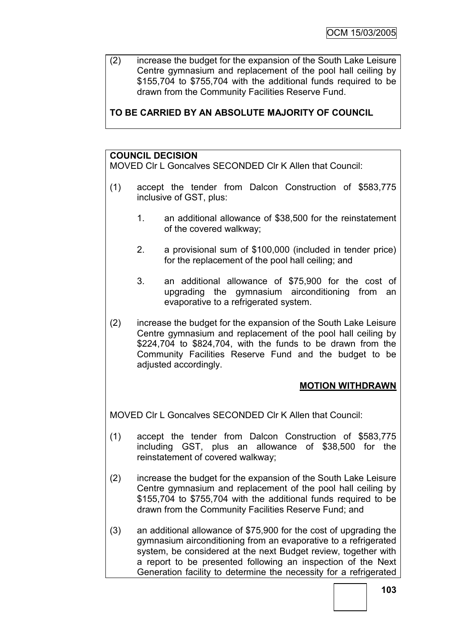(2) increase the budget for the expansion of the South Lake Leisure Centre gymnasium and replacement of the pool hall ceiling by \$155,704 to \$755,704 with the additional funds required to be drawn from the Community Facilities Reserve Fund.

# **TO BE CARRIED BY AN ABSOLUTE MAJORITY OF COUNCIL**

# **COUNCIL DECISION**

MOVED Clr L Goncalves SECONDED Clr K Allen that Council:

- (1) accept the tender from Dalcon Construction of \$583,775 inclusive of GST, plus:
	- 1. an additional allowance of \$38,500 for the reinstatement of the covered walkway;
	- 2. a provisional sum of \$100,000 (included in tender price) for the replacement of the pool hall ceiling; and
	- 3. an additional allowance of \$75,900 for the cost of upgrading the gymnasium airconditioning from an evaporative to a refrigerated system.
- (2) increase the budget for the expansion of the South Lake Leisure Centre gymnasium and replacement of the pool hall ceiling by \$224,704 to \$824,704, with the funds to be drawn from the Community Facilities Reserve Fund and the budget to be adjusted accordingly.

# **MOTION WITHDRAWN**

MOVED Clr L Goncalves SECONDED Clr K Allen that Council:

- (1) accept the tender from Dalcon Construction of \$583,775 including GST, plus an allowance of \$38,500 for the reinstatement of covered walkway;
- (2) increase the budget for the expansion of the South Lake Leisure Centre gymnasium and replacement of the pool hall ceiling by \$155,704 to \$755,704 with the additional funds required to be drawn from the Community Facilities Reserve Fund; and
- (3) an additional allowance of \$75,900 for the cost of upgrading the gymnasium airconditioning from an evaporative to a refrigerated system, be considered at the next Budget review, together with a report to be presented following an inspection of the Next Generation facility to determine the necessity for a refrigerated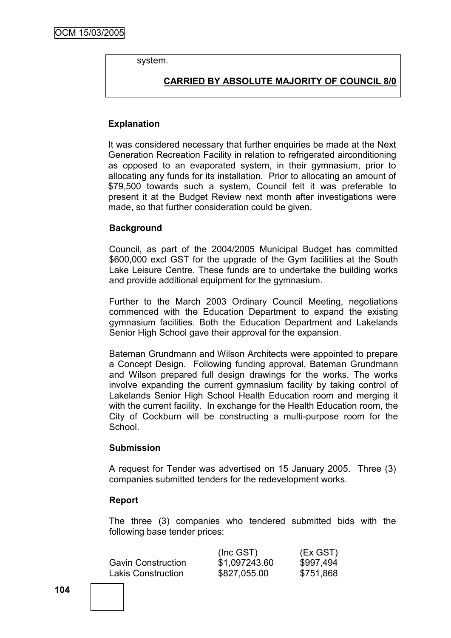system.

# **CARRIED BY ABSOLUTE MAJORITY OF COUNCIL 8/0**

#### **Explanation**

It was considered necessary that further enquiries be made at the Next Generation Recreation Facility in relation to refrigerated airconditioning as opposed to an evaporated system, in their gymnasium, prior to allocating any funds for its installation. Prior to allocating an amount of \$79,500 towards such a system, Council felt it was preferable to present it at the Budget Review next month after investigations were made, so that further consideration could be given.

## **Background**

Council, as part of the 2004/2005 Municipal Budget has committed \$600,000 excl GST for the upgrade of the Gym facilities at the South Lake Leisure Centre. These funds are to undertake the building works and provide additional equipment for the gymnasium.

Further to the March 2003 Ordinary Council Meeting, negotiations commenced with the Education Department to expand the existing gymnasium facilities. Both the Education Department and Lakelands Senior High School gave their approval for the expansion.

Bateman Grundmann and Wilson Architects were appointed to prepare a Concept Design. Following funding approval, Bateman Grundmann and Wilson prepared full design drawings for the works. The works involve expanding the current gymnasium facility by taking control of Lakelands Senior High School Health Education room and merging it with the current facility. In exchange for the Health Education room, the City of Cockburn will be constructing a multi-purpose room for the School.

#### **Submission**

A request for Tender was advertised on 15 January 2005. Three (3) companies submitted tenders for the redevelopment works.

#### **Report**

The three (3) companies who tendered submitted bids with the following base tender prices:

| $(Inc$ GST $)$ | (Ex GST)  |
|----------------|-----------|
| \$1,097243.60  | \$997,494 |
| \$827,055.00   | \$751,868 |
|                |           |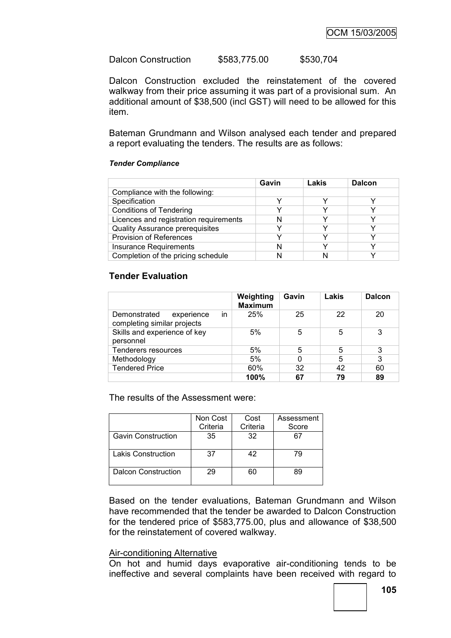Dalcon Construction \$583,775.00 \$530,704

Dalcon Construction excluded the reinstatement of the covered walkway from their price assuming it was part of a provisional sum. An additional amount of \$38,500 (incl GST) will need to be allowed for this item.

Bateman Grundmann and Wilson analysed each tender and prepared a report evaluating the tenders. The results are as follows:

#### *Tender Compliance*

|                                        | Gavin | Lakis | <b>Dalcon</b> |
|----------------------------------------|-------|-------|---------------|
| Compliance with the following:         |       |       |               |
| Specification                          | v     |       |               |
| <b>Conditions of Tendering</b>         |       |       |               |
| Licences and registration requirements |       |       |               |
| <b>Quality Assurance prerequisites</b> |       |       |               |
| <b>Provision of References</b>         |       |       |               |
| <b>Insurance Requirements</b>          | N     |       |               |
| Completion of the pricing schedule     |       |       |               |

### **Tender Evaluation**

|                                                                 | Weighting<br><b>Maximum</b> | Gavin | Lakis | <b>Dalcon</b> |
|-----------------------------------------------------------------|-----------------------------|-------|-------|---------------|
| in<br>experience<br>Demonstrated<br>completing similar projects | 25%                         | 25    | 22    | 20            |
| Skills and experience of key<br>personnel                       | 5%                          | 5     | 5     | 3             |
| <b>Tenderers resources</b>                                      | 5%                          | 5     | 5     | 3             |
| Methodology                                                     | 5%                          |       | 5     | 3             |
| <b>Tendered Price</b>                                           | 60%                         | 32    | 42    | 60            |
|                                                                 | 100%                        | 67    | 79    | 89            |

The results of the Assessment were:

|                            | Non Cost<br>Criteria | Cost<br>Criteria | Assessment<br>Score |
|----------------------------|----------------------|------------------|---------------------|
| <b>Gavin Construction</b>  | 35                   | 32               | 67                  |
| <b>Lakis Construction</b>  | 37                   | 42               | 79                  |
| <b>Dalcon Construction</b> | 29                   | 60               | 89                  |

Based on the tender evaluations, Bateman Grundmann and Wilson have recommended that the tender be awarded to Dalcon Construction for the tendered price of \$583,775.00, plus and allowance of \$38,500 for the reinstatement of covered walkway.

### Air-conditioning Alternative

On hot and humid days evaporative air-conditioning tends to be ineffective and several complaints have been received with regard to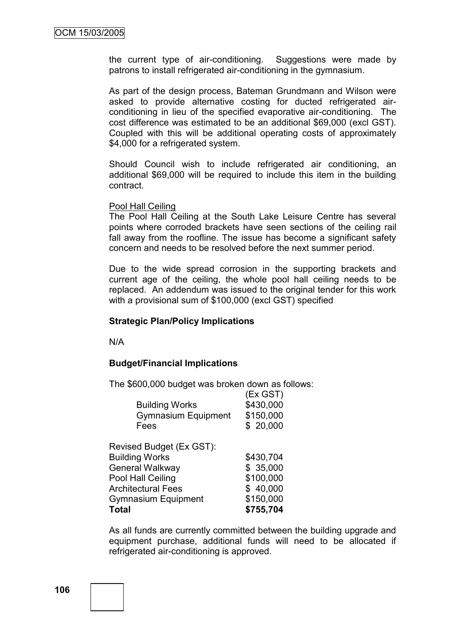the current type of air-conditioning. Suggestions were made by patrons to install refrigerated air-conditioning in the gymnasium.

As part of the design process, Bateman Grundmann and Wilson were asked to provide alternative costing for ducted refrigerated airconditioning in lieu of the specified evaporative air-conditioning. The cost difference was estimated to be an additional \$69,000 (excl GST). Coupled with this will be additional operating costs of approximately \$4,000 for a refrigerated system.

Should Council wish to include refrigerated air conditioning, an additional \$69,000 will be required to include this item in the building contract.

#### Pool Hall Ceiling

The Pool Hall Ceiling at the South Lake Leisure Centre has several points where corroded brackets have seen sections of the ceiling rail fall away from the roofline. The issue has become a significant safety concern and needs to be resolved before the next summer period.

Due to the wide spread corrosion in the supporting brackets and current age of the ceiling, the whole pool hall ceiling needs to be replaced. An addendum was issued to the original tender for this work with a provisional sum of \$100,000 (excl GST) specified

#### **Strategic Plan/Policy Implications**

N/A

### **Budget/Financial Implications**

The \$600,000 budget was broken down as follows:

| <b>Building Works</b><br><b>Gymnasium Equipment</b><br>Fees | (Ex GST)<br>\$430,000<br>\$150,000<br>\$20,000 |
|-------------------------------------------------------------|------------------------------------------------|
| Revised Budget (Ex GST):                                    |                                                |
| <b>Building Works</b>                                       | \$430,704                                      |
| <b>General Walkway</b>                                      | \$35,000                                       |
| Pool Hall Ceiling                                           | \$100,000                                      |
| <b>Architectural Fees</b>                                   | \$40,000                                       |
| <b>Gymnasium Equipment</b>                                  | \$150,000                                      |
| Total                                                       | \$755,704                                      |

As all funds are currently committed between the building upgrade and equipment purchase, additional funds will need to be allocated if refrigerated air-conditioning is approved.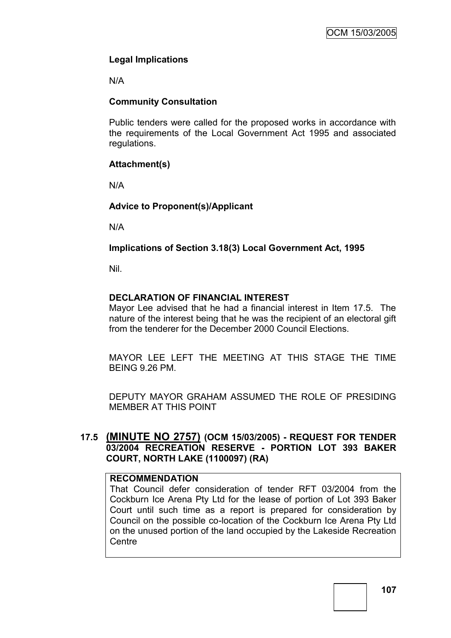# **Legal Implications**

N/A

# **Community Consultation**

Public tenders were called for the proposed works in accordance with the requirements of the Local Government Act 1995 and associated regulations.

# **Attachment(s)**

N/A

# **Advice to Proponent(s)/Applicant**

N/A

# **Implications of Section 3.18(3) Local Government Act, 1995**

Nil.

# **DECLARATION OF FINANCIAL INTEREST**

Mayor Lee advised that he had a financial interest in Item 17.5. The nature of the interest being that he was the recipient of an electoral gift from the tenderer for the December 2000 Council Elections.

MAYOR LEE LEFT THE MEETING AT THIS STAGE THE TIME BEING 9.26 PM.

DEPUTY MAYOR GRAHAM ASSUMED THE ROLE OF PRESIDING MEMBER AT THIS POINT

# **17.5 (MINUTE NO 2757) (OCM 15/03/2005) - REQUEST FOR TENDER 03/2004 RECREATION RESERVE - PORTION LOT 393 BAKER COURT, NORTH LAKE (1100097) (RA)**

### **RECOMMENDATION**

That Council defer consideration of tender RFT 03/2004 from the Cockburn Ice Arena Pty Ltd for the lease of portion of Lot 393 Baker Court until such time as a report is prepared for consideration by Council on the possible co-location of the Cockburn Ice Arena Pty Ltd on the unused portion of the land occupied by the Lakeside Recreation **Centre**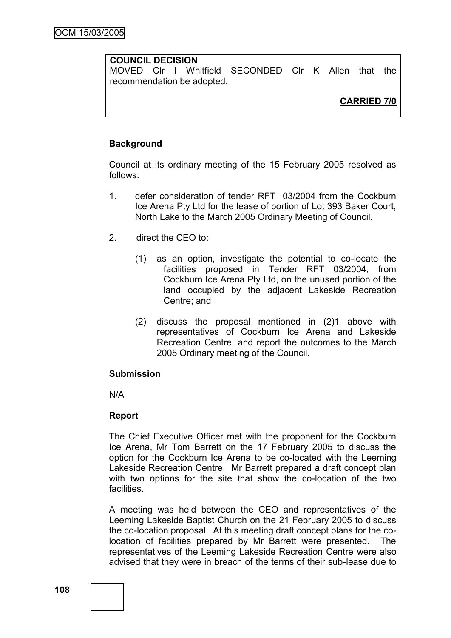## **COUNCIL DECISION**

MOVED Clr I Whitfield SECONDED Clr K Allen that the recommendation be adopted.

# **CARRIED 7/0**

### **Background**

Council at its ordinary meeting of the 15 February 2005 resolved as follows:

- 1. defer consideration of tender RFT 03/2004 from the Cockburn Ice Arena Pty Ltd for the lease of portion of Lot 393 Baker Court, North Lake to the March 2005 Ordinary Meeting of Council.
- 2. direct the CEO to:
	- (1) as an option, investigate the potential to co-locate the facilities proposed in Tender RFT 03/2004, from Cockburn Ice Arena Pty Ltd, on the unused portion of the land occupied by the adjacent Lakeside Recreation Centre; and
	- (2) discuss the proposal mentioned in (2)1 above with representatives of Cockburn Ice Arena and Lakeside Recreation Centre, and report the outcomes to the March 2005 Ordinary meeting of the Council.

### **Submission**

N/A

### **Report**

The Chief Executive Officer met with the proponent for the Cockburn Ice Arena, Mr Tom Barrett on the 17 February 2005 to discuss the option for the Cockburn Ice Arena to be co-located with the Leeming Lakeside Recreation Centre. Mr Barrett prepared a draft concept plan with two options for the site that show the co-location of the two **facilities** 

A meeting was held between the CEO and representatives of the Leeming Lakeside Baptist Church on the 21 February 2005 to discuss the co-location proposal. At this meeting draft concept plans for the colocation of facilities prepared by Mr Barrett were presented. The representatives of the Leeming Lakeside Recreation Centre were also advised that they were in breach of the terms of their sub-lease due to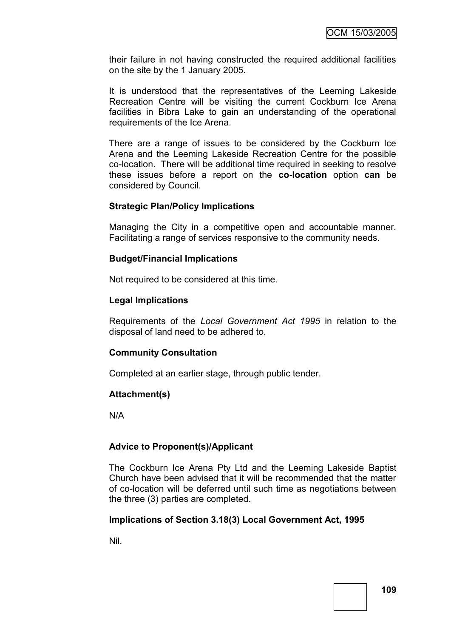their failure in not having constructed the required additional facilities on the site by the 1 January 2005.

It is understood that the representatives of the Leeming Lakeside Recreation Centre will be visiting the current Cockburn Ice Arena facilities in Bibra Lake to gain an understanding of the operational requirements of the Ice Arena.

There are a range of issues to be considered by the Cockburn Ice Arena and the Leeming Lakeside Recreation Centre for the possible co-location. There will be additional time required in seeking to resolve these issues before a report on the **co-location** option **can** be considered by Council.

### **Strategic Plan/Policy Implications**

Managing the City in a competitive open and accountable manner. Facilitating a range of services responsive to the community needs.

### **Budget/Financial Implications**

Not required to be considered at this time.

### **Legal Implications**

Requirements of the *Local Government Act 1995* in relation to the disposal of land need to be adhered to.

### **Community Consultation**

Completed at an earlier stage, through public tender.

### **Attachment(s)**

N/A

### **Advice to Proponent(s)/Applicant**

The Cockburn Ice Arena Pty Ltd and the Leeming Lakeside Baptist Church have been advised that it will be recommended that the matter of co-location will be deferred until such time as negotiations between the three (3) parties are completed.

### **Implications of Section 3.18(3) Local Government Act, 1995**

Nil.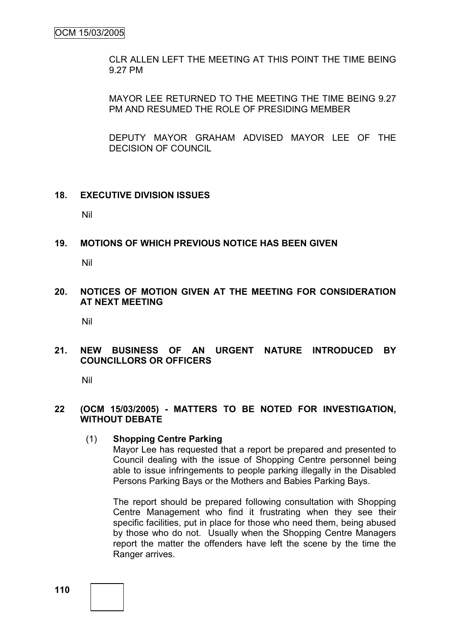CLR ALLEN LEFT THE MEETING AT THIS POINT THE TIME BEING 9.27 PM

MAYOR LEE RETURNED TO THE MEETING THE TIME BEING 9.27 PM AND RESUMED THE ROLE OF PRESIDING MEMBER

DEPUTY MAYOR GRAHAM ADVISED MAYOR LEE OF THE DECISION OF COUNCIL

### **18. EXECUTIVE DIVISION ISSUES**

Nil

**19. MOTIONS OF WHICH PREVIOUS NOTICE HAS BEEN GIVEN**

Nil

**20. NOTICES OF MOTION GIVEN AT THE MEETING FOR CONSIDERATION AT NEXT MEETING**

Nil

**21. NEW BUSINESS OF AN URGENT NATURE INTRODUCED BY COUNCILLORS OR OFFICERS**

Nil

### **22 (OCM 15/03/2005) - MATTERS TO BE NOTED FOR INVESTIGATION, WITHOUT DEBATE**

### (1) **Shopping Centre Parking**

Mayor Lee has requested that a report be prepared and presented to Council dealing with the issue of Shopping Centre personnel being able to issue infringements to people parking illegally in the Disabled Persons Parking Bays or the Mothers and Babies Parking Bays.

The report should be prepared following consultation with Shopping Centre Management who find it frustrating when they see their specific facilities, put in place for those who need them, being abused by those who do not. Usually when the Shopping Centre Managers report the matter the offenders have left the scene by the time the Ranger arrives.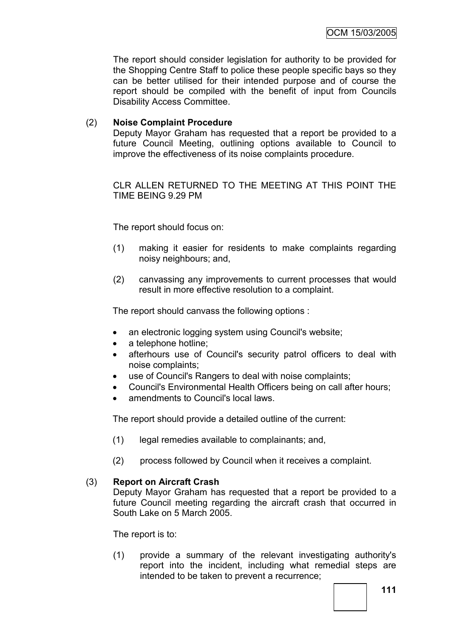The report should consider legislation for authority to be provided for the Shopping Centre Staff to police these people specific bays so they can be better utilised for their intended purpose and of course the report should be compiled with the benefit of input from Councils Disability Access Committee.

## (2) **Noise Complaint Procedure**

Deputy Mayor Graham has requested that a report be provided to a future Council Meeting, outlining options available to Council to improve the effectiveness of its noise complaints procedure.

CLR ALLEN RETURNED TO THE MEETING AT THIS POINT THE TIME BEING 9.29 PM

The report should focus on:

- (1) making it easier for residents to make complaints regarding noisy neighbours; and,
- (2) canvassing any improvements to current processes that would result in more effective resolution to a complaint.

The report should canvass the following options :

- an electronic logging system using Council's website;
- a telephone hotline;
- afterhours use of Council's security patrol officers to deal with noise complaints;
- use of Council's Rangers to deal with noise complaints;
- Council's Environmental Health Officers being on call after hours;
- amendments to Council's local laws.

The report should provide a detailed outline of the current:

- (1) legal remedies available to complainants; and,
- (2) process followed by Council when it receives a complaint.

### (3) **Report on Aircraft Crash**

Deputy Mayor Graham has requested that a report be provided to a future Council meeting regarding the aircraft crash that occurred in South Lake on 5 March 2005.

The report is to:

(1) provide a summary of the relevant investigating authority's report into the incident, including what remedial steps are intended to be taken to prevent a recurrence;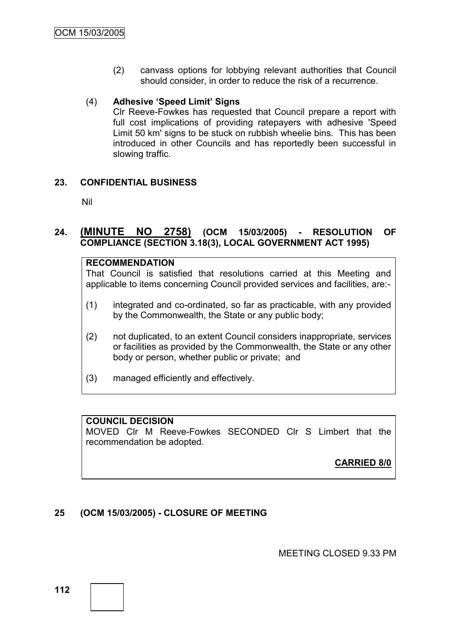(2) canvass options for lobbying relevant authorities that Council should consider, in order to reduce the risk of a recurrence.

## (4) **Adhesive "Speed Limit" Signs**

Clr Reeve-Fowkes has requested that Council prepare a report with full cost implications of providing ratepayers with adhesive 'Speed Limit 50 km' signs to be stuck on rubbish wheelie bins. This has been introduced in other Councils and has reportedly been successful in slowing traffic.

# **23. CONFIDENTIAL BUSINESS**

Nil

# **24. (MINUTE NO 2758) (OCM 15/03/2005) - RESOLUTION OF COMPLIANCE (SECTION 3.18(3), LOCAL GOVERNMENT ACT 1995)**

## **RECOMMENDATION**

That Council is satisfied that resolutions carried at this Meeting and applicable to items concerning Council provided services and facilities, are:-

- (1) integrated and co-ordinated, so far as practicable, with any provided by the Commonwealth, the State or any public body;
- (2) not duplicated, to an extent Council considers inappropriate, services or facilities as provided by the Commonwealth, the State or any other body or person, whether public or private; and
- (3) managed efficiently and effectively.

# **COUNCIL DECISION**

MOVED Clr M Reeve-Fowkes SECONDED Clr S Limbert that the recommendation be adopted.

**CARRIED 8/0**

# **25 (OCM 15/03/2005) - CLOSURE OF MEETING**

MEETING CLOSED 9.33 PM